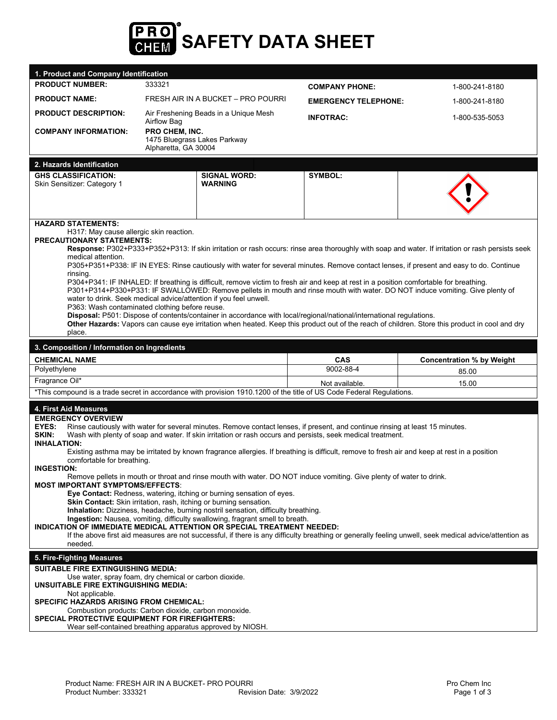

| 1. Product and Company Identification                                                                                                                                                                                                                                                                                                                                                                                                                                                                                                                                                                                                                                                                                                                                                                                                                                                                                                                                                                                                                                                             |                                                                                                                                                                                                                                                                                                                                                                                                                                                                                                                                                                                                                                                                                                                                                                                                                                                                                                                                                                                                                                                                               |                             |                                  |  |
|---------------------------------------------------------------------------------------------------------------------------------------------------------------------------------------------------------------------------------------------------------------------------------------------------------------------------------------------------------------------------------------------------------------------------------------------------------------------------------------------------------------------------------------------------------------------------------------------------------------------------------------------------------------------------------------------------------------------------------------------------------------------------------------------------------------------------------------------------------------------------------------------------------------------------------------------------------------------------------------------------------------------------------------------------------------------------------------------------|-------------------------------------------------------------------------------------------------------------------------------------------------------------------------------------------------------------------------------------------------------------------------------------------------------------------------------------------------------------------------------------------------------------------------------------------------------------------------------------------------------------------------------------------------------------------------------------------------------------------------------------------------------------------------------------------------------------------------------------------------------------------------------------------------------------------------------------------------------------------------------------------------------------------------------------------------------------------------------------------------------------------------------------------------------------------------------|-----------------------------|----------------------------------|--|
| <b>PRODUCT NUMBER:</b>                                                                                                                                                                                                                                                                                                                                                                                                                                                                                                                                                                                                                                                                                                                                                                                                                                                                                                                                                                                                                                                                            | 333321                                                                                                                                                                                                                                                                                                                                                                                                                                                                                                                                                                                                                                                                                                                                                                                                                                                                                                                                                                                                                                                                        | <b>COMPANY PHONE:</b>       | 1-800-241-8180                   |  |
| <b>PRODUCT NAME:</b>                                                                                                                                                                                                                                                                                                                                                                                                                                                                                                                                                                                                                                                                                                                                                                                                                                                                                                                                                                                                                                                                              | FRESH AIR IN A BUCKET - PRO POURRI                                                                                                                                                                                                                                                                                                                                                                                                                                                                                                                                                                                                                                                                                                                                                                                                                                                                                                                                                                                                                                            | <b>EMERGENCY TELEPHONE:</b> | 1-800-241-8180                   |  |
| <b>PRODUCT DESCRIPTION:</b>                                                                                                                                                                                                                                                                                                                                                                                                                                                                                                                                                                                                                                                                                                                                                                                                                                                                                                                                                                                                                                                                       | Air Freshening Beads in a Unique Mesh<br>Airflow Bag                                                                                                                                                                                                                                                                                                                                                                                                                                                                                                                                                                                                                                                                                                                                                                                                                                                                                                                                                                                                                          | <b>INFOTRAC:</b>            | 1-800-535-5053                   |  |
| <b>COMPANY INFORMATION:</b>                                                                                                                                                                                                                                                                                                                                                                                                                                                                                                                                                                                                                                                                                                                                                                                                                                                                                                                                                                                                                                                                       | PRO CHEM, INC.<br>1475 Bluegrass Lakes Parkway<br>Alpharetta, GA 30004                                                                                                                                                                                                                                                                                                                                                                                                                                                                                                                                                                                                                                                                                                                                                                                                                                                                                                                                                                                                        |                             |                                  |  |
| 2. Hazards Identification                                                                                                                                                                                                                                                                                                                                                                                                                                                                                                                                                                                                                                                                                                                                                                                                                                                                                                                                                                                                                                                                         |                                                                                                                                                                                                                                                                                                                                                                                                                                                                                                                                                                                                                                                                                                                                                                                                                                                                                                                                                                                                                                                                               |                             |                                  |  |
| <b>GHS CLASSIFICATION:</b><br>Skin Sensitizer: Category 1                                                                                                                                                                                                                                                                                                                                                                                                                                                                                                                                                                                                                                                                                                                                                                                                                                                                                                                                                                                                                                         | <b>SIGNAL WORD:</b><br><b>WARNING</b>                                                                                                                                                                                                                                                                                                                                                                                                                                                                                                                                                                                                                                                                                                                                                                                                                                                                                                                                                                                                                                         | <b>SYMBOL:</b>              |                                  |  |
|                                                                                                                                                                                                                                                                                                                                                                                                                                                                                                                                                                                                                                                                                                                                                                                                                                                                                                                                                                                                                                                                                                   |                                                                                                                                                                                                                                                                                                                                                                                                                                                                                                                                                                                                                                                                                                                                                                                                                                                                                                                                                                                                                                                                               |                             |                                  |  |
| <b>HAZARD STATEMENTS:</b>                                                                                                                                                                                                                                                                                                                                                                                                                                                                                                                                                                                                                                                                                                                                                                                                                                                                                                                                                                                                                                                                         |                                                                                                                                                                                                                                                                                                                                                                                                                                                                                                                                                                                                                                                                                                                                                                                                                                                                                                                                                                                                                                                                               |                             |                                  |  |
| H317: May cause allergic skin reaction.<br><b>PRECAUTIONARY STATEMENTS:</b><br>Response: P302+P333+P352+P313: If skin irritation or rash occurs: rinse area thoroughly with soap and water. If irritation or rash persists seek<br>medical attention.<br>P305+P351+P338: IF IN EYES: Rinse cautiously with water for several minutes. Remove contact lenses, if present and easy to do. Continue<br>rinsing.<br>P304+P341: IF INHALED: If breathing is difficult, remove victim to fresh air and keep at rest in a position comfortable for breathing.<br>P301+P314+P330+P331: IF SWALLOWED: Remove pellets in mouth and rinse mouth with water. DO NOT induce vomiting. Give plenty of<br>water to drink. Seek medical advice/attention if you feel unwell.<br>P363: Wash contaminated clothing before reuse.<br>Disposal: P501: Dispose of contents/container in accordance with local/regional/national/international regulations.<br>Other Hazards: Vapors can cause eye irritation when heated. Keep this product out of the reach of children. Store this product in cool and dry<br>place. |                                                                                                                                                                                                                                                                                                                                                                                                                                                                                                                                                                                                                                                                                                                                                                                                                                                                                                                                                                                                                                                                               |                             |                                  |  |
|                                                                                                                                                                                                                                                                                                                                                                                                                                                                                                                                                                                                                                                                                                                                                                                                                                                                                                                                                                                                                                                                                                   |                                                                                                                                                                                                                                                                                                                                                                                                                                                                                                                                                                                                                                                                                                                                                                                                                                                                                                                                                                                                                                                                               |                             |                                  |  |
| 3. Composition / Information on Ingredients                                                                                                                                                                                                                                                                                                                                                                                                                                                                                                                                                                                                                                                                                                                                                                                                                                                                                                                                                                                                                                                       |                                                                                                                                                                                                                                                                                                                                                                                                                                                                                                                                                                                                                                                                                                                                                                                                                                                                                                                                                                                                                                                                               |                             |                                  |  |
| <b>CHEMICAL NAME</b>                                                                                                                                                                                                                                                                                                                                                                                                                                                                                                                                                                                                                                                                                                                                                                                                                                                                                                                                                                                                                                                                              |                                                                                                                                                                                                                                                                                                                                                                                                                                                                                                                                                                                                                                                                                                                                                                                                                                                                                                                                                                                                                                                                               | CAS                         | <b>Concentration % by Weight</b> |  |
| Polyethylene                                                                                                                                                                                                                                                                                                                                                                                                                                                                                                                                                                                                                                                                                                                                                                                                                                                                                                                                                                                                                                                                                      |                                                                                                                                                                                                                                                                                                                                                                                                                                                                                                                                                                                                                                                                                                                                                                                                                                                                                                                                                                                                                                                                               | 9002-88-4                   | 85.00                            |  |
| Fragrance Oil*                                                                                                                                                                                                                                                                                                                                                                                                                                                                                                                                                                                                                                                                                                                                                                                                                                                                                                                                                                                                                                                                                    |                                                                                                                                                                                                                                                                                                                                                                                                                                                                                                                                                                                                                                                                                                                                                                                                                                                                                                                                                                                                                                                                               | Not available.              | 15.00                            |  |
|                                                                                                                                                                                                                                                                                                                                                                                                                                                                                                                                                                                                                                                                                                                                                                                                                                                                                                                                                                                                                                                                                                   | *This compound is a trade secret in accordance with provision 1910.1200 of the title of US Code Federal Regulations.                                                                                                                                                                                                                                                                                                                                                                                                                                                                                                                                                                                                                                                                                                                                                                                                                                                                                                                                                          |                             |                                  |  |
| 4. First Aid Measures<br><b>EMERGENCY OVERVIEW</b><br>EYES:<br>SKIN:<br><b>INHALATION:</b><br>comfortable for breathing.<br><b>INGESTION:</b><br><b>MOST IMPORTANT SYMPTOMS/EFFECTS:</b>                                                                                                                                                                                                                                                                                                                                                                                                                                                                                                                                                                                                                                                                                                                                                                                                                                                                                                          | Rinse cautiously with water for several minutes. Remove contact lenses, if present, and continue rinsing at least 15 minutes.<br>Wash with plenty of soap and water. If skin irritation or rash occurs and persists, seek medical treatment.<br>Existing asthma may be irritated by known fragrance allergies. If breathing is difficult, remove to fresh air and keep at rest in a position<br>Remove pellets in mouth or throat and rinse mouth with water. DO NOT induce vomiting. Give plenty of water to drink.<br>Eye Contact: Redness, watering, itching or burning sensation of eyes.<br>Skin Contact: Skin irritation, rash, itching or burning sensation.<br>Inhalation: Dizziness, headache, burning nostril sensation, difficulty breathing.<br>Ingestion: Nausea, vomiting, difficulty swallowing, fragrant smell to breath.<br>INDICATION OF IMMEDIATE MEDICAL ATTENTION OR SPECIAL TREATMENT NEEDED:<br>If the above first aid measures are not successful, if there is any difficulty breathing or generally feeling unwell, seek medical advice/attention as |                             |                                  |  |
| needed.                                                                                                                                                                                                                                                                                                                                                                                                                                                                                                                                                                                                                                                                                                                                                                                                                                                                                                                                                                                                                                                                                           |                                                                                                                                                                                                                                                                                                                                                                                                                                                                                                                                                                                                                                                                                                                                                                                                                                                                                                                                                                                                                                                                               |                             |                                  |  |
| 5. Fire-Fighting Measures                                                                                                                                                                                                                                                                                                                                                                                                                                                                                                                                                                                                                                                                                                                                                                                                                                                                                                                                                                                                                                                                         |                                                                                                                                                                                                                                                                                                                                                                                                                                                                                                                                                                                                                                                                                                                                                                                                                                                                                                                                                                                                                                                                               |                             |                                  |  |
| <b>SUITABLE FIRE EXTINGUISHING MEDIA:</b><br><b>UNSUITABLE FIRE EXTINGUISHING MEDIA:</b>                                                                                                                                                                                                                                                                                                                                                                                                                                                                                                                                                                                                                                                                                                                                                                                                                                                                                                                                                                                                          | Use water, spray foam, dry chemical or carbon dioxide.                                                                                                                                                                                                                                                                                                                                                                                                                                                                                                                                                                                                                                                                                                                                                                                                                                                                                                                                                                                                                        |                             |                                  |  |
| Not applicable.<br>SPECIFIC HAZARDS ARISING FROM CHEMICAL:                                                                                                                                                                                                                                                                                                                                                                                                                                                                                                                                                                                                                                                                                                                                                                                                                                                                                                                                                                                                                                        |                                                                                                                                                                                                                                                                                                                                                                                                                                                                                                                                                                                                                                                                                                                                                                                                                                                                                                                                                                                                                                                                               |                             |                                  |  |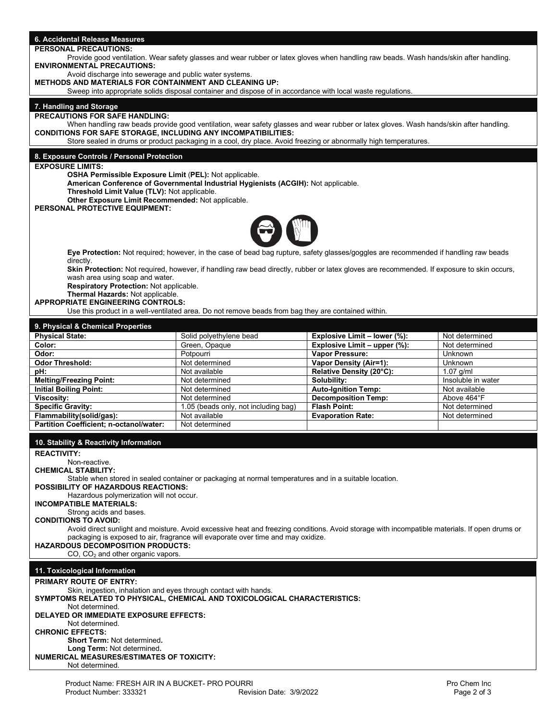| 6. Accidental Release Measures<br><b>PERSONAL PRECAUTIONS:</b>                                                                         |                                                                                                                                                                                                                                   |                                                 |                                  |
|----------------------------------------------------------------------------------------------------------------------------------------|-----------------------------------------------------------------------------------------------------------------------------------------------------------------------------------------------------------------------------------|-------------------------------------------------|----------------------------------|
| Provide good ventilation. Wear safety glasses and wear rubber or latex gloves when handling raw beads. Wash hands/skin after handling. |                                                                                                                                                                                                                                   |                                                 |                                  |
| <b>ENVIRONMENTAL PRECAUTIONS:</b>                                                                                                      |                                                                                                                                                                                                                                   |                                                 |                                  |
| Avoid discharge into sewerage and public water systems.                                                                                |                                                                                                                                                                                                                                   |                                                 |                                  |
| METHODS AND MATERIALS FOR CONTAINMENT AND CLEANING UP:                                                                                 |                                                                                                                                                                                                                                   |                                                 |                                  |
|                                                                                                                                        | Sweep into appropriate solids disposal container and dispose of in accordance with local waste regulations.                                                                                                                       |                                                 |                                  |
| 7. Handling and Storage                                                                                                                |                                                                                                                                                                                                                                   |                                                 |                                  |
| <b>PRECAUTIONS FOR SAFE HANDLING:</b>                                                                                                  |                                                                                                                                                                                                                                   |                                                 |                                  |
|                                                                                                                                        | When handling raw beads provide good ventilation, wear safety glasses and wear rubber or latex gloves. Wash hands/skin after handling.                                                                                            |                                                 |                                  |
| <b>CONDITIONS FOR SAFE STORAGE, INCLUDING ANY INCOMPATIBILITIES:</b>                                                                   |                                                                                                                                                                                                                                   |                                                 |                                  |
|                                                                                                                                        | Store sealed in drums or product packaging in a cool, dry place. Avoid freezing or abnormally high temperatures.                                                                                                                  |                                                 |                                  |
| 8. Exposure Controls / Personal Protection                                                                                             |                                                                                                                                                                                                                                   |                                                 |                                  |
| <b>EXPOSURE LIMITS:</b>                                                                                                                |                                                                                                                                                                                                                                   |                                                 |                                  |
| OSHA Permissible Exposure Limit (PEL): Not applicable.                                                                                 |                                                                                                                                                                                                                                   |                                                 |                                  |
| Threshold Limit Value (TLV): Not applicable.                                                                                           | American Conference of Governmental Industrial Hygienists (ACGIH): Not applicable.                                                                                                                                                |                                                 |                                  |
| Other Exposure Limit Recommended: Not applicable.                                                                                      |                                                                                                                                                                                                                                   |                                                 |                                  |
| <b>PERSONAL PROTECTIVE EQUIPMENT:</b>                                                                                                  |                                                                                                                                                                                                                                   |                                                 |                                  |
|                                                                                                                                        |                                                                                                                                                                                                                                   |                                                 |                                  |
|                                                                                                                                        |                                                                                                                                                                                                                                   |                                                 |                                  |
|                                                                                                                                        |                                                                                                                                                                                                                                   |                                                 |                                  |
|                                                                                                                                        | Eye Protection: Not required; however, in the case of bead bag rupture, safety glasses/goggles are recommended if handling raw beads                                                                                              |                                                 |                                  |
| directly.                                                                                                                              |                                                                                                                                                                                                                                   |                                                 |                                  |
|                                                                                                                                        | Skin Protection: Not required, however, if handling raw bead directly, rubber or latex gloves are recommended. If exposure to skin occurs,                                                                                        |                                                 |                                  |
| wash area using soap and water.                                                                                                        |                                                                                                                                                                                                                                   |                                                 |                                  |
| Respiratory Protection: Not applicable.                                                                                                |                                                                                                                                                                                                                                   |                                                 |                                  |
| Thermal Hazards: Not applicable.<br><b>APPROPRIATE ENGINEERING CONTROLS:</b>                                                           |                                                                                                                                                                                                                                   |                                                 |                                  |
|                                                                                                                                        | Use this product in a well-ventilated area. Do not remove beads from bag they are contained within.                                                                                                                               |                                                 |                                  |
|                                                                                                                                        |                                                                                                                                                                                                                                   |                                                 |                                  |
| 9. Physical & Chemical Properties                                                                                                      |                                                                                                                                                                                                                                   |                                                 |                                  |
| <b>Physical State:</b><br>Color:                                                                                                       | Solid polyethylene bead                                                                                                                                                                                                           | Explosive Limit - lower (%):                    | Not determined<br>Not determined |
| Odor:                                                                                                                                  | Green, Opaque<br>Potpourri                                                                                                                                                                                                        | Explosive Limit - upper (%):<br>Vapor Pressure: | Unknown                          |
| <b>Odor Threshold:</b>                                                                                                                 | Not determined                                                                                                                                                                                                                    | Vapor Density (Air=1):                          | Unknown                          |
| pH:                                                                                                                                    | Not available                                                                                                                                                                                                                     | Relative Density (20°C):                        | $1.07$ g/ml                      |
| <b>Melting/Freezing Point:</b>                                                                                                         | Not determined                                                                                                                                                                                                                    | Solubility:                                     | Insoluble in water               |
| <b>Initial Boiling Point:</b>                                                                                                          | Not determined                                                                                                                                                                                                                    | <b>Auto-Ignition Temp:</b>                      | Not available                    |
| <b>Viscosity:</b>                                                                                                                      | Not determined                                                                                                                                                                                                                    | <b>Decomposition Temp:</b>                      | Above 464°F                      |
| <b>Specific Gravity:</b><br>Flammability(solid/gas):                                                                                   | 1.05 (beads only, not including bag)<br>Not available                                                                                                                                                                             | <b>Flash Point:</b>                             | Not determined<br>Not determined |
| Partition Coefficient; n-octanol/water:                                                                                                | Not determined                                                                                                                                                                                                                    | <b>Evaporation Rate:</b>                        |                                  |
|                                                                                                                                        |                                                                                                                                                                                                                                   |                                                 |                                  |
| 10. Stability & Reactivity Information                                                                                                 |                                                                                                                                                                                                                                   |                                                 |                                  |
| <b>REACTIVITY:</b>                                                                                                                     |                                                                                                                                                                                                                                   |                                                 |                                  |
| Non-reactive.                                                                                                                          |                                                                                                                                                                                                                                   |                                                 |                                  |
| <b>CHEMICAL STABILITY:</b>                                                                                                             |                                                                                                                                                                                                                                   |                                                 |                                  |
|                                                                                                                                        | Stable when stored in sealed container or packaging at normal temperatures and in a suitable location.                                                                                                                            |                                                 |                                  |
| <b>POSSIBILITY OF HAZARDOUS REACTIONS:</b><br>Hazardous polymerization will not occur.                                                 |                                                                                                                                                                                                                                   |                                                 |                                  |
| <b>INCOMPATIBLE MATERIALS:</b>                                                                                                         |                                                                                                                                                                                                                                   |                                                 |                                  |
| Strong acids and bases.                                                                                                                |                                                                                                                                                                                                                                   |                                                 |                                  |
| <b>CONDITIONS TO AVOID:</b>                                                                                                            |                                                                                                                                                                                                                                   |                                                 |                                  |
|                                                                                                                                        | Avoid direct sunlight and moisture. Avoid excessive heat and freezing conditions. Avoid storage with incompatible materials. If open drums or<br>packaging is exposed to air, fragrance will evaporate over time and may oxidize. |                                                 |                                  |
| <b>HAZARDOUS DECOMPOSITION PRODUCTS:</b>                                                                                               |                                                                                                                                                                                                                                   |                                                 |                                  |
| $CO$ , $CO2$ and other organic vapors.                                                                                                 |                                                                                                                                                                                                                                   |                                                 |                                  |
|                                                                                                                                        |                                                                                                                                                                                                                                   |                                                 |                                  |
| 11. Toxicological Information                                                                                                          |                                                                                                                                                                                                                                   |                                                 |                                  |
| <b>PRIMARY ROUTE OF ENTRY:</b><br>Skin, ingestion, inhalation and eyes through contact with hands.                                     |                                                                                                                                                                                                                                   |                                                 |                                  |
| SYMPTOMS RELATED TO PHYSICAL, CHEMICAL AND TOXICOLOGICAL CHARACTERISTICS:                                                              |                                                                                                                                                                                                                                   |                                                 |                                  |
| Not determined.                                                                                                                        |                                                                                                                                                                                                                                   |                                                 |                                  |
| DELAYED OR IMMEDIATE EXPOSURE EFFECTS:                                                                                                 |                                                                                                                                                                                                                                   |                                                 |                                  |
| Not determined.                                                                                                                        |                                                                                                                                                                                                                                   |                                                 |                                  |
| <b>CHRONIC EFFECTS:</b><br><b>Short Term: Not determined.</b>                                                                          |                                                                                                                                                                                                                                   |                                                 |                                  |
| Long Term: Not determined.                                                                                                             |                                                                                                                                                                                                                                   |                                                 |                                  |
| <b>NUMERICAL MEASURES/ESTIMATES OF TOXICITY:</b>                                                                                       |                                                                                                                                                                                                                                   |                                                 |                                  |
| Not determined.                                                                                                                        |                                                                                                                                                                                                                                   |                                                 |                                  |
|                                                                                                                                        |                                                                                                                                                                                                                                   |                                                 |                                  |
| Product Name: FRESH AIR IN A BUCKET- PRO POURRI                                                                                        |                                                                                                                                                                                                                                   |                                                 | Pro Chem Inc                     |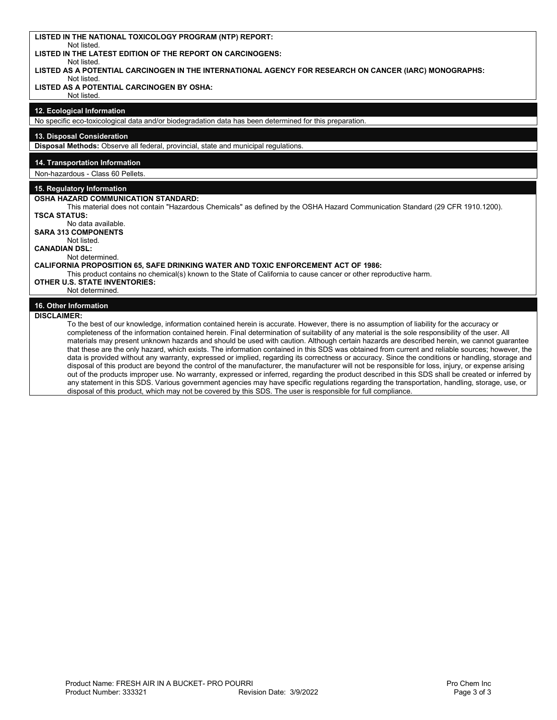| LISTED IN THE NATIONAL TOXICOLOGY PROGRAM (NTP) REPORT:<br>Not listed.                                                                                                                                                                                                                        |
|-----------------------------------------------------------------------------------------------------------------------------------------------------------------------------------------------------------------------------------------------------------------------------------------------|
| LISTED IN THE LATEST EDITION OF THE REPORT ON CARCINOGENS:                                                                                                                                                                                                                                    |
| Not listed.<br>LISTED AS A POTENTIAL CARCINOGEN IN THE INTERNATIONAL AGENCY FOR RESEARCH ON CANCER (IARC) MONOGRAPHS:                                                                                                                                                                         |
| Not listed.                                                                                                                                                                                                                                                                                   |
| LISTED AS A POTENTIAL CARCINOGEN BY OSHA:<br>Not listed.                                                                                                                                                                                                                                      |
|                                                                                                                                                                                                                                                                                               |
| 12. Ecological Information<br>No specific eco-toxicological data and/or biodegradation data has been determined for this preparation.                                                                                                                                                         |
|                                                                                                                                                                                                                                                                                               |
| 13. Disposal Consideration<br>Disposal Methods: Observe all federal, provincial, state and municipal regulations.                                                                                                                                                                             |
|                                                                                                                                                                                                                                                                                               |
| 14. Transportation Information                                                                                                                                                                                                                                                                |
| Non-hazardous - Class 60 Pellets.                                                                                                                                                                                                                                                             |
| 15. Regulatory Information                                                                                                                                                                                                                                                                    |
| OSHA HAZARD COMMUNICATION STANDARD:<br>This material does not contain "Hazardous Chemicals" as defined by the OSHA Hazard Communication Standard (29 CFR 1910.1200).                                                                                                                          |
| <b>TSCA STATUS:</b>                                                                                                                                                                                                                                                                           |
| No data available.<br><b>SARA 313 COMPONENTS</b>                                                                                                                                                                                                                                              |
| Not listed.                                                                                                                                                                                                                                                                                   |
| <b>CANADIAN DSL:</b>                                                                                                                                                                                                                                                                          |
| Not determined.<br><b>CALIFORNIA PROPOSITION 65, SAFE DRINKING WATER AND TOXIC ENFORCEMENT ACT OF 1986:</b>                                                                                                                                                                                   |
| This product contains no chemical(s) known to the State of California to cause cancer or other reproductive harm.                                                                                                                                                                             |
| <b>OTHER U.S. STATE INVENTORIES:</b><br>Not determined.                                                                                                                                                                                                                                       |
|                                                                                                                                                                                                                                                                                               |
| 16. Other Information<br><b>DISCLAIMER:</b>                                                                                                                                                                                                                                                   |
| To the best of our knowledge, information contained herein is accurate. However, there is no assumption of liability for the accuracy or                                                                                                                                                      |
| completeness of the information contained herein. Final determination of suitability of any material is the sole responsibility of the user. All                                                                                                                                              |
| materials may present unknown hazards and should be used with caution. Although certain hazards are described herein, we cannot guarantee<br>that these are the only hazard, which exists. The information contained in this SDS was obtained from current and reliable sources; however, the |
| data is provided without any warranty, expressed or implied, regarding its correctness or accuracy. Since the conditions or handling, storage and                                                                                                                                             |
| disposal of this product are beyond the control of the manufacturer, the manufacturer will not be responsible for loss, injury, or expense arising                                                                                                                                            |
| out of the products improper use. No warranty, expressed or inferred, regarding the product described in this SDS shall be created or inferred by                                                                                                                                             |

any statement in this SDS. Various government agencies may have specific regulations regarding the transportation, handling, storage, use, or

disposal of this product, which may not be covered by this SDS. The user is responsible for full compliance.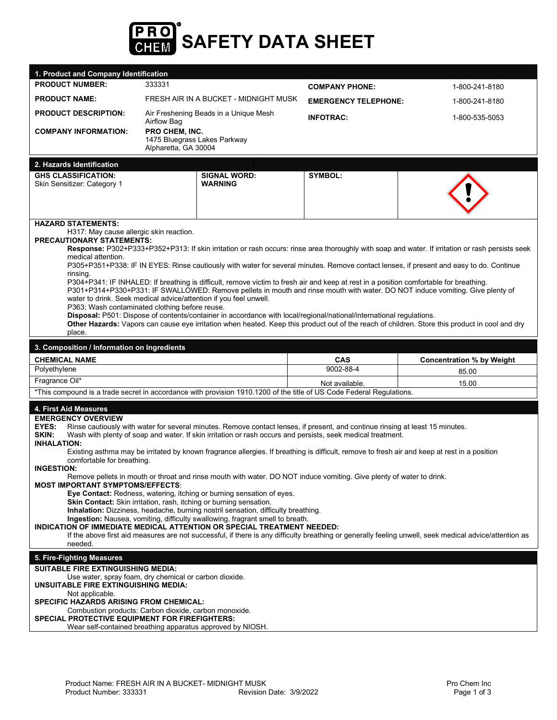

| 1. Product and Company Identification                                                                                                                                                                                                                                                                                                                                                                                                                                                                                                                                                                                                                                                                                                                                                                                                                                                                                                                                                                                                                                                             |                                                                                                                                                                                                                                                                                                                                                                                                                                                                                                                                                                                                                                                                                                                                                                                                                                                                                                                                                                                                                                                                                      |                             |                                  |  |
|---------------------------------------------------------------------------------------------------------------------------------------------------------------------------------------------------------------------------------------------------------------------------------------------------------------------------------------------------------------------------------------------------------------------------------------------------------------------------------------------------------------------------------------------------------------------------------------------------------------------------------------------------------------------------------------------------------------------------------------------------------------------------------------------------------------------------------------------------------------------------------------------------------------------------------------------------------------------------------------------------------------------------------------------------------------------------------------------------|--------------------------------------------------------------------------------------------------------------------------------------------------------------------------------------------------------------------------------------------------------------------------------------------------------------------------------------------------------------------------------------------------------------------------------------------------------------------------------------------------------------------------------------------------------------------------------------------------------------------------------------------------------------------------------------------------------------------------------------------------------------------------------------------------------------------------------------------------------------------------------------------------------------------------------------------------------------------------------------------------------------------------------------------------------------------------------------|-----------------------------|----------------------------------|--|
| <b>PRODUCT NUMBER:</b>                                                                                                                                                                                                                                                                                                                                                                                                                                                                                                                                                                                                                                                                                                                                                                                                                                                                                                                                                                                                                                                                            | 333331                                                                                                                                                                                                                                                                                                                                                                                                                                                                                                                                                                                                                                                                                                                                                                                                                                                                                                                                                                                                                                                                               | <b>COMPANY PHONE:</b>       | 1-800-241-8180                   |  |
| <b>PRODUCT NAME:</b>                                                                                                                                                                                                                                                                                                                                                                                                                                                                                                                                                                                                                                                                                                                                                                                                                                                                                                                                                                                                                                                                              | FRESH AIR IN A BUCKET - MIDNIGHT MUSK                                                                                                                                                                                                                                                                                                                                                                                                                                                                                                                                                                                                                                                                                                                                                                                                                                                                                                                                                                                                                                                | <b>EMERGENCY TELEPHONE:</b> | 1-800-241-8180                   |  |
| <b>PRODUCT DESCRIPTION:</b>                                                                                                                                                                                                                                                                                                                                                                                                                                                                                                                                                                                                                                                                                                                                                                                                                                                                                                                                                                                                                                                                       | Air Freshening Beads in a Unique Mesh<br>Airflow Bag                                                                                                                                                                                                                                                                                                                                                                                                                                                                                                                                                                                                                                                                                                                                                                                                                                                                                                                                                                                                                                 | <b>INFOTRAC:</b>            | 1-800-535-5053                   |  |
| <b>COMPANY INFORMATION:</b>                                                                                                                                                                                                                                                                                                                                                                                                                                                                                                                                                                                                                                                                                                                                                                                                                                                                                                                                                                                                                                                                       | PRO CHEM, INC.<br>1475 Bluegrass Lakes Parkway<br>Alpharetta, GA 30004                                                                                                                                                                                                                                                                                                                                                                                                                                                                                                                                                                                                                                                                                                                                                                                                                                                                                                                                                                                                               |                             |                                  |  |
| 2. Hazards Identification                                                                                                                                                                                                                                                                                                                                                                                                                                                                                                                                                                                                                                                                                                                                                                                                                                                                                                                                                                                                                                                                         |                                                                                                                                                                                                                                                                                                                                                                                                                                                                                                                                                                                                                                                                                                                                                                                                                                                                                                                                                                                                                                                                                      |                             |                                  |  |
| <b>GHS CLASSIFICATION:</b><br>Skin Sensitizer: Category 1                                                                                                                                                                                                                                                                                                                                                                                                                                                                                                                                                                                                                                                                                                                                                                                                                                                                                                                                                                                                                                         | <b>SIGNAL WORD:</b><br><b>WARNING</b>                                                                                                                                                                                                                                                                                                                                                                                                                                                                                                                                                                                                                                                                                                                                                                                                                                                                                                                                                                                                                                                | <b>SYMBOL:</b>              |                                  |  |
|                                                                                                                                                                                                                                                                                                                                                                                                                                                                                                                                                                                                                                                                                                                                                                                                                                                                                                                                                                                                                                                                                                   |                                                                                                                                                                                                                                                                                                                                                                                                                                                                                                                                                                                                                                                                                                                                                                                                                                                                                                                                                                                                                                                                                      |                             |                                  |  |
| <b>HAZARD STATEMENTS:</b>                                                                                                                                                                                                                                                                                                                                                                                                                                                                                                                                                                                                                                                                                                                                                                                                                                                                                                                                                                                                                                                                         |                                                                                                                                                                                                                                                                                                                                                                                                                                                                                                                                                                                                                                                                                                                                                                                                                                                                                                                                                                                                                                                                                      |                             |                                  |  |
| H317: May cause allergic skin reaction.<br><b>PRECAUTIONARY STATEMENTS:</b><br>Response: P302+P333+P352+P313: If skin irritation or rash occurs: rinse area thoroughly with soap and water. If irritation or rash persists seek<br>medical attention.<br>P305+P351+P338: IF IN EYES: Rinse cautiously with water for several minutes. Remove contact lenses, if present and easy to do. Continue<br>rinsing.<br>P304+P341: IF INHALED: If breathing is difficult, remove victim to fresh air and keep at rest in a position comfortable for breathing.<br>P301+P314+P330+P331: IF SWALLOWED: Remove pellets in mouth and rinse mouth with water. DO NOT induce vomiting. Give plenty of<br>water to drink. Seek medical advice/attention if you feel unwell.<br>P363: Wash contaminated clothing before reuse.<br>Disposal: P501: Dispose of contents/container in accordance with local/regional/national/international regulations.<br>Other Hazards: Vapors can cause eye irritation when heated. Keep this product out of the reach of children. Store this product in cool and dry<br>place. |                                                                                                                                                                                                                                                                                                                                                                                                                                                                                                                                                                                                                                                                                                                                                                                                                                                                                                                                                                                                                                                                                      |                             |                                  |  |
|                                                                                                                                                                                                                                                                                                                                                                                                                                                                                                                                                                                                                                                                                                                                                                                                                                                                                                                                                                                                                                                                                                   |                                                                                                                                                                                                                                                                                                                                                                                                                                                                                                                                                                                                                                                                                                                                                                                                                                                                                                                                                                                                                                                                                      |                             |                                  |  |
| 3. Composition / Information on Ingredients                                                                                                                                                                                                                                                                                                                                                                                                                                                                                                                                                                                                                                                                                                                                                                                                                                                                                                                                                                                                                                                       |                                                                                                                                                                                                                                                                                                                                                                                                                                                                                                                                                                                                                                                                                                                                                                                                                                                                                                                                                                                                                                                                                      |                             |                                  |  |
| <b>CHEMICAL NAME</b>                                                                                                                                                                                                                                                                                                                                                                                                                                                                                                                                                                                                                                                                                                                                                                                                                                                                                                                                                                                                                                                                              |                                                                                                                                                                                                                                                                                                                                                                                                                                                                                                                                                                                                                                                                                                                                                                                                                                                                                                                                                                                                                                                                                      | <b>CAS</b>                  | <b>Concentration % by Weight</b> |  |
| Polyethylene                                                                                                                                                                                                                                                                                                                                                                                                                                                                                                                                                                                                                                                                                                                                                                                                                                                                                                                                                                                                                                                                                      |                                                                                                                                                                                                                                                                                                                                                                                                                                                                                                                                                                                                                                                                                                                                                                                                                                                                                                                                                                                                                                                                                      | 9002-88-4                   | 85.00                            |  |
| Fragrance Oil*                                                                                                                                                                                                                                                                                                                                                                                                                                                                                                                                                                                                                                                                                                                                                                                                                                                                                                                                                                                                                                                                                    |                                                                                                                                                                                                                                                                                                                                                                                                                                                                                                                                                                                                                                                                                                                                                                                                                                                                                                                                                                                                                                                                                      | Not available.              | 15.00                            |  |
|                                                                                                                                                                                                                                                                                                                                                                                                                                                                                                                                                                                                                                                                                                                                                                                                                                                                                                                                                                                                                                                                                                   | *This compound is a trade secret in accordance with provision 1910.1200 of the title of US Code Federal Regulations.                                                                                                                                                                                                                                                                                                                                                                                                                                                                                                                                                                                                                                                                                                                                                                                                                                                                                                                                                                 |                             |                                  |  |
| 4. First Aid Measures<br><b>EMERGENCY OVERVIEW</b><br><b>EYES:</b><br>SKIN:<br><b>INHALATION:</b><br>comfortable for breathing.<br><b>INGESTION:</b><br><b>MOST IMPORTANT SYMPTOMS/EFFECTS:</b>                                                                                                                                                                                                                                                                                                                                                                                                                                                                                                                                                                                                                                                                                                                                                                                                                                                                                                   | Rinse cautiously with water for several minutes. Remove contact lenses, if present, and continue rinsing at least 15 minutes.<br>Wash with plenty of soap and water. If skin irritation or rash occurs and persists, seek medical treatment.<br>Existing asthma may be irritated by known fragrance allergies. If breathing is difficult, remove to fresh air and keep at rest in a position<br>Remove pellets in mouth or throat and rinse mouth with water. DO NOT induce vomiting. Give plenty of water to drink.<br>Eye Contact: Redness, watering, itching or burning sensation of eyes.<br>Skin Contact: Skin irritation, rash, itching or burning sensation.<br><b>Inhalation:</b> Dizziness, headache, burning nostril sensation, difficulty breathing.<br>Ingestion: Nausea, vomiting, difficulty swallowing, fragrant smell to breath.<br>INDICATION OF IMMEDIATE MEDICAL ATTENTION OR SPECIAL TREATMENT NEEDED:<br>If the above first aid measures are not successful, if there is any difficulty breathing or generally feeling unwell, seek medical advice/attention as |                             |                                  |  |
| needed.                                                                                                                                                                                                                                                                                                                                                                                                                                                                                                                                                                                                                                                                                                                                                                                                                                                                                                                                                                                                                                                                                           |                                                                                                                                                                                                                                                                                                                                                                                                                                                                                                                                                                                                                                                                                                                                                                                                                                                                                                                                                                                                                                                                                      |                             |                                  |  |
| 5. Fire-Fighting Measures<br><b>SUITABLE FIRE EXTINGUISHING MEDIA:</b><br><b>UNSUITABLE FIRE EXTINGUISHING MEDIA:</b><br>Not applicable.<br>SPECIFIC HAZARDS ARISING FROM CHEMICAL:<br><b>SPECIAL PROTECTIVE EQUIPMENT FOR FIREFIGHTERS:</b>                                                                                                                                                                                                                                                                                                                                                                                                                                                                                                                                                                                                                                                                                                                                                                                                                                                      | Use water, spray foam, dry chemical or carbon dioxide.<br>Combustion products: Carbon dioxide, carbon monoxide.                                                                                                                                                                                                                                                                                                                                                                                                                                                                                                                                                                                                                                                                                                                                                                                                                                                                                                                                                                      |                             |                                  |  |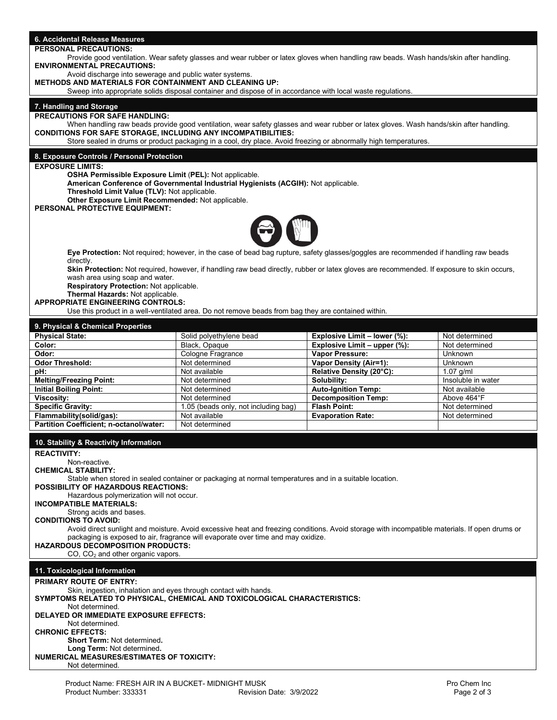| 6. Accidental Release Measures                                                                                                         |                                                                                                                                               |                               |                    |
|----------------------------------------------------------------------------------------------------------------------------------------|-----------------------------------------------------------------------------------------------------------------------------------------------|-------------------------------|--------------------|
| <b>PERSONAL PRECAUTIONS:</b>                                                                                                           |                                                                                                                                               |                               |                    |
| Provide good ventilation. Wear safety glasses and wear rubber or latex gloves when handling raw beads. Wash hands/skin after handling. |                                                                                                                                               |                               |                    |
| <b>ENVIRONMENTAL PRECAUTIONS:</b>                                                                                                      |                                                                                                                                               |                               |                    |
| Avoid discharge into sewerage and public water systems.                                                                                |                                                                                                                                               |                               |                    |
| METHODS AND MATERIALS FOR CONTAINMENT AND CLEANING UP:                                                                                 |                                                                                                                                               |                               |                    |
|                                                                                                                                        | Sweep into appropriate solids disposal container and dispose of in accordance with local waste regulations.                                   |                               |                    |
| 7. Handling and Storage                                                                                                                |                                                                                                                                               |                               |                    |
| <b>PRECAUTIONS FOR SAFE HANDLING:</b>                                                                                                  |                                                                                                                                               |                               |                    |
|                                                                                                                                        | When handling raw beads provide good ventilation, wear safety glasses and wear rubber or latex gloves. Wash hands/skin after handling.        |                               |                    |
| <b>CONDITIONS FOR SAFE STORAGE, INCLUDING ANY INCOMPATIBILITIES:</b>                                                                   |                                                                                                                                               |                               |                    |
|                                                                                                                                        | Store sealed in drums or product packaging in a cool, dry place. Avoid freezing or abnormally high temperatures.                              |                               |                    |
|                                                                                                                                        |                                                                                                                                               |                               |                    |
| 8. Exposure Controls / Personal Protection                                                                                             |                                                                                                                                               |                               |                    |
| <b>EXPOSURE LIMITS:</b>                                                                                                                |                                                                                                                                               |                               |                    |
| OSHA Permissible Exposure Limit (PEL): Not applicable.                                                                                 | American Conference of Governmental Industrial Hygienists (ACGIH): Not applicable.                                                            |                               |                    |
| Threshold Limit Value (TLV): Not applicable.                                                                                           |                                                                                                                                               |                               |                    |
| Other Exposure Limit Recommended: Not applicable.                                                                                      |                                                                                                                                               |                               |                    |
| <b>PERSONAL PROTECTIVE EQUIPMENT:</b>                                                                                                  |                                                                                                                                               |                               |                    |
|                                                                                                                                        |                                                                                                                                               |                               |                    |
|                                                                                                                                        |                                                                                                                                               |                               |                    |
|                                                                                                                                        |                                                                                                                                               |                               |                    |
|                                                                                                                                        |                                                                                                                                               |                               |                    |
|                                                                                                                                        | Eye Protection: Not required; however, in the case of bead bag rupture, safety glasses/goggles are recommended if handling raw beads          |                               |                    |
| directly.                                                                                                                              |                                                                                                                                               |                               |                    |
|                                                                                                                                        | Skin Protection: Not required, however, if handling raw bead directly, rubber or latex gloves are recommended. If exposure to skin occurs,    |                               |                    |
| wash area using soap and water.                                                                                                        |                                                                                                                                               |                               |                    |
| Respiratory Protection: Not applicable.                                                                                                |                                                                                                                                               |                               |                    |
| Thermal Hazards: Not applicable.                                                                                                       |                                                                                                                                               |                               |                    |
| <b>APPROPRIATE ENGINEERING CONTROLS:</b>                                                                                               |                                                                                                                                               |                               |                    |
|                                                                                                                                        | Use this product in a well-ventilated area. Do not remove beads from bag they are contained within.                                           |                               |                    |
| 9. Physical & Chemical Properties                                                                                                      |                                                                                                                                               |                               |                    |
| <b>Physical State:</b>                                                                                                                 | Solid polyethylene bead                                                                                                                       | Explosive Limit - lower (%):  | Not determined     |
| Color:                                                                                                                                 | Black, Opaque                                                                                                                                 | Explosive Limit - upper (%):  | Not determined     |
| Odor:                                                                                                                                  | Cologne Fragrance                                                                                                                             | Vapor Pressure:               | Unknown            |
| <b>Odor Threshold:</b>                                                                                                                 | Not determined                                                                                                                                | <b>Vapor Density (Air=1):</b> | <b>Unknown</b>     |
| pH:                                                                                                                                    | Not available                                                                                                                                 | Relative Density (20°C):      | $1.07$ g/ml        |
| <b>Melting/Freezing Point:</b>                                                                                                         | Not determined                                                                                                                                | Solubility:                   | Insoluble in water |
| <b>Initial Boiling Point:</b>                                                                                                          | Not determined                                                                                                                                | <b>Auto-Ignition Temp:</b>    | Not available      |
| <b>Viscosity:</b>                                                                                                                      | Not determined                                                                                                                                | <b>Decomposition Temp:</b>    | Above 464°F        |
| <b>Specific Gravity:</b>                                                                                                               | 1.05 (beads only, not including bag)                                                                                                          | <b>Flash Point:</b>           | Not determined     |
| Flammability(solid/gas):                                                                                                               | Not available                                                                                                                                 | <b>Evaporation Rate:</b>      | Not determined     |
| Partition Coefficient; n-octanol/water:                                                                                                | Not determined                                                                                                                                |                               |                    |
|                                                                                                                                        |                                                                                                                                               |                               |                    |
| 10. Stability & Reactivity Information                                                                                                 |                                                                                                                                               |                               |                    |
| <b>REACTIVITY:</b>                                                                                                                     |                                                                                                                                               |                               |                    |
| Non-reactive.                                                                                                                          |                                                                                                                                               |                               |                    |
| <b>CHEMICAL STABILITY:</b>                                                                                                             |                                                                                                                                               |                               |                    |
|                                                                                                                                        | Stable when stored in sealed container or packaging at normal temperatures and in a suitable location.                                        |                               |                    |
| <b>POSSIBILITY OF HAZARDOUS REACTIONS:</b>                                                                                             |                                                                                                                                               |                               |                    |
| Hazardous polymerization will not occur.                                                                                               |                                                                                                                                               |                               |                    |
| <b>INCOMPATIBLE MATERIALS:</b><br>Strong acids and bases.                                                                              |                                                                                                                                               |                               |                    |
| <b>CONDITIONS TO AVOID:</b>                                                                                                            |                                                                                                                                               |                               |                    |
|                                                                                                                                        | Avoid direct sunlight and moisture. Avoid excessive heat and freezing conditions. Avoid storage with incompatible materials. If open drums or |                               |                    |
|                                                                                                                                        | packaging is exposed to air, fragrance will evaporate over time and may oxidize.                                                              |                               |                    |
| <b>HAZARDOUS DECOMPOSITION PRODUCTS:</b>                                                                                               |                                                                                                                                               |                               |                    |
| $CO$ , $CO2$ and other organic vapors.                                                                                                 |                                                                                                                                               |                               |                    |
|                                                                                                                                        |                                                                                                                                               |                               |                    |
| 11. Toxicological Information                                                                                                          |                                                                                                                                               |                               |                    |
| <b>PRIMARY ROUTE OF ENTRY:</b>                                                                                                         |                                                                                                                                               |                               |                    |
| Skin, ingestion, inhalation and eyes through contact with hands.                                                                       |                                                                                                                                               |                               |                    |
| SYMPTOMS RELATED TO PHYSICAL, CHEMICAL AND TOXICOLOGICAL CHARACTERISTICS:                                                              |                                                                                                                                               |                               |                    |
| Not determined.                                                                                                                        |                                                                                                                                               |                               |                    |
| DELAYED OR IMMEDIATE EXPOSURE EFFECTS:                                                                                                 |                                                                                                                                               |                               |                    |
| Not determined.<br><b>CHRONIC EFFECTS:</b>                                                                                             |                                                                                                                                               |                               |                    |
| <b>Short Term: Not determined.</b>                                                                                                     |                                                                                                                                               |                               |                    |
| Long Term: Not determined.                                                                                                             |                                                                                                                                               |                               |                    |
| <b>NUMERICAL MEASURES/ESTIMATES OF TOXICITY:</b>                                                                                       |                                                                                                                                               |                               |                    |
| Not determined.                                                                                                                        |                                                                                                                                               |                               |                    |
|                                                                                                                                        |                                                                                                                                               |                               |                    |
| Product Name: FRESH AIR IN A BUCKET- MIDNIGHT MUSK                                                                                     |                                                                                                                                               |                               | Pro Chem Inc       |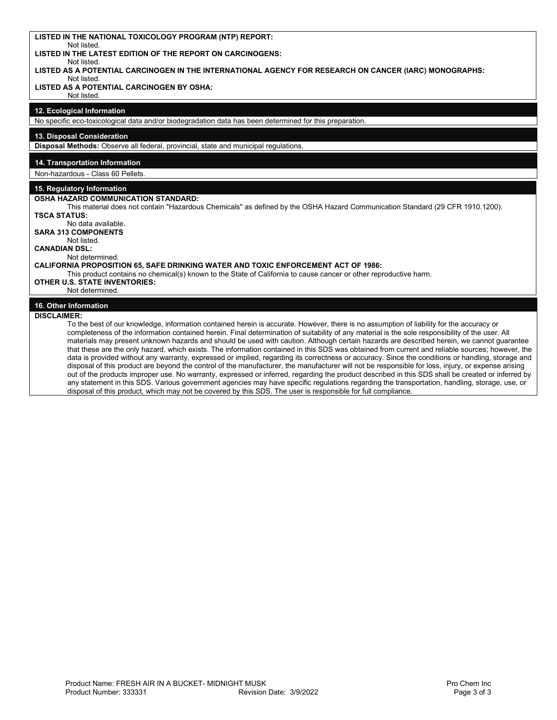| LISTED IN THE NATIONAL TOXICOLOGY PROGRAM (NTP) REPORT:<br>Not listed.                                                                                                                                                                                                                        |
|-----------------------------------------------------------------------------------------------------------------------------------------------------------------------------------------------------------------------------------------------------------------------------------------------|
| LISTED IN THE LATEST EDITION OF THE REPORT ON CARCINOGENS:                                                                                                                                                                                                                                    |
| Not listed.<br>LISTED AS A POTENTIAL CARCINOGEN IN THE INTERNATIONAL AGENCY FOR RESEARCH ON CANCER (IARC) MONOGRAPHS:                                                                                                                                                                         |
| Not listed.                                                                                                                                                                                                                                                                                   |
| LISTED AS A POTENTIAL CARCINOGEN BY OSHA:<br>Not listed.                                                                                                                                                                                                                                      |
|                                                                                                                                                                                                                                                                                               |
| 12. Ecological Information<br>No specific eco-toxicological data and/or biodegradation data has been determined for this preparation.                                                                                                                                                         |
|                                                                                                                                                                                                                                                                                               |
| 13. Disposal Consideration<br>Disposal Methods: Observe all federal, provincial, state and municipal regulations.                                                                                                                                                                             |
|                                                                                                                                                                                                                                                                                               |
| 14. Transportation Information                                                                                                                                                                                                                                                                |
| Non-hazardous - Class 60 Pellets.                                                                                                                                                                                                                                                             |
| 15. Regulatory Information                                                                                                                                                                                                                                                                    |
| OSHA HAZARD COMMUNICATION STANDARD:<br>This material does not contain "Hazardous Chemicals" as defined by the OSHA Hazard Communication Standard (29 CFR 1910.1200).                                                                                                                          |
| <b>TSCA STATUS:</b>                                                                                                                                                                                                                                                                           |
| No data available.<br><b>SARA 313 COMPONENTS</b>                                                                                                                                                                                                                                              |
| Not listed.                                                                                                                                                                                                                                                                                   |
| <b>CANADIAN DSL:</b>                                                                                                                                                                                                                                                                          |
| Not determined.<br><b>CALIFORNIA PROPOSITION 65, SAFE DRINKING WATER AND TOXIC ENFORCEMENT ACT OF 1986:</b>                                                                                                                                                                                   |
| This product contains no chemical(s) known to the State of California to cause cancer or other reproductive harm.                                                                                                                                                                             |
| <b>OTHER U.S. STATE INVENTORIES:</b><br>Not determined.                                                                                                                                                                                                                                       |
|                                                                                                                                                                                                                                                                                               |
| 16. Other Information<br><b>DISCLAIMER:</b>                                                                                                                                                                                                                                                   |
| To the best of our knowledge, information contained herein is accurate. However, there is no assumption of liability for the accuracy or                                                                                                                                                      |
| completeness of the information contained herein. Final determination of suitability of any material is the sole responsibility of the user. All                                                                                                                                              |
| materials may present unknown hazards and should be used with caution. Although certain hazards are described herein, we cannot guarantee<br>that these are the only hazard, which exists. The information contained in this SDS was obtained from current and reliable sources; however, the |
| data is provided without any warranty, expressed or implied, regarding its correctness or accuracy. Since the conditions or handling, storage and                                                                                                                                             |
| disposal of this product are beyond the control of the manufacturer, the manufacturer will not be responsible for loss, injury, or expense arising                                                                                                                                            |
| out of the products improper use. No warranty, expressed or inferred, regarding the product described in this SDS shall be created or inferred by                                                                                                                                             |

any statement in this SDS. Various government agencies may have specific regulations regarding the transportation, handling, storage, use, or

disposal of this product, which may not be covered by this SDS. The user is responsible for full compliance.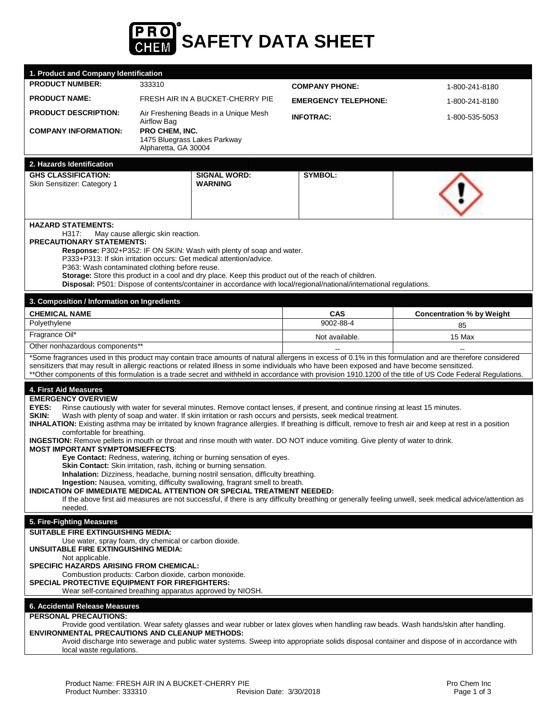

| 1. Product and Company Identification                                                                                                                                                                                                                                                                                                                                                                                                                                                                                                                                                                                                                                                                                                                                                                                                                                                                                                                                                                                                                                                                                                                                                                                                                                   |                                                                                                                                                                                                                                                                                                                                                                                                                                                                    |                             |                                  |  |
|-------------------------------------------------------------------------------------------------------------------------------------------------------------------------------------------------------------------------------------------------------------------------------------------------------------------------------------------------------------------------------------------------------------------------------------------------------------------------------------------------------------------------------------------------------------------------------------------------------------------------------------------------------------------------------------------------------------------------------------------------------------------------------------------------------------------------------------------------------------------------------------------------------------------------------------------------------------------------------------------------------------------------------------------------------------------------------------------------------------------------------------------------------------------------------------------------------------------------------------------------------------------------|--------------------------------------------------------------------------------------------------------------------------------------------------------------------------------------------------------------------------------------------------------------------------------------------------------------------------------------------------------------------------------------------------------------------------------------------------------------------|-----------------------------|----------------------------------|--|
| <b>PRODUCT NUMBER:</b>                                                                                                                                                                                                                                                                                                                                                                                                                                                                                                                                                                                                                                                                                                                                                                                                                                                                                                                                                                                                                                                                                                                                                                                                                                                  | 333310                                                                                                                                                                                                                                                                                                                                                                                                                                                             | <b>COMPANY PHONE:</b>       | 1-800-241-8180                   |  |
| <b>PRODUCT NAME:</b>                                                                                                                                                                                                                                                                                                                                                                                                                                                                                                                                                                                                                                                                                                                                                                                                                                                                                                                                                                                                                                                                                                                                                                                                                                                    | FRESH AIR IN A BUCKET-CHERRY PIE                                                                                                                                                                                                                                                                                                                                                                                                                                   | <b>EMERGENCY TELEPHONE:</b> | 1-800-241-8180                   |  |
| <b>PRODUCT DESCRIPTION:</b>                                                                                                                                                                                                                                                                                                                                                                                                                                                                                                                                                                                                                                                                                                                                                                                                                                                                                                                                                                                                                                                                                                                                                                                                                                             | Air Freshening Beads in a Unique Mesh<br>Airflow Bag                                                                                                                                                                                                                                                                                                                                                                                                               | <b>INFOTRAC:</b>            | 1-800-535-5053                   |  |
| <b>COMPANY INFORMATION:</b>                                                                                                                                                                                                                                                                                                                                                                                                                                                                                                                                                                                                                                                                                                                                                                                                                                                                                                                                                                                                                                                                                                                                                                                                                                             | PRO CHEM, INC.<br>1475 Bluegrass Lakes Parkway<br>Alpharetta, GA 30004                                                                                                                                                                                                                                                                                                                                                                                             |                             |                                  |  |
| 2. Hazards Identification                                                                                                                                                                                                                                                                                                                                                                                                                                                                                                                                                                                                                                                                                                                                                                                                                                                                                                                                                                                                                                                                                                                                                                                                                                               |                                                                                                                                                                                                                                                                                                                                                                                                                                                                    |                             |                                  |  |
| <b>GHS CLASSIFICATION:</b><br>Skin Sensitizer: Category 1                                                                                                                                                                                                                                                                                                                                                                                                                                                                                                                                                                                                                                                                                                                                                                                                                                                                                                                                                                                                                                                                                                                                                                                                               | <b>SIGNAL WORD:</b><br><b>WARNING</b>                                                                                                                                                                                                                                                                                                                                                                                                                              | <b>SYMBOL:</b>              |                                  |  |
| <b>HAZARD STATEMENTS:</b><br>H317:<br><b>PRECAUTIONARY STATEMENTS:</b>                                                                                                                                                                                                                                                                                                                                                                                                                                                                                                                                                                                                                                                                                                                                                                                                                                                                                                                                                                                                                                                                                                                                                                                                  | May cause allergic skin reaction.<br>Response: P302+P352: IF ON SKIN: Wash with plenty of soap and water.<br>P333+P313: If skin irritation occurs: Get medical attention/advice.<br>P363: Wash contaminated clothing before reuse.<br>Storage: Store this product in a cool and dry place. Keep this product out of the reach of children.<br>Disposal: P501: Dispose of contents/container in accordance with local/regional/national/international regulations.  |                             |                                  |  |
| 3. Composition / Information on Ingredients                                                                                                                                                                                                                                                                                                                                                                                                                                                                                                                                                                                                                                                                                                                                                                                                                                                                                                                                                                                                                                                                                                                                                                                                                             |                                                                                                                                                                                                                                                                                                                                                                                                                                                                    |                             |                                  |  |
| <b>CHEMICAL NAME</b><br>Polyethylene                                                                                                                                                                                                                                                                                                                                                                                                                                                                                                                                                                                                                                                                                                                                                                                                                                                                                                                                                                                                                                                                                                                                                                                                                                    |                                                                                                                                                                                                                                                                                                                                                                                                                                                                    | <b>CAS</b><br>9002-88-4     | <b>Concentration % by Weight</b> |  |
| Fragrance Oil*                                                                                                                                                                                                                                                                                                                                                                                                                                                                                                                                                                                                                                                                                                                                                                                                                                                                                                                                                                                                                                                                                                                                                                                                                                                          |                                                                                                                                                                                                                                                                                                                                                                                                                                                                    |                             | 85                               |  |
| Other nonhazardous components**                                                                                                                                                                                                                                                                                                                                                                                                                                                                                                                                                                                                                                                                                                                                                                                                                                                                                                                                                                                                                                                                                                                                                                                                                                         |                                                                                                                                                                                                                                                                                                                                                                                                                                                                    | Not available.              | 15 Max                           |  |
|                                                                                                                                                                                                                                                                                                                                                                                                                                                                                                                                                                                                                                                                                                                                                                                                                                                                                                                                                                                                                                                                                                                                                                                                                                                                         | *Some fragrances used in this product may contain trace amounts of natural allergens in excess of 0.1% in this formulation and are therefore considered<br>sensitizers that may result in allergic reactions or related illness in some individuals who have been exposed and have become sensitized.<br>**Other components of this formulation is a trade secret and withheld in accordance with provision 1910.1200 of the title of US Code Federal Regulations. |                             |                                  |  |
| 4. First Aid Measures<br><b>EMERGENCY OVERVIEW</b><br>EYES:<br>Rinse cautiously with water for several minutes. Remove contact lenses, if present, and continue rinsing at least 15 minutes.<br>SKIN:<br>Wash with plenty of soap and water. If skin irritation or rash occurs and persists, seek medical treatment.<br>INHALATION: Existing asthma may be irritated by known fragrance allergies. If breathing is difficult, remove to fresh air and keep at rest in a position<br>comfortable for breathing.<br>INGESTION: Remove pellets in mouth or throat and rinse mouth with water. DO NOT induce vomiting. Give plenty of water to drink.<br><b>MOST IMPORTANT SYMPTOMS/EFFECTS:</b><br>Eye Contact: Redness, watering, itching or burning sensation of eyes.<br>Skin Contact: Skin irritation, rash, itching or burning sensation.<br><b>Inhalation:</b> Dizziness, headache, burning nostril sensation, difficulty breathing.<br>Ingestion: Nausea, vomiting, difficulty swallowing, fragrant smell to breath.<br>INDICATION OF IMMEDIATE MEDICAL ATTENTION OR SPECIAL TREATMENT NEEDED:<br>If the above first aid measures are not successful, if there is any difficulty breathing or generally feeling unwell, seek medical advice/attention as<br>needed. |                                                                                                                                                                                                                                                                                                                                                                                                                                                                    |                             |                                  |  |
| 5. Fire-Fighting Measures<br><b>SUITABLE FIRE EXTINGUISHING MEDIA:</b><br>Use water, spray foam, dry chemical or carbon dioxide.<br>UNSUITABLE FIRE EXTINGUISHING MEDIA:<br>Not applicable.<br>SPECIFIC HAZARDS ARISING FROM CHEMICAL:<br>Combustion products: Carbon dioxide, carbon monoxide.<br>SPECIAL PROTECTIVE EQUIPMENT FOR FIREFIGHTERS:<br>Wear self-contained breathing apparatus approved by NIOSH.                                                                                                                                                                                                                                                                                                                                                                                                                                                                                                                                                                                                                                                                                                                                                                                                                                                         |                                                                                                                                                                                                                                                                                                                                                                                                                                                                    |                             |                                  |  |
| 6. Accidental Release Measures<br><b>PERSONAL PRECAUTIONS:</b><br>Provide good ventilation. Wear safety glasses and wear rubber or latex gloves when handling raw beads. Wash hands/skin after handling.<br><b>ENVIRONMENTAL PRECAUTIONS AND CLEANUP METHODS:</b><br>Avoid discharge into sewerage and public water systems. Sweep into appropriate solids disposal container and dispose of in accordance with<br>local waste regulations.                                                                                                                                                                                                                                                                                                                                                                                                                                                                                                                                                                                                                                                                                                                                                                                                                             |                                                                                                                                                                                                                                                                                                                                                                                                                                                                    |                             |                                  |  |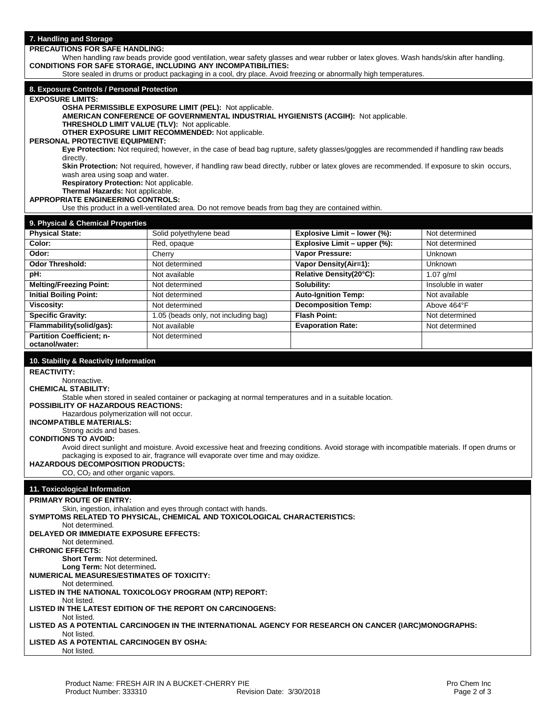**PRECAUTIONS FOR SAFE HANDLING:** 

When handling raw beads provide good ventilation, wear safety glasses and wear rubber or latex gloves. Wash hands/skin after handling. **CONDITIONS FOR SAFE STORAGE, INCLUDING ANY INCOMPATIBILITIES:** 

Store sealed in drums or product packaging in a cool, dry place. Avoid freezing or abnormally high temperatures.

# **8. Exposure Controls / Personal Protection**

**EXPOSURE LIMITS:**

**OSHA PERMISSIBLE EXPOSURE LIMIT (PEL):** Not applicable.

**AMERICAN CONFERENCE OF GOVERNMENTAL INDUSTRIAL HYGIENISTS (ACGIH):** Not applicable.

**THRESHOLD LIMIT VALUE (TLV):** Not applicable.

**OTHER EXPOSURE LIMIT RECOMMENDED:** Not applicable.

**PERSONAL PROTECTIVE EQUIPMENT:**

**Eye Protection:** Not required; however, in the case of bead bag rupture, safety glasses/goggles are recommended if handling raw beads directly.

Skin Protection: Not required, however, if handling raw bead directly, rubber or latex gloves are recommended. If exposure to skin occurs, wash area using soap and water.

**Respiratory Protection:** Not applicable.

**Thermal Hazards:** Not applicable. **APPROPRIATE ENGINEERING CONTROLS:**

Use this product in a well-ventilated area. Do not remove beads from bag they are contained within.

| 9. Physical & Chemical Properties                  |                                      |                              |                    |
|----------------------------------------------------|--------------------------------------|------------------------------|--------------------|
| <b>Physical State:</b>                             | Solid polyethylene bead              | Explosive Limit - lower (%): | Not determined     |
| Color:                                             | Red, opaque                          | Explosive Limit - upper (%): | Not determined     |
| Odor:                                              | Cherry                               | <b>Vapor Pressure:</b>       | <b>Unknown</b>     |
| <b>Odor Threshold:</b>                             | Not determined                       | Vapor Density(Air=1):        | Unknown            |
| pH:                                                | Not available                        | Relative Density(20°C):      | $1.07$ g/ml        |
| <b>Melting/Freezing Point:</b>                     | Not determined                       | Solubility:                  | Insoluble in water |
| <b>Initial Boiling Point:</b>                      | Not determined                       | <b>Auto-Ignition Temp:</b>   | Not available      |
| <b>Viscosity:</b>                                  | Not determined                       | <b>Decomposition Temp:</b>   | Above 464°F        |
| <b>Specific Gravity:</b>                           | 1.05 (beads only, not including bag) | <b>Flash Point:</b>          | Not determined     |
| Flammability(solid/gas):                           | Not available                        | <b>Evaporation Rate:</b>     | Not determined     |
| <b>Partition Coefficient; n-</b><br>octanol/water: | Not determined                       |                              |                    |

# **10. Stability & Reactivity Information**

**REACTIVITY:**

Nonreactive. **CHEMICAL STABILITY:** 

Stable when stored in sealed container or packaging at normal temperatures and in a suitable location.

**POSSIBILITY OF HAZARDOUS REACTIONS:** 

Hazardous polymerization will not occur.

**INCOMPATIBLE MATERIALS:**

Strong acids and bases.

**CONDITIONS TO AVOID:** 

Avoid direct sunlight and moisture. Avoid excessive heat and freezing conditions. Avoid storage with incompatible materials. If open drums or packaging is exposed to air, fragrance will evaporate over time and may oxidize.

**HAZARDOUS DECOMPOSITION PRODUCTS:** CO, CO<sub>2</sub> and other organic vapors.

# **11. Toxicological Information**

**PRIMARY ROUTE OF ENTRY:** Skin, ingestion, inhalation and eyes through contact with hands. **SYMPTOMS RELATED TO PHYSICAL, CHEMICAL AND TOXICOLOGICAL CHARACTERISTICS:**  Not determined. **DELAYED OR IMMEDIATE EXPOSURE EFFECTS:** Not determined.

**CHRONIC EFFECTS:**

**Short Term:** Not determined**.**

**Long Term:** Not determined**.**

**NUMERICAL MEASURES/ESTIMATES OF TOXICITY:**

Not determined.

**LISTED IN THE NATIONAL TOXICOLOGY PROGRAM (NTP) REPORT:**

Not listed.

**LISTED IN THE LATEST EDITION OF THE REPORT ON CARCINOGENS:** Not listed.

**LISTED AS A POTENTIAL CARCINOGEN IN THE INTERNATIONAL AGENCY FOR RESEARCH ON CANCER (IARC)MONOGRAPHS:**

#### Not listed. **LISTED AS A POTENTIAL CARCINOGEN BY OSHA:**

Not listed.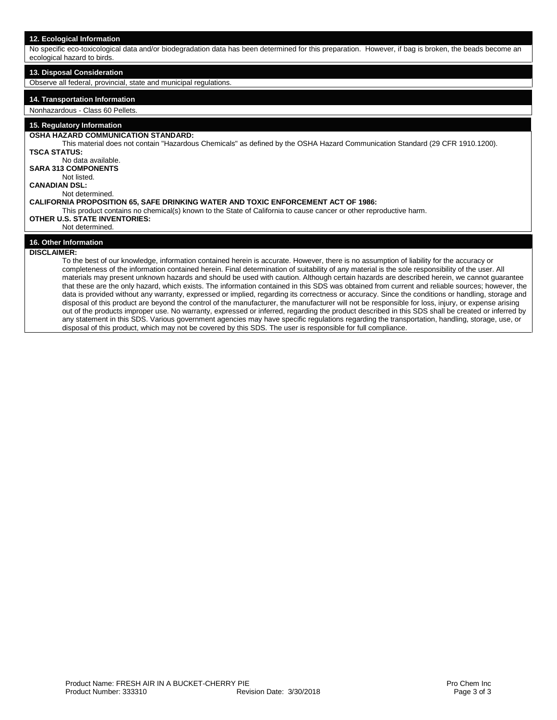No specific eco-toxicological data and/or biodegradation data has been determined for this preparation. However, if bag is broken, the beads become an ecological hazard to birds.

# **13. Disposal Consideration**

Observe all federal, provincial, state and municipal regulations.

# **14. Transportation Information**

# Nonhazardous - Class 60 Pellets.

# **15. Regulatory Information**

**OSHA HAZARD COMMUNICATION STANDARD:** 

This material does not contain "Hazardous Chemicals" as defined by the OSHA Hazard Communication Standard (29 CFR 1910.1200). **TSCA STATUS:** No data available. **SARA 313 COMPONENTS**

Not listed.

# **CANADIAN DSL:**

Not determined.

**CALIFORNIA PROPOSITION 65, SAFE DRINKING WATER AND TOXIC ENFORCEMENT ACT OF 1986:** 

This product contains no chemical(s) known to the State of California to cause cancer or other reproductive harm.

# **OTHER U.S. STATE INVENTORIES:**

#### Not determined.

# **16. Other Information**

# **DISCLAIMER:**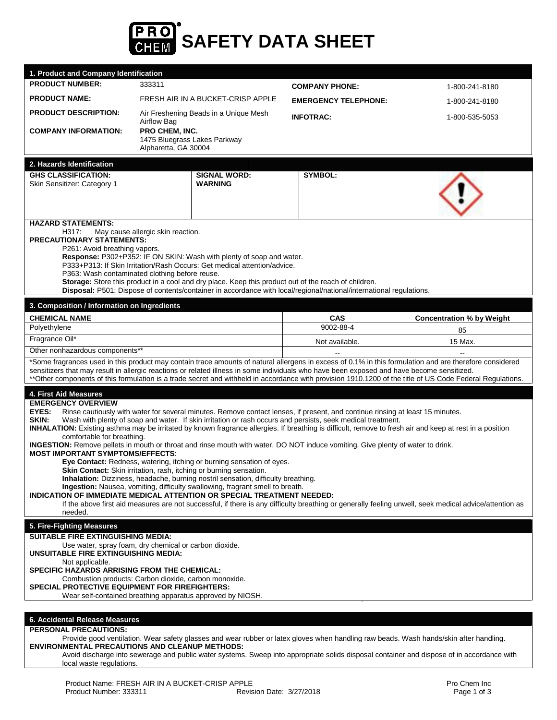

| 1. Product and Company Identification                                                                                                                                                                                                                                                                 |                                                      |                                                                                   |                                                                                                                                                                                                                                              |                                                                                                                                                                 |
|-------------------------------------------------------------------------------------------------------------------------------------------------------------------------------------------------------------------------------------------------------------------------------------------------------|------------------------------------------------------|-----------------------------------------------------------------------------------|----------------------------------------------------------------------------------------------------------------------------------------------------------------------------------------------------------------------------------------------|-----------------------------------------------------------------------------------------------------------------------------------------------------------------|
| <b>PRODUCT NUMBER:</b>                                                                                                                                                                                                                                                                                | 333311                                               |                                                                                   | <b>COMPANY PHONE:</b>                                                                                                                                                                                                                        | 1-800-241-8180                                                                                                                                                  |
| <b>PRODUCT NAME:</b>                                                                                                                                                                                                                                                                                  |                                                      | FRESH AIR IN A BUCKET-CRISP APPLE                                                 | <b>EMERGENCY TELEPHONE:</b>                                                                                                                                                                                                                  | 1-800-241-8180                                                                                                                                                  |
| <b>PRODUCT DESCRIPTION:</b>                                                                                                                                                                                                                                                                           |                                                      | Air Freshening Beads in a Unique Mesh                                             | <b>INFOTRAC:</b>                                                                                                                                                                                                                             | 1-800-535-5053                                                                                                                                                  |
| <b>COMPANY INFORMATION:</b>                                                                                                                                                                                                                                                                           | Airflow Bag<br>PRO CHEM. INC.                        |                                                                                   |                                                                                                                                                                                                                                              |                                                                                                                                                                 |
|                                                                                                                                                                                                                                                                                                       | 1475 Bluegrass Lakes Parkway<br>Alpharetta, GA 30004 |                                                                                   |                                                                                                                                                                                                                                              |                                                                                                                                                                 |
| 2. Hazards Identification                                                                                                                                                                                                                                                                             |                                                      |                                                                                   |                                                                                                                                                                                                                                              |                                                                                                                                                                 |
| <b>GHS CLASSIFICATION:</b>                                                                                                                                                                                                                                                                            |                                                      | <b>SIGNAL WORD:</b>                                                               | <b>SYMBOL:</b>                                                                                                                                                                                                                               |                                                                                                                                                                 |
| Skin Sensitizer: Category 1                                                                                                                                                                                                                                                                           |                                                      | <b>WARNING</b>                                                                    |                                                                                                                                                                                                                                              |                                                                                                                                                                 |
|                                                                                                                                                                                                                                                                                                       |                                                      |                                                                                   |                                                                                                                                                                                                                                              |                                                                                                                                                                 |
|                                                                                                                                                                                                                                                                                                       |                                                      |                                                                                   |                                                                                                                                                                                                                                              |                                                                                                                                                                 |
| <b>HAZARD STATEMENTS:</b>                                                                                                                                                                                                                                                                             |                                                      |                                                                                   |                                                                                                                                                                                                                                              |                                                                                                                                                                 |
| H317:                                                                                                                                                                                                                                                                                                 | May cause allergic skin reaction.                    |                                                                                   |                                                                                                                                                                                                                                              |                                                                                                                                                                 |
| PRECAUTIONARY STATEMENTS:<br>P261: Avoid breathing vapors.                                                                                                                                                                                                                                            |                                                      |                                                                                   |                                                                                                                                                                                                                                              |                                                                                                                                                                 |
|                                                                                                                                                                                                                                                                                                       |                                                      | Response: P302+P352: IF ON SKIN: Wash with plenty of soap and water.              |                                                                                                                                                                                                                                              |                                                                                                                                                                 |
| P363: Wash contaminated clothing before reuse.                                                                                                                                                                                                                                                        |                                                      | P333+P313: If Skin Irritation/Rash Occurs: Get medical attention/advice.          |                                                                                                                                                                                                                                              |                                                                                                                                                                 |
|                                                                                                                                                                                                                                                                                                       |                                                      |                                                                                   | Storage: Store this product in a cool and dry place. Keep this product out of the reach of children.                                                                                                                                         |                                                                                                                                                                 |
|                                                                                                                                                                                                                                                                                                       |                                                      |                                                                                   | Disposal: P501: Dispose of contents/container in accordance with local/regional/national/international regulations.                                                                                                                          |                                                                                                                                                                 |
| 3. Composition / Information on Ingredients                                                                                                                                                                                                                                                           |                                                      |                                                                                   |                                                                                                                                                                                                                                              |                                                                                                                                                                 |
| <b>CHEMICAL NAME</b>                                                                                                                                                                                                                                                                                  |                                                      |                                                                                   | CAS                                                                                                                                                                                                                                          | <b>Concentration % by Weight</b>                                                                                                                                |
| Polyethylene                                                                                                                                                                                                                                                                                          |                                                      |                                                                                   | $9002 - 88 - 4$                                                                                                                                                                                                                              | 85                                                                                                                                                              |
| Fragrance Oil*                                                                                                                                                                                                                                                                                        |                                                      |                                                                                   | Not available.                                                                                                                                                                                                                               | 15 Max.                                                                                                                                                         |
| Other nonhazardous components**                                                                                                                                                                                                                                                                       |                                                      |                                                                                   |                                                                                                                                                                                                                                              |                                                                                                                                                                 |
| *Some fragrances used in this product may contain trace amounts of natural allergens in excess of 0.1% in this formulation and are therefore considered<br>sensitizers that may result in allergic reactions or related illness in some individuals who have been exposed and have become sensitized. |                                                      |                                                                                   |                                                                                                                                                                                                                                              |                                                                                                                                                                 |
|                                                                                                                                                                                                                                                                                                       |                                                      |                                                                                   |                                                                                                                                                                                                                                              | **Other components of this formulation is a trade secret and withheld in accordance with provision 1910.1200 of the title of US Code Federal Regulations.       |
| 4. First Aid Measures                                                                                                                                                                                                                                                                                 |                                                      |                                                                                   |                                                                                                                                                                                                                                              |                                                                                                                                                                 |
| <b>EMERGENCY OVERVIEW</b>                                                                                                                                                                                                                                                                             |                                                      |                                                                                   |                                                                                                                                                                                                                                              |                                                                                                                                                                 |
| EYES:<br>SKIN:                                                                                                                                                                                                                                                                                        |                                                      |                                                                                   | Rinse cautiously with water for several minutes. Remove contact lenses, if present, and continue rinsing at least 15 minutes.<br>Wash with plenty of soap and water. If skin irritation or rash occurs and persists, seek medical treatment. |                                                                                                                                                                 |
|                                                                                                                                                                                                                                                                                                       |                                                      |                                                                                   |                                                                                                                                                                                                                                              | <b>INHALATION:</b> Existing asthma may be irritated by known fragrance allergies. If breathing is difficult, remove to fresh air and keep at rest in a position |
| comfortable for breathing.                                                                                                                                                                                                                                                                            |                                                      |                                                                                   | INGESTION: Remove pellets in mouth or throat and rinse mouth with water. DO NOT induce vomiting. Give plenty of water to drink.                                                                                                              |                                                                                                                                                                 |
| <b>MOST IMPORTANT SYMPTOMS/EFFECTS:</b>                                                                                                                                                                                                                                                               |                                                      |                                                                                   |                                                                                                                                                                                                                                              |                                                                                                                                                                 |
|                                                                                                                                                                                                                                                                                                       |                                                      | Eye Contact: Redness, watering, itching or burning sensation of eyes.             |                                                                                                                                                                                                                                              |                                                                                                                                                                 |
| Skin Contact: Skin irritation, rash, itching or burning sensation.                                                                                                                                                                                                                                    |                                                      | Inhalation: Dizziness, headache, burning nostril sensation, difficulty breathing. |                                                                                                                                                                                                                                              |                                                                                                                                                                 |
|                                                                                                                                                                                                                                                                                                       |                                                      | Ingestion: Nausea, vomiting, difficulty swallowing, fragrant smell to breath.     |                                                                                                                                                                                                                                              |                                                                                                                                                                 |
| INDICATION OF IMMEDIATE MEDICAL ATTENTION OR SPECIAL TREATMENT NEEDED:                                                                                                                                                                                                                                |                                                      |                                                                                   |                                                                                                                                                                                                                                              | If the above first aid measures are not successful, if there is any difficulty breathing or generally feeling unwell, seek medical advice/attention as          |
| needed.                                                                                                                                                                                                                                                                                               |                                                      |                                                                                   |                                                                                                                                                                                                                                              |                                                                                                                                                                 |
| 5. Fire-Fighting Measures                                                                                                                                                                                                                                                                             |                                                      |                                                                                   |                                                                                                                                                                                                                                              |                                                                                                                                                                 |
| <b>SUITABLE FIRE EXTINGUISHING MEDIA:</b>                                                                                                                                                                                                                                                             |                                                      |                                                                                   |                                                                                                                                                                                                                                              |                                                                                                                                                                 |
| Use water, spray foam, dry chemical or carbon dioxide.<br><b>UNSUITABLE FIRE EXTINGUISHING MEDIA:</b>                                                                                                                                                                                                 |                                                      |                                                                                   |                                                                                                                                                                                                                                              |                                                                                                                                                                 |
| Not applicable.                                                                                                                                                                                                                                                                                       |                                                      |                                                                                   |                                                                                                                                                                                                                                              |                                                                                                                                                                 |
| SPECIFIC HAZARDS ARRISING FROM THE CHEMICAL:<br>Combustion products: Carbon dioxide, carbon monoxide.                                                                                                                                                                                                 |                                                      |                                                                                   |                                                                                                                                                                                                                                              |                                                                                                                                                                 |
| <b>SPECIAL PROTECTIVE EQUIPMENT FOR FIREFIGHTERS:</b>                                                                                                                                                                                                                                                 |                                                      |                                                                                   |                                                                                                                                                                                                                                              |                                                                                                                                                                 |
| Wear self-contained breathing apparatus approved by NIOSH.                                                                                                                                                                                                                                            |                                                      |                                                                                   |                                                                                                                                                                                                                                              |                                                                                                                                                                 |
|                                                                                                                                                                                                                                                                                                       |                                                      |                                                                                   |                                                                                                                                                                                                                                              |                                                                                                                                                                 |
| 6. Accidental Release Measures                                                                                                                                                                                                                                                                        |                                                      |                                                                                   |                                                                                                                                                                                                                                              |                                                                                                                                                                 |
| <b>PERSONAL PRECAUTIONS:</b>                                                                                                                                                                                                                                                                          |                                                      |                                                                                   |                                                                                                                                                                                                                                              | Provide good ventilation. Wear safety glasses and wear rubber or latex gloves when handling raw beads. Wash hands/skin after handling.                          |
| <b>ENVIRONMENTAL PRECAUTIONS AND CLEANUP METHODS:</b>                                                                                                                                                                                                                                                 |                                                      |                                                                                   |                                                                                                                                                                                                                                              |                                                                                                                                                                 |
| local waste regulations.                                                                                                                                                                                                                                                                              |                                                      |                                                                                   |                                                                                                                                                                                                                                              | Avoid discharge into sewerage and public water systems. Sweep into appropriate solids disposal container and dispose of in accordance with                      |
|                                                                                                                                                                                                                                                                                                       |                                                      |                                                                                   |                                                                                                                                                                                                                                              |                                                                                                                                                                 |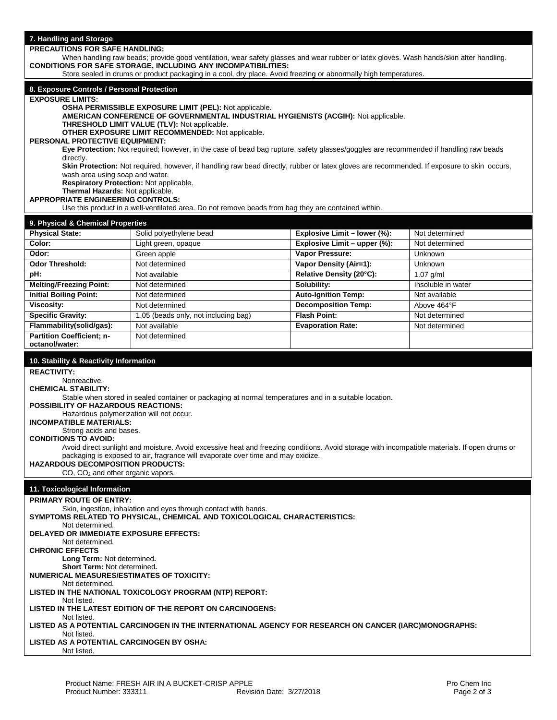**PRECAUTIONS FOR SAFE HANDLING:** 

When handling raw beads; provide good ventilation, wear safety glasses and wear rubber or latex gloves. Wash hands/skin after handling. **CONDITIONS FOR SAFE STORAGE, INCLUDING ANY INCOMPATIBILITIES:** 

Store sealed in drums or product packaging in a cool, dry place. Avoid freezing or abnormally high temperatures.

# **8. Exposure Controls / Personal Protection**

**EXPOSURE LIMITS:**

**OSHA PERMISSIBLE EXPOSURE LIMIT (PEL):** Not applicable.

**AMERICAN CONFERENCE OF GOVERNMENTAL INDUSTRIAL HYGIENISTS (ACGIH):** Not applicable.

**THRESHOLD LIMIT VALUE (TLV):** Not applicable.

**OTHER EXPOSURE LIMIT RECOMMENDED:** Not applicable.

# **PERSONAL PROTECTIVE EQUIPMENT:**

**Eye Protection:** Not required; however, in the case of bead bag rupture, safety glasses/goggles are recommended if handling raw beads directly.

Skin Protection: Not required, however, if handling raw bead directly, rubber or latex gloves are recommended. If exposure to skin occurs, wash area using soap and water.

**Respiratory Protection:** Not applicable.

**Thermal Hazards:** Not applicable.

# **APPROPRIATE ENGINEERING CONTROLS:**

Use this product in a well-ventilated area. Do not remove beads from bag they are contained within.

# **9. Physical & Chemical Properties Physical State:** Solid polyethylene bead **Explosive Limit – lower (%):** Not determined **Color: Explosive Limit – upper (%):** Not determined 
Not determined **Odor:** Green apple **Vapor Pressure:** Unknown **Odor Threshold:** Not determined **Vapor Density (Air=1):** Unknown **pH:** Not available **Relative Density (20°C):** 1.07 g/ml **Melting/Freezing Point:** Not determined **Solubility: Solubility:** Insoluble in water **Initial Boiling Point:** Not determined **Auto-Ignition Temp:** Not available **Viscosity:** Not determined **Decomposition Temp:** Above 464°F **Specific Gravity:** 1.05 (beads only, not including bag) **Flash Point:** Not determined **Flammability(solid/gas):** Not available **Evaporation Rate:** Not determined **Partition Coefficient; noctanol/water:** Not determined

# **10. Stability & Reactivity Information**

**REACTIVITY:**

#### Nonreactive. **CHEMICAL STABILITY:**

Stable when stored in sealed container or packaging at normal temperatures and in a suitable location.

**POSSIBILITY OF HAZARDOUS REACTIONS:** 

Hazardous polymerization will not occur.

# **INCOMPATIBLE MATERIALS:**

Strong acids and bases.

# **CONDITIONS TO AVOID:**

Avoid direct sunlight and moisture. Avoid excessive heat and freezing conditions. Avoid storage with incompatible materials. If open drums or packaging is exposed to air, fragrance will evaporate over time and may oxidize.

### **HAZARDOUS DECOMPOSITION PRODUCTS:**  $CO$ ,  $CO<sub>2</sub>$  and other organic vapors.

# **11. Toxicological Information**

**PRIMARY ROUTE OF ENTRY:** Skin, ingestion, inhalation and eyes through contact with hands. **SYMPTOMS RELATED TO PHYSICAL, CHEMICAL AND TOXICOLOGICAL CHARACTERISTICS:**  Not determined.

**DELAYED OR IMMEDIATE EXPOSURE EFFECTS:**

# Not determined.

**CHRONIC EFFECTS**

**Long Term:** Not determined**.**

**Short Term:** Not determined**. NUMERICAL MEASURES/ESTIMATES OF TOXICITY:**

Not determined.

**LISTED IN THE NATIONAL TOXICOLOGY PROGRAM (NTP) REPORT:**

Not listed.

**LISTED IN THE LATEST EDITION OF THE REPORT ON CARCINOGENS:**

Not listed.

**LISTED AS A POTENTIAL CARCINOGEN IN THE INTERNATIONAL AGENCY FOR RESEARCH ON CANCER (IARC)MONOGRAPHS:** Not listed.

# **LISTED AS A POTENTIAL CARCINOGEN BY OSHA:**

Not listed.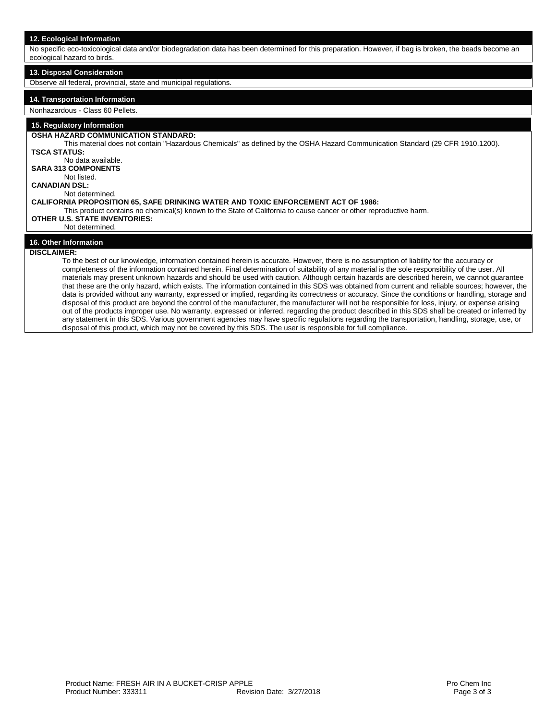No specific eco-toxicological data and/or biodegradation data has been determined for this preparation. However, if bag is broken, the beads become an ecological hazard to birds.

# **13. Disposal Consideration**

Observe all federal, provincial, state and municipal regulations.

# **14. Transportation Information**

# Nonhazardous - Class 60 Pellets.

# **15. Regulatory Information**

**OSHA HAZARD COMMUNICATION STANDARD:** This material does not contain "Hazardous Chemicals" as defined by the OSHA Hazard Communication Standard (29 CFR 1910.1200). **TSCA STATUS:** No data available. **SARA 313 COMPONENTS** Not listed. **CANADIAN DSL:** Not determined. **CALIFORNIA PROPOSITION 65, SAFE DRINKING WATER AND TOXIC ENFORCEMENT ACT OF 1986:**  This product contains no chemical(s) known to the State of California to cause cancer or other reproductive harm.

# **OTHER U.S. STATE INVENTORIES:**

#### Not determined.

# **16. Other Information**

# **DISCLAIMER:**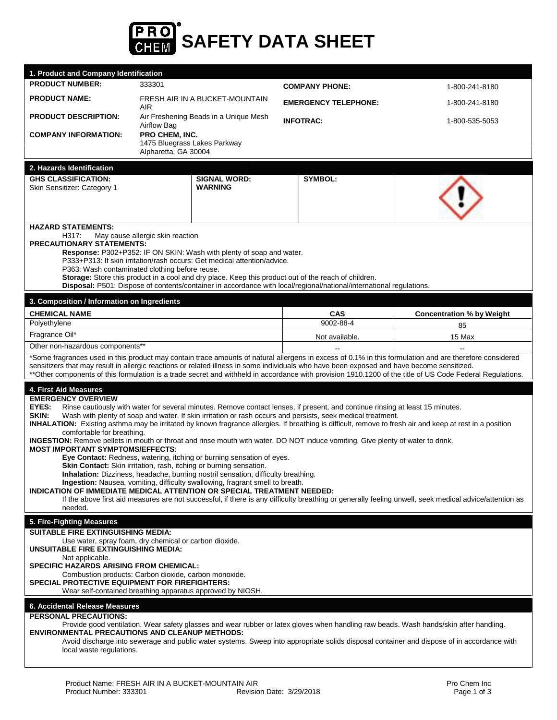

| 1. Product and Company Identification                                                                                                                                                                                                                                                                                                                                                                                  |                                                                                                                                                                                                                                                                                                                   |                     |                                                                                                                                                                                                                                                                                                                                                                                 |                                                                                                                                                                                                                                                                                                                      |
|------------------------------------------------------------------------------------------------------------------------------------------------------------------------------------------------------------------------------------------------------------------------------------------------------------------------------------------------------------------------------------------------------------------------|-------------------------------------------------------------------------------------------------------------------------------------------------------------------------------------------------------------------------------------------------------------------------------------------------------------------|---------------------|---------------------------------------------------------------------------------------------------------------------------------------------------------------------------------------------------------------------------------------------------------------------------------------------------------------------------------------------------------------------------------|----------------------------------------------------------------------------------------------------------------------------------------------------------------------------------------------------------------------------------------------------------------------------------------------------------------------|
| <b>PRODUCT NUMBER:</b>                                                                                                                                                                                                                                                                                                                                                                                                 | 333301                                                                                                                                                                                                                                                                                                            |                     | <b>COMPANY PHONE:</b>                                                                                                                                                                                                                                                                                                                                                           | 1-800-241-8180                                                                                                                                                                                                                                                                                                       |
| <b>PRODUCT NAME:</b>                                                                                                                                                                                                                                                                                                                                                                                                   | FRESH AIR IN A BUCKET-MOUNTAIN<br>AIR                                                                                                                                                                                                                                                                             |                     | <b>EMERGENCY TELEPHONE:</b>                                                                                                                                                                                                                                                                                                                                                     | 1-800-241-8180                                                                                                                                                                                                                                                                                                       |
| <b>PRODUCT DESCRIPTION:</b>                                                                                                                                                                                                                                                                                                                                                                                            | Air Freshening Beads in a Unique Mesh<br>Airflow Bag                                                                                                                                                                                                                                                              |                     | <b>INFOTRAC:</b>                                                                                                                                                                                                                                                                                                                                                                | 1-800-535-5053                                                                                                                                                                                                                                                                                                       |
| <b>COMPANY INFORMATION:</b>                                                                                                                                                                                                                                                                                                                                                                                            | PRO CHEM, INC.<br>1475 Bluegrass Lakes Parkway<br>Alpharetta, GA 30004                                                                                                                                                                                                                                            |                     |                                                                                                                                                                                                                                                                                                                                                                                 |                                                                                                                                                                                                                                                                                                                      |
| 2. Hazards Identification                                                                                                                                                                                                                                                                                                                                                                                              |                                                                                                                                                                                                                                                                                                                   |                     |                                                                                                                                                                                                                                                                                                                                                                                 |                                                                                                                                                                                                                                                                                                                      |
| <b>GHS CLASSIFICATION:</b><br>Skin Sensitizer: Category 1                                                                                                                                                                                                                                                                                                                                                              | <b>WARNING</b>                                                                                                                                                                                                                                                                                                    | <b>SIGNAL WORD:</b> | SYMBOL:                                                                                                                                                                                                                                                                                                                                                                         |                                                                                                                                                                                                                                                                                                                      |
| <b>HAZARD STATEMENTS:</b><br>H317:<br><b>PRECAUTIONARY STATEMENTS:</b>                                                                                                                                                                                                                                                                                                                                                 | May cause allergic skin reaction<br>Response: P302+P352: IF ON SKIN: Wash with plenty of soap and water.<br>P333+P313: If skin irritation/rash occurs: Get medical attention/advice.<br>P363: Wash contaminated clothing before reuse.                                                                            |                     | Storage: Store this product in a cool and dry place. Keep this product out of the reach of children.<br>Disposal: P501: Dispose of contents/container in accordance with local/regional/national/international regulations.                                                                                                                                                     |                                                                                                                                                                                                                                                                                                                      |
| 3. Composition / Information on Ingredients                                                                                                                                                                                                                                                                                                                                                                            |                                                                                                                                                                                                                                                                                                                   |                     |                                                                                                                                                                                                                                                                                                                                                                                 |                                                                                                                                                                                                                                                                                                                      |
| <b>CHEMICAL NAME</b><br>Polyethylene                                                                                                                                                                                                                                                                                                                                                                                   |                                                                                                                                                                                                                                                                                                                   |                     | CAS<br>9002-88-4                                                                                                                                                                                                                                                                                                                                                                | <b>Concentration % by Weight</b>                                                                                                                                                                                                                                                                                     |
| Fragrance Oil*                                                                                                                                                                                                                                                                                                                                                                                                         |                                                                                                                                                                                                                                                                                                                   |                     |                                                                                                                                                                                                                                                                                                                                                                                 | 85                                                                                                                                                                                                                                                                                                                   |
| Other non-hazardous components**                                                                                                                                                                                                                                                                                                                                                                                       |                                                                                                                                                                                                                                                                                                                   |                     | Not available.                                                                                                                                                                                                                                                                                                                                                                  | 15 Max                                                                                                                                                                                                                                                                                                               |
|                                                                                                                                                                                                                                                                                                                                                                                                                        |                                                                                                                                                                                                                                                                                                                   |                     | sensitizers that may result in allergic reactions or related illness in some individuals who have been exposed and have become sensitized.                                                                                                                                                                                                                                      | *Some fragrances used in this product may contain trace amounts of natural allergens in excess of 0.1% in this formulation and are therefore considered<br>**Other components of this formulation is a trade secret and withheld in accordance with provision 1910.1200 of the title of US Code Federal Regulations. |
| 4. First Aid Measures<br><b>EMERGENCY OVERVIEW</b><br>EYES:<br>SKIN:<br>comfortable for breathing.<br><b>MOST IMPORTANT SYMPTOMS/EFFECTS:</b><br>INDICATION OF IMMEDIATE MEDICAL ATTENTION OR SPECIAL TREATMENT NEEDED:<br>needed.                                                                                                                                                                                     | Eye Contact: Redness, watering, itching or burning sensation of eyes.<br>Skin Contact: Skin irritation, rash, itching or burning sensation.<br>Inhalation: Dizziness, headache, burning nostril sensation, difficulty breathing.<br>Ingestion: Nausea, vomiting, difficulty swallowing, fragrant smell to breath. |                     | Rinse cautiously with water for several minutes. Remove contact lenses, if present, and continue rinsing at least 15 minutes.<br>Wash with plenty of soap and water. If skin irritation or rash occurs and persists, seek medical treatment.<br>INGESTION: Remove pellets in mouth or throat and rinse mouth with water. DO NOT induce vomiting. Give plenty of water to drink. | INHALATION: Existing asthma may be irritated by known fragrance allergies. If breathing is difficult, remove to fresh air and keep at rest in a position<br>If the above first aid measures are not successful, if there is any difficulty breathing or generally feeling unwell, seek medical advice/attention as   |
| 5. Fire-Fighting Measures<br><b>SUITABLE FIRE EXTINGUISHING MEDIA:</b><br>Use water, spray foam, dry chemical or carbon dioxide.<br>UNSUITABLE FIRE EXTINGUISHING MEDIA:<br>Not applicable.<br>SPECIFIC HAZARDS ARISING FROM CHEMICAL:<br>Combustion products: Carbon dioxide, carbon monoxide.<br><b>SPECIAL PROTECTIVE EQUIPMENT FOR FIREFIGHTERS:</b><br>Wear self-contained breathing apparatus approved by NIOSH. |                                                                                                                                                                                                                                                                                                                   |                     |                                                                                                                                                                                                                                                                                                                                                                                 |                                                                                                                                                                                                                                                                                                                      |
| 6. Accidental Release Measures                                                                                                                                                                                                                                                                                                                                                                                         |                                                                                                                                                                                                                                                                                                                   |                     |                                                                                                                                                                                                                                                                                                                                                                                 |                                                                                                                                                                                                                                                                                                                      |
| PERSONAL PRECAUTIONS:<br>Provide good ventilation. Wear safety glasses and wear rubber or latex gloves when handling raw beads. Wash hands/skin after handling.<br><b>ENVIRONMENTAL PRECAUTIONS AND CLEANUP METHODS:</b><br>Avoid discharge into sewerage and public water systems. Sweep into appropriate solids disposal container and dispose of in accordance with<br>local waste regulations.                     |                                                                                                                                                                                                                                                                                                                   |                     |                                                                                                                                                                                                                                                                                                                                                                                 |                                                                                                                                                                                                                                                                                                                      |
|                                                                                                                                                                                                                                                                                                                                                                                                                        |                                                                                                                                                                                                                                                                                                                   |                     |                                                                                                                                                                                                                                                                                                                                                                                 |                                                                                                                                                                                                                                                                                                                      |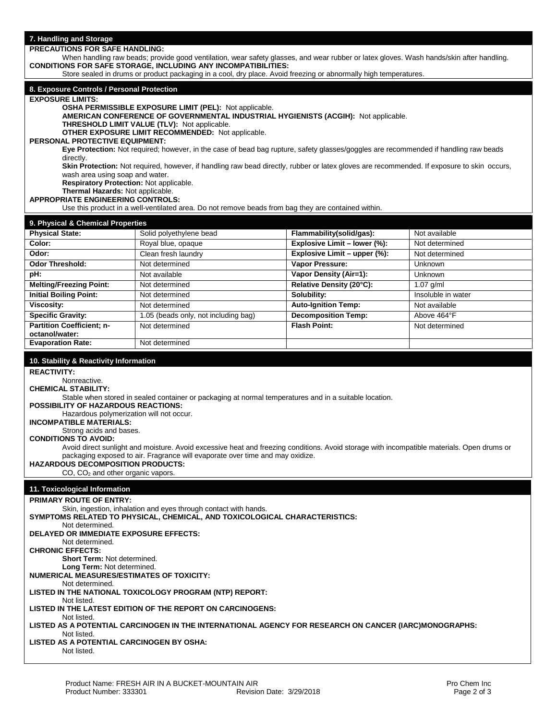# **7. Handling and Storage PRECAUTIONS FOR SAFE HANDLING:**  When handling raw beads; provide good ventilation, wear safety glasses, and wear rubber or latex gloves. Wash hands/skin after handling. **CONDITIONS FOR SAFE STORAGE, INCLUDING ANY INCOMPATIBILITIES:**  Store sealed in drums or product packaging in a cool, dry place. Avoid freezing or abnormally high temperatures. **8. Exposure Controls / Personal Protection EXPOSURE LIMITS: OSHA PERMISSIBLE EXPOSURE LIMIT (PEL):** Not applicable. **AMERICAN CONFERENCE OF GOVERNMENTAL INDUSTRIAL HYGIENISTS (ACGIH):** Not applicable. **THRESHOLD LIMIT VALUE (TLV):** Not applicable. **OTHER EXPOSURE LIMIT RECOMMENDED:** Not applicable. **PERSONAL PROTECTIVE EQUIPMENT: Eye Protection:** Not required; however, in the case of bead bag rupture, safety glasses/goggles are recommended if handling raw beads directly. Skin Protection: Not required, however, if handling raw bead directly, rubber or latex gloves are recommended. If exposure to skin occurs, wash area using soap and water. **Respiratory Protection:** Not applicable. **Thermal Hazards:** Not applicable. **APPROPRIATE ENGINEERING CONTROLS:** Use this product in a well-ventilated area. Do not remove beads from bag they are contained within. **9. Physical & Chemical Properties Physical State:** Solid polyethylene bead **Flammability(solid/gas):** Not available **Color:** Royal blue, opaque **Royal Explosive Limit – lower (%):** Not determined **Odor:** Clean fresh laundry **Explosive Limit – upper (%):** Not determined **Odor Threshold:** Not determined **Vapor Pressure:** Unknown **pH:** Not available **Vapor Density (Air=1):** Unknown **Melting/Freezing Point:** Not determined **Relative Density (20°C):** 1.07 g/ml **Initial Boiling Point:** Not determined **Solubility: Solubility: Insoluble in water Viscosity:** Not determined **Auto-Ignition Temp:** Not available **Specific Gravity:** 1.05 (beads only, not including bag) **Decomposition Temp:** Above 464°F<br>**Partition Coefficient: n-** Not determined **Elash Point:** Not determined **Partition Coefficient; noctanol/water:** Not determined **Flash Point:** Not determined Not determined **Flash Point:** Not determined **Evaporation Rate:** Not determined **10. Stability & Reactivity Information REACTIVITY:** Nonreactive. **CHEMICAL STABILITY:**  Stable when stored in sealed container or packaging at normal temperatures and in a suitable location. **POSSIBILITY OF HAZARDOUS REACTIONS:**  Hazardous polymerization will not occur. **INCOMPATIBLE MATERIALS:** Strong acids and bases. **CONDITIONS TO AVOID:**  Avoid direct sunlight and moisture. Avoid excessive heat and freezing conditions. Avoid storage with incompatible materials. Open drums or packaging exposed to air. Fragrance will evaporate over time and may oxidize. **HAZARDOUS DECOMPOSITION PRODUCTS:**  $CO$ ,  $CO<sub>2</sub>$  and other organic vapors. **11. Toxicological Information PRIMARY ROUTE OF ENTRY:** Skin, ingestion, inhalation and eyes through contact with hands. **SYMPTOMS RELATED TO PHYSICAL, CHEMICAL, AND TOXICOLOGICAL CHARACTERISTICS:**  Not determined. **DELAYED OR IMMEDIATE EXPOSURE EFFECTS:** Not determined. **CHRONIC EFFECTS: Short Term:** Not determined. **Long Term:** Not determined. **NUMERICAL MEASURES/ESTIMATES OF TOXICITY:** Not determined. **LISTED IN THE NATIONAL TOXICOLOGY PROGRAM (NTP) REPORT:** Not listed. **LISTED IN THE LATEST EDITION OF THE REPORT ON CARCINOGENS:** Not listed. **LISTED AS A POTENTIAL CARCINOGEN IN THE INTERNATIONAL AGENCY FOR RESEARCH ON CANCER (IARC)MONOGRAPHS:** Not listed. **LISTED AS A POTENTIAL CARCINOGEN BY OSHA:**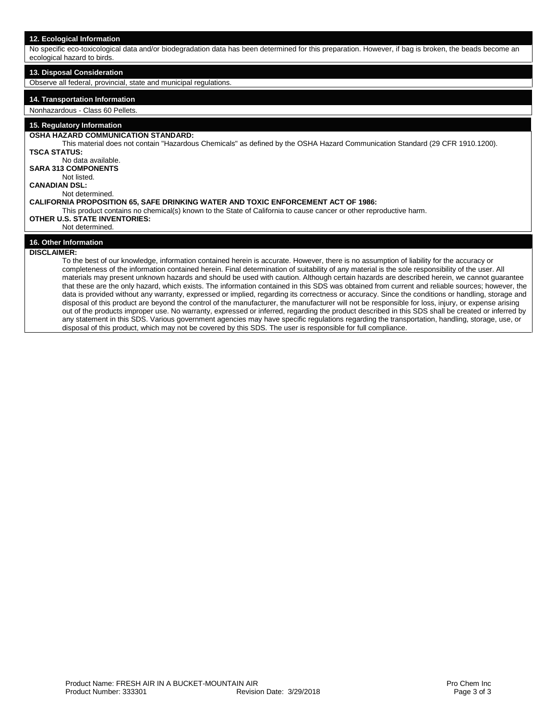No specific eco-toxicological data and/or biodegradation data has been determined for this preparation. However, if bag is broken, the beads become an ecological hazard to birds.

# **13. Disposal Consideration**

Observe all federal, provincial, state and municipal regulations.

# **14. Transportation Information**

## Nonhazardous - Class 60 Pellets.

# **15. Regulatory Information**

**OSHA HAZARD COMMUNICATION STANDARD:** 

This material does not contain "Hazardous Chemicals" as defined by the OSHA Hazard Communication Standard (29 CFR 1910.1200). **TSCA STATUS:**  No data available.

**SARA 313 COMPONENTS**

#### Not listed. **CANADIAN DSL:**

Not determined.

**CALIFORNIA PROPOSITION 65, SAFE DRINKING WATER AND TOXIC ENFORCEMENT ACT OF 1986:** 

This product contains no chemical(s) known to the State of California to cause cancer or other reproductive harm.

# **OTHER U.S. STATE INVENTORIES:**

#### Not determined.

# **16. Other Information**

# **DISCLAIMER:**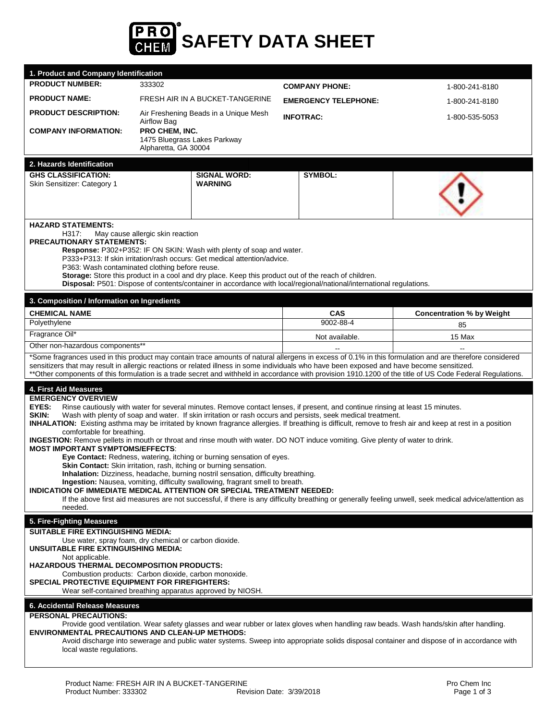

| 1. Product and Company Identification                                                                                                                                                                                                                                                                                                                                                                                                                                                                                                                                                                                                                                                                                                                                                                                                                                                                                                                                                                                                                                                                                                                                                                                                                                                                                                                                                                                                                                                                                                                                                                                                                                                                                                                                                                                                                                      |                                                                                                                                                                                                                                                                                                                                                                                                                                                                       |                             |                                  |  |
|----------------------------------------------------------------------------------------------------------------------------------------------------------------------------------------------------------------------------------------------------------------------------------------------------------------------------------------------------------------------------------------------------------------------------------------------------------------------------------------------------------------------------------------------------------------------------------------------------------------------------------------------------------------------------------------------------------------------------------------------------------------------------------------------------------------------------------------------------------------------------------------------------------------------------------------------------------------------------------------------------------------------------------------------------------------------------------------------------------------------------------------------------------------------------------------------------------------------------------------------------------------------------------------------------------------------------------------------------------------------------------------------------------------------------------------------------------------------------------------------------------------------------------------------------------------------------------------------------------------------------------------------------------------------------------------------------------------------------------------------------------------------------------------------------------------------------------------------------------------------------|-----------------------------------------------------------------------------------------------------------------------------------------------------------------------------------------------------------------------------------------------------------------------------------------------------------------------------------------------------------------------------------------------------------------------------------------------------------------------|-----------------------------|----------------------------------|--|
| <b>PRODUCT NUMBER:</b>                                                                                                                                                                                                                                                                                                                                                                                                                                                                                                                                                                                                                                                                                                                                                                                                                                                                                                                                                                                                                                                                                                                                                                                                                                                                                                                                                                                                                                                                                                                                                                                                                                                                                                                                                                                                                                                     | 333302                                                                                                                                                                                                                                                                                                                                                                                                                                                                | <b>COMPANY PHONE:</b>       | 1-800-241-8180                   |  |
| <b>PRODUCT NAME:</b>                                                                                                                                                                                                                                                                                                                                                                                                                                                                                                                                                                                                                                                                                                                                                                                                                                                                                                                                                                                                                                                                                                                                                                                                                                                                                                                                                                                                                                                                                                                                                                                                                                                                                                                                                                                                                                                       | FRESH AIR IN A BUCKET-TANGERINE                                                                                                                                                                                                                                                                                                                                                                                                                                       | <b>EMERGENCY TELEPHONE:</b> | 1-800-241-8180                   |  |
| <b>PRODUCT DESCRIPTION:</b>                                                                                                                                                                                                                                                                                                                                                                                                                                                                                                                                                                                                                                                                                                                                                                                                                                                                                                                                                                                                                                                                                                                                                                                                                                                                                                                                                                                                                                                                                                                                                                                                                                                                                                                                                                                                                                                | Air Freshening Beads in a Unique Mesh<br>Airflow Bag                                                                                                                                                                                                                                                                                                                                                                                                                  | <b>INFOTRAC:</b>            | 1-800-535-5053                   |  |
| <b>COMPANY INFORMATION:</b>                                                                                                                                                                                                                                                                                                                                                                                                                                                                                                                                                                                                                                                                                                                                                                                                                                                                                                                                                                                                                                                                                                                                                                                                                                                                                                                                                                                                                                                                                                                                                                                                                                                                                                                                                                                                                                                | PRO CHEM, INC.<br>1475 Bluegrass Lakes Parkway<br>Alpharetta, GA 30004                                                                                                                                                                                                                                                                                                                                                                                                |                             |                                  |  |
| 2. Hazards Identification                                                                                                                                                                                                                                                                                                                                                                                                                                                                                                                                                                                                                                                                                                                                                                                                                                                                                                                                                                                                                                                                                                                                                                                                                                                                                                                                                                                                                                                                                                                                                                                                                                                                                                                                                                                                                                                  |                                                                                                                                                                                                                                                                                                                                                                                                                                                                       |                             |                                  |  |
| <b>GHS CLASSIFICATION:</b><br>Skin Sensitizer: Category 1                                                                                                                                                                                                                                                                                                                                                                                                                                                                                                                                                                                                                                                                                                                                                                                                                                                                                                                                                                                                                                                                                                                                                                                                                                                                                                                                                                                                                                                                                                                                                                                                                                                                                                                                                                                                                  | <b>SIGNAL WORD:</b><br><b>WARNING</b>                                                                                                                                                                                                                                                                                                                                                                                                                                 | <b>SYMBOL:</b>              |                                  |  |
| <b>HAZARD STATEMENTS:</b><br>H317:<br><b>PRECAUTIONARY STATEMENTS:</b>                                                                                                                                                                                                                                                                                                                                                                                                                                                                                                                                                                                                                                                                                                                                                                                                                                                                                                                                                                                                                                                                                                                                                                                                                                                                                                                                                                                                                                                                                                                                                                                                                                                                                                                                                                                                     | May cause allergic skin reaction<br>Response: P302+P352: IF ON SKIN: Wash with plenty of soap and water.<br>P333+P313: If skin irritation/rash occurs: Get medical attention/advice.<br>P363: Wash contaminated clothing before reuse.<br>Storage: Store this product in a cool and dry place. Keep this product out of the reach of children.<br>Disposal: P501: Dispose of contents/container in accordance with local/regional/national/international regulations. |                             |                                  |  |
| 3. Composition / Information on Ingredients                                                                                                                                                                                                                                                                                                                                                                                                                                                                                                                                                                                                                                                                                                                                                                                                                                                                                                                                                                                                                                                                                                                                                                                                                                                                                                                                                                                                                                                                                                                                                                                                                                                                                                                                                                                                                                |                                                                                                                                                                                                                                                                                                                                                                                                                                                                       |                             |                                  |  |
| <b>CHEMICAL NAME</b><br>Polyethylene                                                                                                                                                                                                                                                                                                                                                                                                                                                                                                                                                                                                                                                                                                                                                                                                                                                                                                                                                                                                                                                                                                                                                                                                                                                                                                                                                                                                                                                                                                                                                                                                                                                                                                                                                                                                                                       |                                                                                                                                                                                                                                                                                                                                                                                                                                                                       | <b>CAS</b><br>9002-88-4     | <b>Concentration % by Weight</b> |  |
| Fragrance Oil*                                                                                                                                                                                                                                                                                                                                                                                                                                                                                                                                                                                                                                                                                                                                                                                                                                                                                                                                                                                                                                                                                                                                                                                                                                                                                                                                                                                                                                                                                                                                                                                                                                                                                                                                                                                                                                                             |                                                                                                                                                                                                                                                                                                                                                                                                                                                                       | Not available.              | 85<br>15 Max                     |  |
| Other non-hazardous components**                                                                                                                                                                                                                                                                                                                                                                                                                                                                                                                                                                                                                                                                                                                                                                                                                                                                                                                                                                                                                                                                                                                                                                                                                                                                                                                                                                                                                                                                                                                                                                                                                                                                                                                                                                                                                                           |                                                                                                                                                                                                                                                                                                                                                                                                                                                                       |                             |                                  |  |
| *Some fragrances used in this product may contain trace amounts of natural allergens in excess of 0.1% in this formulation and are therefore considered<br>sensitizers that may result in allergic reactions or related illness in some individuals who have been exposed and have become sensitized.<br>**Other components of this formulation is a trade secret and withheld in accordance with provision 1910.1200 of the title of US Code Federal Regulations.<br>4. First Aid Measures<br><b>EMERGENCY OVERVIEW</b><br>EYES:<br>Rinse cautiously with water for several minutes. Remove contact lenses, if present, and continue rinsing at least 15 minutes.<br>Wash with plenty of soap and water. If skin irritation or rash occurs and persists, seek medical treatment.<br>SKIN:<br>INHALATION: Existing asthma may be irritated by known fragrance allergies. If breathing is difficult, remove to fresh air and keep at rest in a position<br>comfortable for breathing.<br>INGESTION: Remove pellets in mouth or throat and rinse mouth with water. DO NOT induce vomiting. Give plenty of water to drink.<br><b>MOST IMPORTANT SYMPTOMS/EFFECTS:</b><br>Eye Contact: Redness, watering, itching or burning sensation of eyes.<br>Skin Contact: Skin irritation, rash, itching or burning sensation.<br>Inhalation: Dizziness, headache, burning nostril sensation, difficulty breathing.<br>Ingestion: Nausea, vomiting, difficulty swallowing, fragrant smell to breath.<br>INDICATION OF IMMEDIATE MEDICAL ATTENTION OR SPECIAL TREATMENT NEEDED:<br>If the above first aid measures are not successful, if there is any difficulty breathing or generally feeling unwell, seek medical advice/attention as<br>needed.<br>5. Fire-Fighting Measures<br><b>SUITABLE FIRE EXTINGUISHING MEDIA:</b><br>Use water, spray foam, dry chemical or carbon dioxide. |                                                                                                                                                                                                                                                                                                                                                                                                                                                                       |                             |                                  |  |
| UNSUITABLE FIRE EXTINGUISHING MEDIA:<br>Not applicable.<br><b>HAZARDOUS THERMAL DECOMPOSITION PRODUCTS:</b><br><b>SPECIAL PROTECTIVE EQUIPMENT FOR FIREFIGHTERS:</b>                                                                                                                                                                                                                                                                                                                                                                                                                                                                                                                                                                                                                                                                                                                                                                                                                                                                                                                                                                                                                                                                                                                                                                                                                                                                                                                                                                                                                                                                                                                                                                                                                                                                                                       | Combustion products: Carbon dioxide, carbon monoxide.<br>Wear self-contained breathing apparatus approved by NIOSH.                                                                                                                                                                                                                                                                                                                                                   |                             |                                  |  |
| 6. Accidental Release Measures<br><b>PERSONAL PRECAUTIONS:</b><br>Provide good ventilation. Wear safety glasses and wear rubber or latex gloves when handling raw beads. Wash hands/skin after handling.<br><b>ENVIRONMENTAL PRECAUTIONS AND CLEAN-UP METHODS:</b><br>Avoid discharge into sewerage and public water systems. Sweep into appropriate solids disposal container and dispose of in accordance with<br>local waste regulations.                                                                                                                                                                                                                                                                                                                                                                                                                                                                                                                                                                                                                                                                                                                                                                                                                                                                                                                                                                                                                                                                                                                                                                                                                                                                                                                                                                                                                               |                                                                                                                                                                                                                                                                                                                                                                                                                                                                       |                             |                                  |  |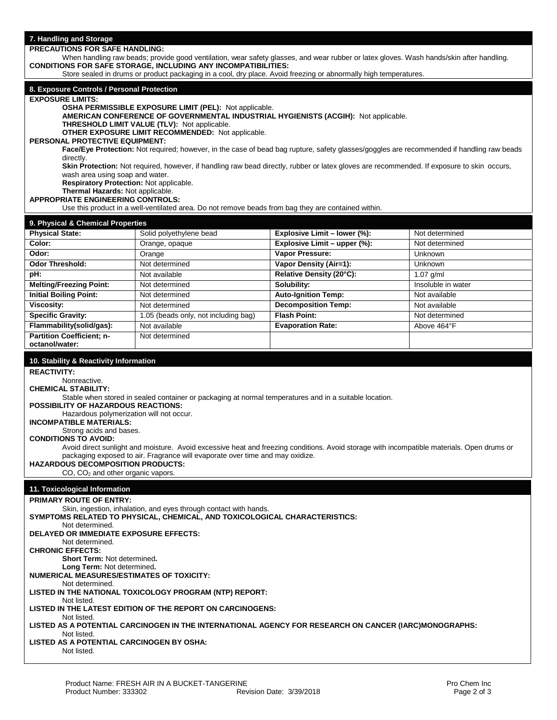**PRECAUTIONS FOR SAFE HANDLING:** 

When handling raw beads; provide good ventilation, wear safety glasses, and wear rubber or latex gloves. Wash hands/skin after handling. **CONDITIONS FOR SAFE STORAGE, INCLUDING ANY INCOMPATIBILITIES:** 

# Store sealed in drums or product packaging in a cool, dry place. Avoid freezing or abnormally high temperatures. **8. Exposure Controls / Personal Protection EXPOSURE LIMITS: OSHA PERMISSIBLE EXPOSURE LIMIT (PEL):** Not applicable. **AMERICAN CONFERENCE OF GOVERNMENTAL INDUSTRIAL HYGIENISTS (ACGIH):** Not applicable. **THRESHOLD LIMIT VALUE (TLV):** Not applicable. **OTHER EXPOSURE LIMIT RECOMMENDED:** Not applicable. **PERSONAL PROTECTIVE EQUIPMENT: Face/Eye Protection:** Not required; however, in the case of bead bag rupture, safety glasses/goggles are recommended if handling raw beads directly. Skin Protection: Not required, however, if handling raw bead directly, rubber or latex gloves are recommended. If exposure to skin occurs, wash area using soap and water. **Respiratory Protection:** Not applicable. **Thermal Hazards:** Not applicable. **APPROPRIATE ENGINEERING CONTROLS:** Use this product in a well-ventilated area. Do not remove beads from bag they are contained within. **9. Physical & Chemical Properties Physical State:** Solid polyethylene bead **Explosive Limit – lower (%):** Not determined **Color: Color: Orange, opaque <b>Explosive Limit – upper (%):** Not determined **Odor:** Orange **Vapor Pressure:** Unknown **Odor Threshold:** Not determined **Vapor Density (Air=1):** Unknown **pH:** Not available **Relative Density (20°C):** 1.07 g/ml **Melting/Freezing Point:** Not determined **Solubility: Solubility:** Insoluble in water **Initial Boiling Point:** Not determined **Auto-Ignition Temp:** Not available<br> **Not determined Recomposition Temp:** Not available **Viscosity:** Not determined **Decomposition Temp:** Not available **Specific Gravity:** 1.05 (beads only, not including bag) **Flash Point:** Not determined **Flammability(solid/gas):** Not available **Evaporation Rate:** Above 464°F **Partition Coefficient; noctanol/water:** Not determined **10. Stability & Reactivity Information REACTIVITY:** Nonreactive. **CHEMICAL STABILITY:**  Stable when stored in sealed container or packaging at normal temperatures and in a suitable location. **POSSIBILITY OF HAZARDOUS REACTIONS:**  Hazardous polymerization will not occur. **INCOMPATIBLE MATERIALS:** Strong acids and bases. **CONDITIONS TO AVOID:**  Avoid direct sunlight and moisture. Avoid excessive heat and freezing conditions. Avoid storage with incompatible materials. Open drums or packaging exposed to air. Fragrance will evaporate over time and may oxidize. **HAZARDOUS DECOMPOSITION PRODUCTS:**  $CO$ ,  $CO<sub>2</sub>$  and other organic vapors. **11. Toxicological Information PRIMARY ROUTE OF ENTRY:** Skin, ingestion, inhalation, and eyes through contact with hands. **SYMPTOMS RELATED TO PHYSICAL, CHEMICAL, AND TOXICOLOGICAL CHARACTERISTICS:**  Not determined. **DELAYED OR IMMEDIATE EXPOSURE EFFECTS:** Not determined. **CHRONIC EFFECTS: Short Term:** Not determined**. Long Term:** Not determined**.**

**NUMERICAL MEASURES/ESTIMATES OF TOXICITY:**

Not determined.

**LISTED IN THE NATIONAL TOXICOLOGY PROGRAM (NTP) REPORT:**

Not listed.

**LISTED IN THE LATEST EDITION OF THE REPORT ON CARCINOGENS:**

Not listed. **LISTED AS A POTENTIAL CARCINOGEN IN THE INTERNATIONAL AGENCY FOR RESEARCH ON CANCER (IARC)MONOGRAPHS:** Not listed.

# **LISTED AS A POTENTIAL CARCINOGEN BY OSHA:** Not listed.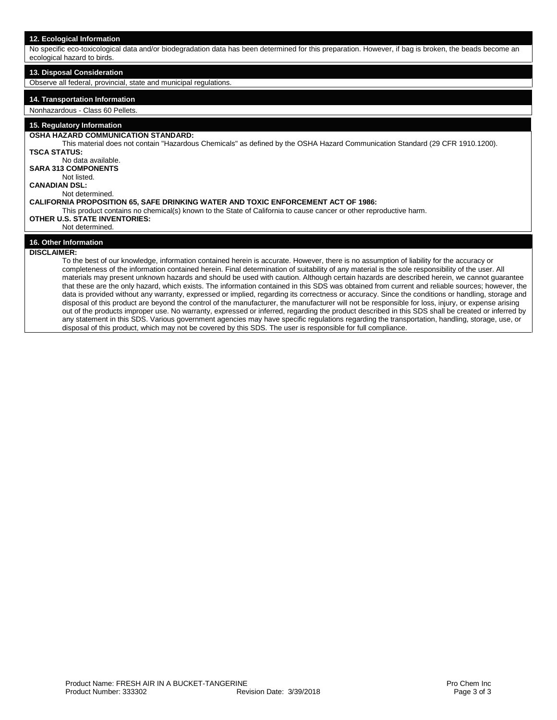No specific eco-toxicological data and/or biodegradation data has been determined for this preparation. However, if bag is broken, the beads become an ecological hazard to birds.

# **13. Disposal Consideration**

Observe all federal, provincial, state and municipal regulations.

# **14. Transportation Information**

## Nonhazardous - Class 60 Pellets.

# **15. Regulatory Information**

**OSHA HAZARD COMMUNICATION STANDARD:** 

This material does not contain "Hazardous Chemicals" as defined by the OSHA Hazard Communication Standard (29 CFR 1910.1200). **TSCA STATUS:**  No data available.

**SARA 313 COMPONENTS**

#### Not listed. **CANADIAN DSL:**

Not determined.

**CALIFORNIA PROPOSITION 65, SAFE DRINKING WATER AND TOXIC ENFORCEMENT ACT OF 1986:** 

This product contains no chemical(s) known to the State of California to cause cancer or other reproductive harm.

# **OTHER U.S. STATE INVENTORIES:**

#### Not determined.

# **16. Other Information**

# **DISCLAIMER:**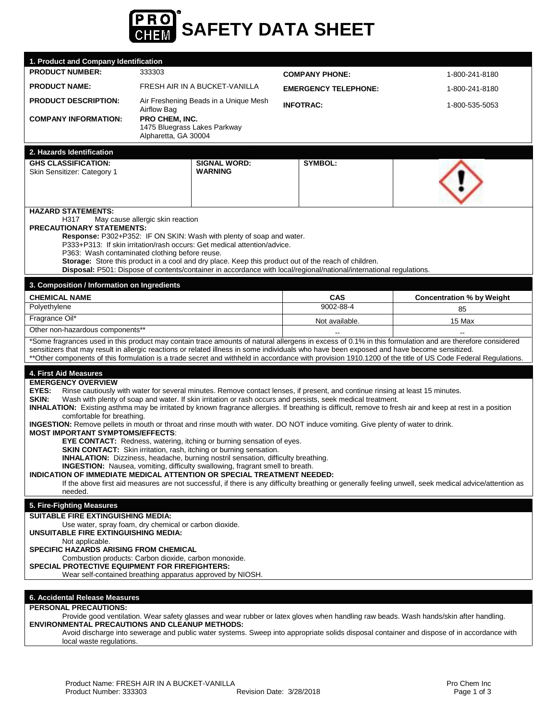

| 1. Product and Company Identification                                                                                                                                  |                                                                                                                                                                                                                                                                                                       |                             |                                  |
|------------------------------------------------------------------------------------------------------------------------------------------------------------------------|-------------------------------------------------------------------------------------------------------------------------------------------------------------------------------------------------------------------------------------------------------------------------------------------------------|-----------------------------|----------------------------------|
| <b>PRODUCT NUMBER:</b>                                                                                                                                                 | 333303                                                                                                                                                                                                                                                                                                | <b>COMPANY PHONE:</b>       | 1-800-241-8180                   |
| <b>PRODUCT NAME:</b>                                                                                                                                                   | FRESH AIR IN A BUCKET-VANILLA                                                                                                                                                                                                                                                                         | <b>EMERGENCY TELEPHONE:</b> | 1-800-241-8180                   |
| <b>PRODUCT DESCRIPTION:</b>                                                                                                                                            | Air Freshening Beads in a Unique Mesh<br>Airflow Bag                                                                                                                                                                                                                                                  | <b>INFOTRAC:</b>            | 1-800-535-5053                   |
| <b>COMPANY INFORMATION:</b>                                                                                                                                            | PRO CHEM, INC.<br>1475 Bluegrass Lakes Parkway<br>Alpharetta, GA 30004                                                                                                                                                                                                                                |                             |                                  |
| 2. Hazards Identification                                                                                                                                              |                                                                                                                                                                                                                                                                                                       |                             |                                  |
| <b>GHS CLASSIFICATION:</b>                                                                                                                                             | <b>SIGNAL WORD:</b>                                                                                                                                                                                                                                                                                   | SYMBOL:                     |                                  |
| Skin Sensitizer: Category 1                                                                                                                                            | <b>WARNING</b>                                                                                                                                                                                                                                                                                        |                             |                                  |
|                                                                                                                                                                        |                                                                                                                                                                                                                                                                                                       |                             |                                  |
| <b>HAZARD STATEMENTS:</b>                                                                                                                                              |                                                                                                                                                                                                                                                                                                       |                             |                                  |
| H317<br><b>PRECAUTIONARY STATEMENTS:</b>                                                                                                                               | May cause allergic skin reaction                                                                                                                                                                                                                                                                      |                             |                                  |
|                                                                                                                                                                        | Response: P302+P352: IF ON SKIN: Wash with plenty of soap and water.                                                                                                                                                                                                                                  |                             |                                  |
|                                                                                                                                                                        | P333+P313: If skin irritation/rash occurs: Get medical attention/advice.<br>P363: Wash contaminated clothing before reuse.                                                                                                                                                                            |                             |                                  |
|                                                                                                                                                                        | Storage: Store this product in a cool and dry place. Keep this product out of the reach of children.                                                                                                                                                                                                  |                             |                                  |
|                                                                                                                                                                        | Disposal: P501: Dispose of contents/container in accordance with local/regional/national/international regulations.                                                                                                                                                                                   |                             |                                  |
| 3. Composition / Information on Ingredients                                                                                                                            |                                                                                                                                                                                                                                                                                                       |                             |                                  |
| <b>CHEMICAL NAME</b>                                                                                                                                                   |                                                                                                                                                                                                                                                                                                       | CAS                         | <b>Concentration % by Weight</b> |
| Polyethylene                                                                                                                                                           |                                                                                                                                                                                                                                                                                                       | 9002-88-4                   | 85                               |
| Fragrance Oil*                                                                                                                                                         |                                                                                                                                                                                                                                                                                                       | Not available.              | 15 Max                           |
| Other non-hazardous components**                                                                                                                                       |                                                                                                                                                                                                                                                                                                       |                             |                                  |
|                                                                                                                                                                        | *Some fragrances used in this product may contain trace amounts of natural allergens in excess of 0.1% in this formulation and are therefore considered<br>sensitizers that may result in allergic reactions or related illness in some individuals who have been exposed and have become sensitized. |                             |                                  |
|                                                                                                                                                                        | **Other components of this formulation is a trade secret and withheld in accordance with provision 1910.1200 of the title of US Code Federal Regulations.                                                                                                                                             |                             |                                  |
| 4. First Aid Measures                                                                                                                                                  |                                                                                                                                                                                                                                                                                                       |                             |                                  |
| <b>EMERGENCY OVERVIEW</b>                                                                                                                                              |                                                                                                                                                                                                                                                                                                       |                             |                                  |
| EYES:<br>SKIN:                                                                                                                                                         | Rinse cautiously with water for several minutes. Remove contact lenses, if present, and continue rinsing at least 15 minutes.<br>Wash with plenty of soap and water. If skin irritation or rash occurs and persists, seek medical treatment.                                                          |                             |                                  |
|                                                                                                                                                                        | <b>INHALATION:</b> Existing asthma may be irritated by known fragrance allergies. If breathing is difficult, remove to fresh air and keep at rest in a position                                                                                                                                       |                             |                                  |
| comfortable for breathing.                                                                                                                                             | <b>INGESTION:</b> Remove pellets in mouth or throat and rinse mouth with water. DO NOT induce vomiting. Give plenty of water to drink.                                                                                                                                                                |                             |                                  |
| <b>MOST IMPORTANT SYMPTOMS/EFFECTS:</b>                                                                                                                                | EYE CONTACT: Redness, watering, itching or burning sensation of eyes.                                                                                                                                                                                                                                 |                             |                                  |
|                                                                                                                                                                        | SKIN CONTACT: Skin irritation, rash, itching or burning sensation.                                                                                                                                                                                                                                    |                             |                                  |
|                                                                                                                                                                        | <b>INHALATION:</b> Dizziness, headache, burning nostril sensation, difficulty breathing.                                                                                                                                                                                                              |                             |                                  |
|                                                                                                                                                                        | INGESTION: Nausea, vomiting, difficulty swallowing, fragrant smell to breath.<br><b>INDICATION OF IMMEDIATE MEDICAL ATTENTION OR SPECIAL TREATMENT NEEDED:</b>                                                                                                                                        |                             |                                  |
|                                                                                                                                                                        | If the above first aid measures are not successful, if there is any difficulty breathing or generally feeling unwell, seek medical advice/attention as                                                                                                                                                |                             |                                  |
| needed.                                                                                                                                                                |                                                                                                                                                                                                                                                                                                       |                             |                                  |
| 5. Fire-Fighting Measures<br><b>SUITABLE FIRE EXTINGUISHING MEDIA:</b>                                                                                                 |                                                                                                                                                                                                                                                                                                       |                             |                                  |
|                                                                                                                                                                        | Use water, spray foam, dry chemical or carbon dioxide.                                                                                                                                                                                                                                                |                             |                                  |
| UNSUITABLE FIRE EXTINGUISHING MEDIA:                                                                                                                                   |                                                                                                                                                                                                                                                                                                       |                             |                                  |
| Not applicable.<br><b>SPECIFIC HAZARDS ARISING FROM CHEMICAL</b>                                                                                                       |                                                                                                                                                                                                                                                                                                       |                             |                                  |
| Combustion products: Carbon dioxide, carbon monoxide.<br>SPECIAL PROTECTIVE EQUIPMENT FOR FIREFIGHTERS:                                                                |                                                                                                                                                                                                                                                                                                       |                             |                                  |
|                                                                                                                                                                        | Wear self-contained breathing apparatus approved by NIOSH.                                                                                                                                                                                                                                            |                             |                                  |
|                                                                                                                                                                        |                                                                                                                                                                                                                                                                                                       |                             |                                  |
| 6. Accidental Release Measures                                                                                                                                         |                                                                                                                                                                                                                                                                                                       |                             |                                  |
| <b>PERSONAL PRECAUTIONS:</b>                                                                                                                                           |                                                                                                                                                                                                                                                                                                       |                             |                                  |
|                                                                                                                                                                        | Provide good ventilation. Wear safety glasses and wear rubber or latex gloves when handling raw beads. Wash hands/skin after handling.<br><b>ENVIRONMENTAL PRECAUTIONS AND CLEANUP METHODS:</b>                                                                                                       |                             |                                  |
| Avoid discharge into sewerage and public water systems. Sweep into appropriate solids disposal container and dispose of in accordance with<br>local waste regulations. |                                                                                                                                                                                                                                                                                                       |                             |                                  |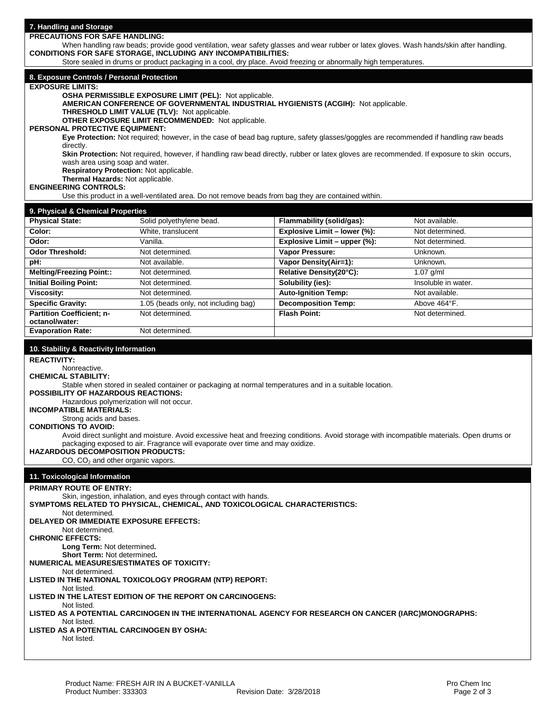| 7. Handling and Storage                                                                                                                                                                                         |                                                                                                                                                                                                                             |                                                           |                     |  |
|-----------------------------------------------------------------------------------------------------------------------------------------------------------------------------------------------------------------|-----------------------------------------------------------------------------------------------------------------------------------------------------------------------------------------------------------------------------|-----------------------------------------------------------|---------------------|--|
| <b>PRECAUTIONS FOR SAFE HANDLING:</b>                                                                                                                                                                           |                                                                                                                                                                                                                             |                                                           |                     |  |
| When handling raw beads; provide good ventilation, wear safety glasses and wear rubber or latex gloves. Wash hands/skin after handling.<br><b>CONDITIONS FOR SAFE STORAGE. INCLUDING ANY INCOMPATIBILITIES:</b> |                                                                                                                                                                                                                             |                                                           |                     |  |
| Store sealed in drums or product packaging in a cool, dry place. Avoid freezing or abnormally high temperatures.                                                                                                |                                                                                                                                                                                                                             |                                                           |                     |  |
|                                                                                                                                                                                                                 |                                                                                                                                                                                                                             |                                                           |                     |  |
| 8. Exposure Controls / Personal Protection                                                                                                                                                                      |                                                                                                                                                                                                                             |                                                           |                     |  |
| <b>EXPOSURE LIMITS:</b>                                                                                                                                                                                         | OSHA PERMISSIBLE EXPOSURE LIMIT (PEL): Not applicable.                                                                                                                                                                      |                                                           |                     |  |
|                                                                                                                                                                                                                 | AMERICAN CONFERENCE OF GOVERNMENTAL INDUSTRIAL HYGIENISTS (ACGIH): Not applicable.                                                                                                                                          |                                                           |                     |  |
|                                                                                                                                                                                                                 | THRESHOLD LIMIT VALUE (TLV): Not applicable.                                                                                                                                                                                |                                                           |                     |  |
|                                                                                                                                                                                                                 | OTHER EXPOSURE LIMIT RECOMMENDED: Not applicable.                                                                                                                                                                           |                                                           |                     |  |
| <b>PERSONAL PROTECTIVE EQUIPMENT:</b>                                                                                                                                                                           | Eye Protection: Not required; however, in the case of bead bag rupture, safety glasses/goggles are recommended if handling raw beads                                                                                        |                                                           |                     |  |
| directly.                                                                                                                                                                                                       |                                                                                                                                                                                                                             |                                                           |                     |  |
|                                                                                                                                                                                                                 | Skin Protection: Not required, however, if handling raw bead directly, rubber or latex gloves are recommended. If exposure to skin occurs,                                                                                  |                                                           |                     |  |
| wash area using soap and water.                                                                                                                                                                                 |                                                                                                                                                                                                                             |                                                           |                     |  |
| Respiratory Protection: Not applicable.<br>Thermal Hazards: Not applicable.                                                                                                                                     |                                                                                                                                                                                                                             |                                                           |                     |  |
| <b>ENGINEERING CONTROLS:</b>                                                                                                                                                                                    |                                                                                                                                                                                                                             |                                                           |                     |  |
|                                                                                                                                                                                                                 | Use this product in a well-ventilated area. Do not remove beads from bag they are contained within.                                                                                                                         |                                                           |                     |  |
|                                                                                                                                                                                                                 |                                                                                                                                                                                                                             |                                                           |                     |  |
| 9. Physical & Chemical Properties<br><b>Physical State:</b>                                                                                                                                                     | Solid polyethylene bead.                                                                                                                                                                                                    |                                                           | Not available.      |  |
| Color:                                                                                                                                                                                                          | White, translucent                                                                                                                                                                                                          | Flammability (solid/gas):<br>Explosive Limit - lower (%): | Not determined.     |  |
| Odor:                                                                                                                                                                                                           | Vanilla.                                                                                                                                                                                                                    | Explosive Limit - upper (%):                              | Not determined.     |  |
| <b>Odor Threshold:</b>                                                                                                                                                                                          | Not determined.                                                                                                                                                                                                             | Vapor Pressure:                                           | Unknown.            |  |
| pH:                                                                                                                                                                                                             | Not available.                                                                                                                                                                                                              | Vapor Density(Air=1):                                     | Unknown.            |  |
| <b>Melting/Freezing Point::</b>                                                                                                                                                                                 | Not determined.                                                                                                                                                                                                             | Relative Density(20°C):                                   | 1.07 g/ml           |  |
| <b>Initial Boiling Point:</b>                                                                                                                                                                                   | Not determined.                                                                                                                                                                                                             | Solubility (ies):                                         | Insoluble in water. |  |
| <b>Viscosity:</b>                                                                                                                                                                                               | Not determined.                                                                                                                                                                                                             | <b>Auto-Ignition Temp:</b>                                | Not available.      |  |
| <b>Specific Gravity:</b>                                                                                                                                                                                        | 1.05 (beads only, not including bag)                                                                                                                                                                                        | <b>Decomposition Temp:</b>                                | Above 464°F.        |  |
| <b>Partition Coefficient; n-</b>                                                                                                                                                                                | Not determined.                                                                                                                                                                                                             | <b>Flash Point:</b>                                       | Not determined.     |  |
| octanol/water:                                                                                                                                                                                                  |                                                                                                                                                                                                                             |                                                           |                     |  |
|                                                                                                                                                                                                                 |                                                                                                                                                                                                                             |                                                           |                     |  |
| <b>Evaporation Rate:</b>                                                                                                                                                                                        | Not determined.                                                                                                                                                                                                             |                                                           |                     |  |
|                                                                                                                                                                                                                 |                                                                                                                                                                                                                             |                                                           |                     |  |
| 10. Stability & Reactivity Information                                                                                                                                                                          |                                                                                                                                                                                                                             |                                                           |                     |  |
| <b>REACTIVITY:</b><br>Nonreactive.                                                                                                                                                                              |                                                                                                                                                                                                                             |                                                           |                     |  |
| <b>CHEMICAL STABILITY:</b>                                                                                                                                                                                      |                                                                                                                                                                                                                             |                                                           |                     |  |
|                                                                                                                                                                                                                 | Stable when stored in sealed container or packaging at normal temperatures and in a suitable location.                                                                                                                      |                                                           |                     |  |
| <b>POSSIBILITY OF HAZARDOUS REACTIONS:</b>                                                                                                                                                                      |                                                                                                                                                                                                                             |                                                           |                     |  |
| Hazardous polymerization will not occur.<br><b>INCOMPATIBLE MATERIALS:</b>                                                                                                                                      |                                                                                                                                                                                                                             |                                                           |                     |  |
| Strong acids and bases.                                                                                                                                                                                         |                                                                                                                                                                                                                             |                                                           |                     |  |
| <b>CONDITIONS TO AVOID:</b>                                                                                                                                                                                     |                                                                                                                                                                                                                             |                                                           |                     |  |
|                                                                                                                                                                                                                 | Avoid direct sunlight and moisture. Avoid excessive heat and freezing conditions. Avoid storage with incompatible materials. Open drums or<br>packaging exposed to air. Fragrance will evaporate over time and may oxidize. |                                                           |                     |  |
| <b>HAZARDOUS DECOMPOSITION PRODUCTS:</b>                                                                                                                                                                        |                                                                                                                                                                                                                             |                                                           |                     |  |
| CO, $CO2$ and other organic vapors.                                                                                                                                                                             |                                                                                                                                                                                                                             |                                                           |                     |  |
|                                                                                                                                                                                                                 |                                                                                                                                                                                                                             |                                                           |                     |  |
| 11. Toxicological Information                                                                                                                                                                                   |                                                                                                                                                                                                                             |                                                           |                     |  |
| <b>PRIMARY ROUTE OF ENTRY:</b>                                                                                                                                                                                  | Skin, ingestion, inhalation, and eyes through contact with hands.                                                                                                                                                           |                                                           |                     |  |
|                                                                                                                                                                                                                 | SYMPTOMS RELATED TO PHYSICAL, CHEMICAL, AND TOXICOLOGICAL CHARACTERISTICS:                                                                                                                                                  |                                                           |                     |  |
| Not determined.                                                                                                                                                                                                 |                                                                                                                                                                                                                             |                                                           |                     |  |
| DELAYED OR IMMEDIATE EXPOSURE EFFECTS:<br>Not determined.                                                                                                                                                       |                                                                                                                                                                                                                             |                                                           |                     |  |
| <b>CHRONIC EFFECTS:</b>                                                                                                                                                                                         |                                                                                                                                                                                                                             |                                                           |                     |  |
| Long Term: Not determined.                                                                                                                                                                                      |                                                                                                                                                                                                                             |                                                           |                     |  |
| Short Term: Not determined.<br><b>NUMERICAL MEASURES/ESTIMATES OF TOXICITY:</b>                                                                                                                                 |                                                                                                                                                                                                                             |                                                           |                     |  |
| Not determined.                                                                                                                                                                                                 |                                                                                                                                                                                                                             |                                                           |                     |  |
| Not listed.                                                                                                                                                                                                     | LISTED IN THE NATIONAL TOXICOLOGY PROGRAM (NTP) REPORT:                                                                                                                                                                     |                                                           |                     |  |
| Not listed.                                                                                                                                                                                                     | LISTED IN THE LATEST EDITION OF THE REPORT ON CARCINOGENS:                                                                                                                                                                  |                                                           |                     |  |
|                                                                                                                                                                                                                 | LISTED AS A POTENTIAL CARCINOGEN IN THE INTERNATIONAL AGENCY FOR RESEARCH ON CANCER (IARC)MONOGRAPHS:                                                                                                                       |                                                           |                     |  |
| Not listed.<br>LISTED AS A POTENTIAL CARCINOGEN BY OSHA:                                                                                                                                                        |                                                                                                                                                                                                                             |                                                           |                     |  |
| Not listed.                                                                                                                                                                                                     |                                                                                                                                                                                                                             |                                                           |                     |  |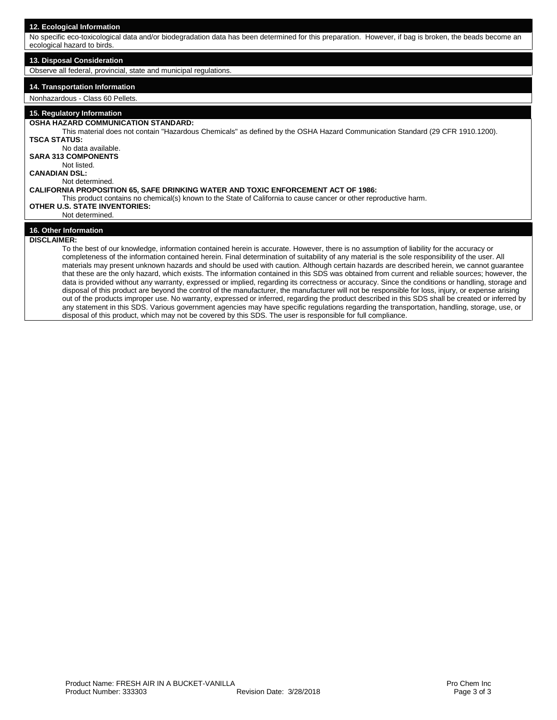No specific eco-toxicological data and/or biodegradation data has been determined for this preparation. However, if bag is broken, the beads become an ecological hazard to birds.

# **13. Disposal Consideration**

Observe all federal, provincial, state and municipal regulations.

# **14. Transportation Information** Nonhazardous - Class 60 Pellets.

# **15. Regulatory Information**

# **OSHA HAZARD COMMUNICATION STANDARD:**

This material does not contain "Hazardous Chemicals" as defined by the OSHA Hazard Communication Standard (29 CFR 1910.1200). **TSCA STATUS:** 

No data available. **SARA 313 COMPONENTS**

#### Not listed. **CANADIAN DSL:**

Not determined.

### **CALIFORNIA PROPOSITION 65, SAFE DRINKING WATER AND TOXIC ENFORCEMENT ACT OF 1986:**

This product contains no chemical(s) known to the State of California to cause cancer or other reproductive harm.

# **OTHER U.S. STATE INVENTORIES:**

# Not determined.

### **16. Other Information**

# **DISCLAIMER:**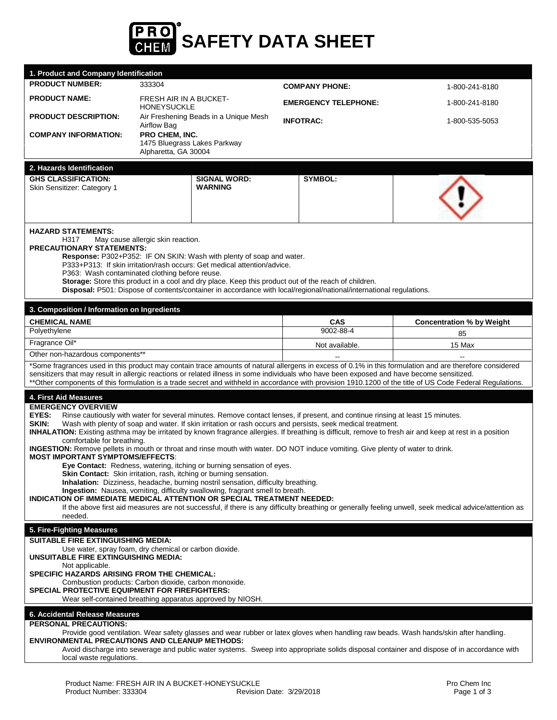

| 1. Product and Company Identification                                                                                                                                                                                                                                                                                                                                                                                                                                                                                                                                                                                                                                                                                                                                                                                                                                                                                                                                                                                                                                                                                                                                                                                                                                                                                                             |                                                                                                                                                                                                                                                                                                                                                                                                                                                                        |                             |                                  |  |
|---------------------------------------------------------------------------------------------------------------------------------------------------------------------------------------------------------------------------------------------------------------------------------------------------------------------------------------------------------------------------------------------------------------------------------------------------------------------------------------------------------------------------------------------------------------------------------------------------------------------------------------------------------------------------------------------------------------------------------------------------------------------------------------------------------------------------------------------------------------------------------------------------------------------------------------------------------------------------------------------------------------------------------------------------------------------------------------------------------------------------------------------------------------------------------------------------------------------------------------------------------------------------------------------------------------------------------------------------|------------------------------------------------------------------------------------------------------------------------------------------------------------------------------------------------------------------------------------------------------------------------------------------------------------------------------------------------------------------------------------------------------------------------------------------------------------------------|-----------------------------|----------------------------------|--|
| <b>PRODUCT NUMBER:</b>                                                                                                                                                                                                                                                                                                                                                                                                                                                                                                                                                                                                                                                                                                                                                                                                                                                                                                                                                                                                                                                                                                                                                                                                                                                                                                                            | 333304                                                                                                                                                                                                                                                                                                                                                                                                                                                                 | <b>COMPANY PHONE:</b>       | 1-800-241-8180                   |  |
| <b>PRODUCT NAME:</b>                                                                                                                                                                                                                                                                                                                                                                                                                                                                                                                                                                                                                                                                                                                                                                                                                                                                                                                                                                                                                                                                                                                                                                                                                                                                                                                              | <b>FRESH AIR IN A BUCKET-</b><br><b>HONEYSUCKLE</b>                                                                                                                                                                                                                                                                                                                                                                                                                    | <b>EMERGENCY TELEPHONE:</b> | 1-800-241-8180                   |  |
| <b>PRODUCT DESCRIPTION:</b>                                                                                                                                                                                                                                                                                                                                                                                                                                                                                                                                                                                                                                                                                                                                                                                                                                                                                                                                                                                                                                                                                                                                                                                                                                                                                                                       | Air Freshening Beads in a Unique Mesh<br>Airflow Bag                                                                                                                                                                                                                                                                                                                                                                                                                   | <b>INFOTRAC:</b>            | 1-800-535-5053                   |  |
| <b>COMPANY INFORMATION:</b>                                                                                                                                                                                                                                                                                                                                                                                                                                                                                                                                                                                                                                                                                                                                                                                                                                                                                                                                                                                                                                                                                                                                                                                                                                                                                                                       | PRO CHEM, INC.<br>1475 Bluegrass Lakes Parkway<br>Alpharetta, GA 30004                                                                                                                                                                                                                                                                                                                                                                                                 |                             |                                  |  |
| 2. Hazards Identification                                                                                                                                                                                                                                                                                                                                                                                                                                                                                                                                                                                                                                                                                                                                                                                                                                                                                                                                                                                                                                                                                                                                                                                                                                                                                                                         |                                                                                                                                                                                                                                                                                                                                                                                                                                                                        |                             |                                  |  |
| <b>GHS CLASSIFICATION:</b><br>Skin Sensitizer: Category 1                                                                                                                                                                                                                                                                                                                                                                                                                                                                                                                                                                                                                                                                                                                                                                                                                                                                                                                                                                                                                                                                                                                                                                                                                                                                                         | <b>SIGNAL WORD:</b><br><b>WARNING</b>                                                                                                                                                                                                                                                                                                                                                                                                                                  | <b>SYMBOL:</b>              |                                  |  |
| <b>HAZARD STATEMENTS:</b><br>H317<br><b>PRECAUTIONARY STATEMENTS:</b><br>3. Composition / Information on Ingredients                                                                                                                                                                                                                                                                                                                                                                                                                                                                                                                                                                                                                                                                                                                                                                                                                                                                                                                                                                                                                                                                                                                                                                                                                              | May cause allergic skin reaction.<br>Response: P302+P352: IF ON SKIN: Wash with plenty of soap and water.<br>P333+P313: If skin irritation/rash occurs: Get medical attention/advice.<br>P363: Wash contaminated clothing before reuse.<br>Storage: Store this product in a cool and dry place. Keep this product out of the reach of children.<br>Disposal: P501: Dispose of contents/container in accordance with local/regional/national/international regulations. |                             |                                  |  |
| <b>CHEMICAL NAME</b>                                                                                                                                                                                                                                                                                                                                                                                                                                                                                                                                                                                                                                                                                                                                                                                                                                                                                                                                                                                                                                                                                                                                                                                                                                                                                                                              |                                                                                                                                                                                                                                                                                                                                                                                                                                                                        | <b>CAS</b>                  | <b>Concentration % by Weight</b> |  |
| Polyethylene                                                                                                                                                                                                                                                                                                                                                                                                                                                                                                                                                                                                                                                                                                                                                                                                                                                                                                                                                                                                                                                                                                                                                                                                                                                                                                                                      |                                                                                                                                                                                                                                                                                                                                                                                                                                                                        | 9002-88-4                   | 85                               |  |
| Fragrance Oil*                                                                                                                                                                                                                                                                                                                                                                                                                                                                                                                                                                                                                                                                                                                                                                                                                                                                                                                                                                                                                                                                                                                                                                                                                                                                                                                                    |                                                                                                                                                                                                                                                                                                                                                                                                                                                                        | Not available.              | 15 Max                           |  |
| Other non-hazardous components**                                                                                                                                                                                                                                                                                                                                                                                                                                                                                                                                                                                                                                                                                                                                                                                                                                                                                                                                                                                                                                                                                                                                                                                                                                                                                                                  |                                                                                                                                                                                                                                                                                                                                                                                                                                                                        |                             |                                  |  |
|                                                                                                                                                                                                                                                                                                                                                                                                                                                                                                                                                                                                                                                                                                                                                                                                                                                                                                                                                                                                                                                                                                                                                                                                                                                                                                                                                   | *Some fragrances used in this product may contain trace amounts of natural allergens in excess of 0.1% in this formulation and are therefore considered<br>sensitizers that may result in allergic reactions or related illness in some individuals who have been exposed and have become sensitized.<br>**Other components of this formulation is a trade secret and withheld in accordance with provision 1910.1200 of the title of US Code Federal Regulations.     |                             |                                  |  |
| 4. First Aid Measures<br><b>EMERGENCY OVERVIEW</b><br>EYES:<br>Rinse cautiously with water for several minutes. Remove contact lenses, if present, and continue rinsing at least 15 minutes.<br>Wash with plenty of soap and water. If skin irritation or rash occurs and persists, seek medical treatment.<br>SKIN:<br>INHALATION: Existing asthma may be irritated by known fragrance allergies. If breathing is difficult, remove to fresh air and keep at rest in a position<br>comfortable for breathing.<br>INGESTION: Remove pellets in mouth or throat and rinse mouth with water. DO NOT induce vomiting. Give plenty of water to drink.<br><b>MOST IMPORTANT SYMPTOMS/EFFECTS:</b><br>Eye Contact: Redness, watering, itching or burning sensation of eyes.<br><b>Skin Contact:</b> Skin irritation, rash, itching or burning sensation.<br>Inhalation: Dizziness, headache, burning nostril sensation, difficulty breathing.<br>Ingestion: Nausea, vomiting, difficulty swallowing, fragrant smell to breath.<br>INDICATION OF IMMEDIATE MEDICAL ATTENTION OR SPECIAL TREATMENT NEEDED:<br>If the above first aid measures are not successful, if there is any difficulty breathing or generally feeling unwell, seek medical advice/attention as<br>needed.<br>5. Fire-Fighting Measures<br><b>SUITABLE FIRE EXTINGUISHING MEDIA:</b> |                                                                                                                                                                                                                                                                                                                                                                                                                                                                        |                             |                                  |  |
| Use water, spray foam, dry chemical or carbon dioxide.<br><b>UNSUITABLE FIRE EXTINGUISHING MEDIA:</b><br>Not applicable.<br>SPECIFIC HAZARDS ARISING FROM THE CHEMICAL:<br>Combustion products: Carbon dioxide, carbon monoxide.<br>SPECIAL PROTECTIVE EQUIPMENT FOR FIREFIGHTERS:<br>Wear self-contained breathing apparatus approved by NIOSH.                                                                                                                                                                                                                                                                                                                                                                                                                                                                                                                                                                                                                                                                                                                                                                                                                                                                                                                                                                                                  |                                                                                                                                                                                                                                                                                                                                                                                                                                                                        |                             |                                  |  |
| 6. Accidental Release Measures<br><b>PERSONAL PRECAUTIONS:</b><br>Provide good ventilation. Wear safety glasses and wear rubber or latex gloves when handling raw beads. Wash hands/skin after handling.<br><b>ENVIRONMENTAL PRECAUTIONS AND CLEANUP METHODS:</b><br>Avoid discharge into sewerage and public water systems. Sweep into appropriate solids disposal container and dispose of in accordance with<br>local waste regulations.                                                                                                                                                                                                                                                                                                                                                                                                                                                                                                                                                                                                                                                                                                                                                                                                                                                                                                       |                                                                                                                                                                                                                                                                                                                                                                                                                                                                        |                             |                                  |  |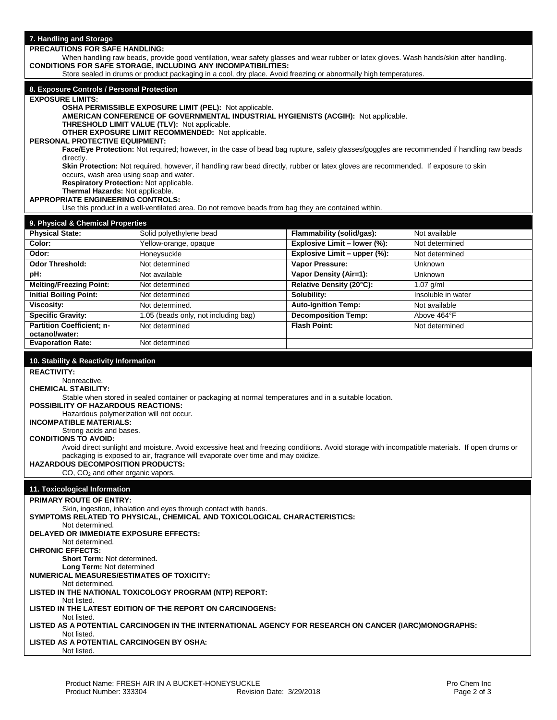# **7. Handling and Storage PRECAUTIONS FOR SAFE HANDLING:**  When handling raw beads, provide good ventilation, wear safety glasses and wear rubber or latex gloves. Wash hands/skin after handling. **CONDITIONS FOR SAFE STORAGE, INCLUDING ANY INCOMPATIBILITIES:**  Store sealed in drums or product packaging in a cool, dry place. Avoid freezing or abnormally high temperatures. **8. Exposure Controls / Personal Protection EXPOSURE LIMITS: OSHA PERMISSIBLE EXPOSURE LIMIT (PEL):** Not applicable. **AMERICAN CONFERENCE OF GOVERNMENTAL INDUSTRIAL HYGIENISTS (ACGIH):** Not applicable. **THRESHOLD LIMIT VALUE (TLV):** Not applicable. **OTHER EXPOSURE LIMIT RECOMMENDED:** Not applicable. **PERSONAL PROTECTIVE EQUIPMENT: Face/Eye Protection:** Not required; however, in the case of bead bag rupture, safety glasses/goggles are recommended if handling raw beads directly. **Skin Protection:** Not required, however, if handling raw bead directly, rubber or latex gloves are recommended. If exposure to skin occurs, wash area using soap and water. **Respiratory Protection:** Not applicable. **Thermal Hazards:** Not applicable. **APPROPRIATE ENGINEERING CONTROLS:** Use this product in a well-ventilated area. Do not remove beads from bag they are contained within. **9. Physical & Chemical Properties Physical State:** Solid polyethylene bead **Flammability (solid/gas):** Not available **Color:** Yellow-orange, opaque **Explosive Limit – lower (%):** Not determined **Odor: Explosive Limit – upper (%):** Not determined **Odor Threshold:** Not determined **Vapor Pressure:** Unknown **pH:** Not available **Vapor Density (Air=1):** Unknown **Melting/Freezing Point:** Not determined **Relative Density (20°C):** 1.07 g/ml **Initial Boiling Point:** Not determined **Solubility: Solubility:** Insoluble in water **Viscosity:** Not determined. **Auto-Ignition Temp:** Not available **Specific Gravity:** 1.05 (beads only, not including bag) **Decomposition Temp:** Above 464°F<br>**Partition Coefficient: n-** Not determined **Elash Point:** Not determined **Partition Coefficient; noctanol/water:** Not determined **Flash Point:** Not determined **Flash Point:** Not determined **Evaporation Rate:** Not determined **10. Stability & Reactivity Information REACTIVITY:** Nonreactive. **CHEMICAL STABILITY:**  Stable when stored in sealed container or packaging at normal temperatures and in a suitable location. **POSSIBILITY OF HAZARDOUS REACTIONS:**  Hazardous polymerization will not occur. **INCOMPATIBLE MATERIALS:** Strong acids and bases. **CONDITIONS TO AVOID:**  Avoid direct sunlight and moisture. Avoid excessive heat and freezing conditions. Avoid storage with incompatible materials. If open drums or packaging is exposed to air, fragrance will evaporate over time and may oxidize. **HAZARDOUS DECOMPOSITION PRODUCTS:** CO, CO<sub>2</sub> and other organic vapors. **11. Toxicological Information PRIMARY ROUTE OF ENTRY:** Skin, ingestion, inhalation and eyes through contact with hands. **SYMPTOMS RELATED TO PHYSICAL, CHEMICAL AND TOXICOLOGICAL CHARACTERISTICS:**  Not determined. **DELAYED OR IMMEDIATE EXPOSURE EFFECTS:** Not determined. **CHRONIC EFFECTS: Short Term:** Not determined**. Long Term:** Not determined **NUMERICAL MEASURES/ESTIMATES OF TOXICITY:** Not determined. **LISTED IN THE NATIONAL TOXICOLOGY PROGRAM (NTP) REPORT:** Not listed. **LISTED IN THE LATEST EDITION OF THE REPORT ON CARCINOGENS:** Not listed. **LISTED AS A POTENTIAL CARCINOGEN IN THE INTERNATIONAL AGENCY FOR RESEARCH ON CANCER (IARC)MONOGRAPHS:** Not listed. **LISTED AS A POTENTIAL CARCINOGEN BY OSHA:**

Not listed.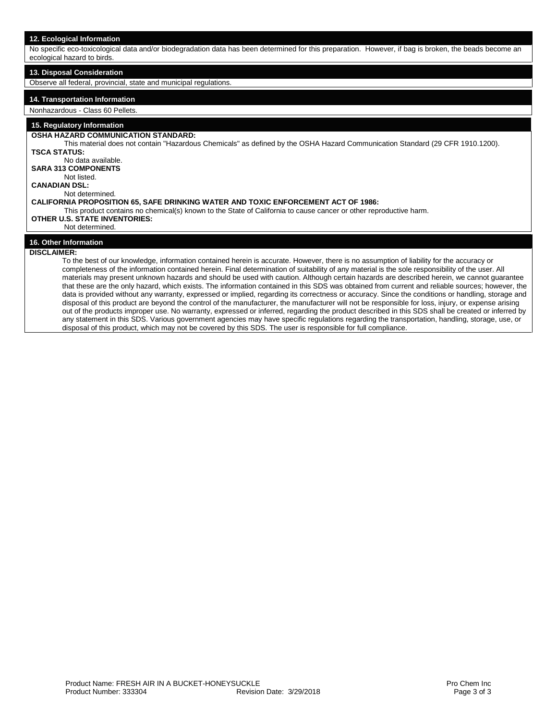No specific eco-toxicological data and/or biodegradation data has been determined for this preparation. However, if bag is broken, the beads become an ecological hazard to birds.

# **13. Disposal Consideration**

Observe all federal, provincial, state and municipal regulations.

# **14. Transportation Information**

# Nonhazardous - Class 60 Pellets.

# **15. Regulatory Information**

**OSHA HAZARD COMMUNICATION STANDARD:**  This material does not contain "Hazardous Chemicals" as defined by the OSHA Hazard Communication Standard (29 CFR 1910.1200). **TSCA STATUS:**  No data available. **SARA 313 COMPONENTS** Not listed. **CANADIAN DSL:**

#### Not determined. **CALIFORNIA PROPOSITION 65, SAFE DRINKING WATER AND TOXIC ENFORCEMENT ACT OF 1986:**

This product contains no chemical(s) known to the State of California to cause cancer or other reproductive harm.

# **OTHER U.S. STATE INVENTORIES:**

#### Not determined.

# **16. Other Information**

# **DISCLAIMER:**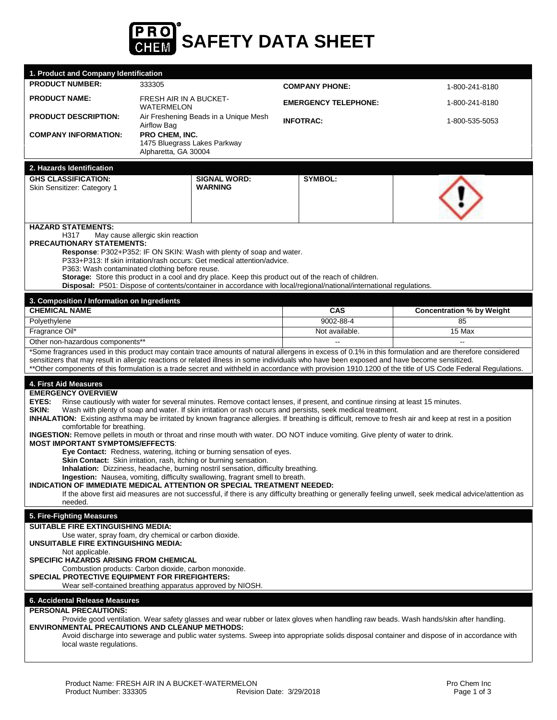

| <b>PRODUCT NUMBER:</b>                                                                                                                                                                                                                                                                                                                                                                                                                                                                                                                                                                                                                                                                                                                                                                                                                                                                                                                                                                                                                                                                                                                                                                                                                                                                        | 333305                                                                                                                                                                                                                                                                                                                                                                                                                                                                | <b>COMPANY PHONE:</b>       | 1-800-241-8180                         |  |
|-----------------------------------------------------------------------------------------------------------------------------------------------------------------------------------------------------------------------------------------------------------------------------------------------------------------------------------------------------------------------------------------------------------------------------------------------------------------------------------------------------------------------------------------------------------------------------------------------------------------------------------------------------------------------------------------------------------------------------------------------------------------------------------------------------------------------------------------------------------------------------------------------------------------------------------------------------------------------------------------------------------------------------------------------------------------------------------------------------------------------------------------------------------------------------------------------------------------------------------------------------------------------------------------------|-----------------------------------------------------------------------------------------------------------------------------------------------------------------------------------------------------------------------------------------------------------------------------------------------------------------------------------------------------------------------------------------------------------------------------------------------------------------------|-----------------------------|----------------------------------------|--|
| <b>PRODUCT NAME:</b>                                                                                                                                                                                                                                                                                                                                                                                                                                                                                                                                                                                                                                                                                                                                                                                                                                                                                                                                                                                                                                                                                                                                                                                                                                                                          | FRESH AIR IN A BUCKET-<br>WATERMELON                                                                                                                                                                                                                                                                                                                                                                                                                                  | <b>EMERGENCY TELEPHONE:</b> | 1-800-241-8180                         |  |
| <b>PRODUCT DESCRIPTION:</b>                                                                                                                                                                                                                                                                                                                                                                                                                                                                                                                                                                                                                                                                                                                                                                                                                                                                                                                                                                                                                                                                                                                                                                                                                                                                   | Air Freshening Beads in a Unique Mesh<br>Airflow Bag                                                                                                                                                                                                                                                                                                                                                                                                                  | <b>INFOTRAC:</b>            | 1-800-535-5053                         |  |
| <b>COMPANY INFORMATION:</b>                                                                                                                                                                                                                                                                                                                                                                                                                                                                                                                                                                                                                                                                                                                                                                                                                                                                                                                                                                                                                                                                                                                                                                                                                                                                   | PRO CHEM, INC.<br>1475 Bluegrass Lakes Parkway<br>Alpharetta, GA 30004                                                                                                                                                                                                                                                                                                                                                                                                |                             |                                        |  |
| 2. Hazards Identification                                                                                                                                                                                                                                                                                                                                                                                                                                                                                                                                                                                                                                                                                                                                                                                                                                                                                                                                                                                                                                                                                                                                                                                                                                                                     |                                                                                                                                                                                                                                                                                                                                                                                                                                                                       |                             |                                        |  |
| <b>GHS CLASSIFICATION:</b><br>Skin Sensitizer: Category 1                                                                                                                                                                                                                                                                                                                                                                                                                                                                                                                                                                                                                                                                                                                                                                                                                                                                                                                                                                                                                                                                                                                                                                                                                                     | <b>SIGNAL WORD:</b><br><b>WARNING</b>                                                                                                                                                                                                                                                                                                                                                                                                                                 | SYMBOL:                     |                                        |  |
| <b>HAZARD STATEMENTS:</b><br>H317<br><b>PRECAUTIONARY STATEMENTS:</b>                                                                                                                                                                                                                                                                                                                                                                                                                                                                                                                                                                                                                                                                                                                                                                                                                                                                                                                                                                                                                                                                                                                                                                                                                         | May cause allergic skin reaction<br>Response: P302+P352: IF ON SKIN: Wash with plenty of soap and water.<br>P333+P313: If skin irritation/rash occurs: Get medical attention/advice.<br>P363: Wash contaminated clothing before reuse.<br>Storage: Store this product in a cool and dry place. Keep this product out of the reach of children.<br>Disposal: P501: Dispose of contents/container in accordance with local/regional/national/international regulations. |                             |                                        |  |
| 3. Composition / Information on Ingredients                                                                                                                                                                                                                                                                                                                                                                                                                                                                                                                                                                                                                                                                                                                                                                                                                                                                                                                                                                                                                                                                                                                                                                                                                                                   |                                                                                                                                                                                                                                                                                                                                                                                                                                                                       |                             |                                        |  |
| <b>CHEMICAL NAME</b>                                                                                                                                                                                                                                                                                                                                                                                                                                                                                                                                                                                                                                                                                                                                                                                                                                                                                                                                                                                                                                                                                                                                                                                                                                                                          |                                                                                                                                                                                                                                                                                                                                                                                                                                                                       | CAS<br>9002-88-4            | <b>Concentration % by Weight</b><br>85 |  |
| Polyethylene<br>Fragrance Oil*                                                                                                                                                                                                                                                                                                                                                                                                                                                                                                                                                                                                                                                                                                                                                                                                                                                                                                                                                                                                                                                                                                                                                                                                                                                                |                                                                                                                                                                                                                                                                                                                                                                                                                                                                       | Not available.              | 15 Max                                 |  |
| Other non-hazardous components**                                                                                                                                                                                                                                                                                                                                                                                                                                                                                                                                                                                                                                                                                                                                                                                                                                                                                                                                                                                                                                                                                                                                                                                                                                                              |                                                                                                                                                                                                                                                                                                                                                                                                                                                                       |                             |                                        |  |
|                                                                                                                                                                                                                                                                                                                                                                                                                                                                                                                                                                                                                                                                                                                                                                                                                                                                                                                                                                                                                                                                                                                                                                                                                                                                                               | *Some fragrances used in this product may contain trace amounts of natural allergens in excess of 0.1% in this formulation and are therefore considered<br>sensitizers that may result in allergic reactions or related illness in some individuals who have been exposed and have become sensitized.<br>**Other components of this formulation is a trade secret and withheld in accordance with provision 1910.1200 of the title of US Code Federal Regulations.    |                             |                                        |  |
| 4. First Aid Measures<br><b>EMERGENCY OVERVIEW</b><br>Rinse cautiously with water for several minutes. Remove contact lenses, if present, and continue rinsing at least 15 minutes.<br>EYES:<br>SKIN:<br>Wash with plenty of soap and water. If skin irritation or rash occurs and persists, seek medical treatment.<br>INHALATION: Existing asthma may be irritated by known fragrance allergies. If breathing is difficult, remove to fresh air and keep at rest in a position<br>comfortable for breathing.<br>INGESTION: Remove pellets in mouth or throat and rinse mouth with water. DO NOT induce vomiting. Give plenty of water to drink.<br><b>MOST IMPORTANT SYMPTOMS/EFFECTS:</b><br>Eye Contact: Redness, watering, itching or burning sensation of eyes.<br>Skin Contact: Skin irritation, rash, itching or burning sensation.<br>Inhalation: Dizziness, headache, burning nostril sensation, difficulty breathing.<br>Ingestion: Nausea, vomiting, difficulty swallowing, fragrant smell to breath.<br>INDICATION OF IMMEDIATE MEDICAL ATTENTION OR SPECIAL TREATMENT NEEDED:<br>If the above first aid measures are not successful, if there is any difficulty breathing or generally feeling unwell, seek medical advice/attention as<br>needed.<br>5. Fire-Fighting Measures |                                                                                                                                                                                                                                                                                                                                                                                                                                                                       |                             |                                        |  |
| SUITABLE FIRE EXTINGUISHING MEDIA:<br>Use water, spray foam, dry chemical or carbon dioxide.<br>UNSUITABLE FIRE EXTINGUISHING MEDIA:<br>Not applicable.<br><b>SPECIFIC HAZARDS ARISING FROM CHEMICAL</b><br>Combustion products: Carbon dioxide, carbon monoxide.<br>SPECIAL PROTECTIVE EQUIPMENT FOR FIREFIGHTERS:<br>Wear self-contained breathing apparatus approved by NIOSH.                                                                                                                                                                                                                                                                                                                                                                                                                                                                                                                                                                                                                                                                                                                                                                                                                                                                                                             |                                                                                                                                                                                                                                                                                                                                                                                                                                                                       |                             |                                        |  |
| 6. Accidental Release Measures                                                                                                                                                                                                                                                                                                                                                                                                                                                                                                                                                                                                                                                                                                                                                                                                                                                                                                                                                                                                                                                                                                                                                                                                                                                                |                                                                                                                                                                                                                                                                                                                                                                                                                                                                       |                             |                                        |  |
| <b>PERSONAL PRECAUTIONS:</b><br>Provide good ventilation. Wear safety glasses and wear rubber or latex gloves when handling raw beads. Wash hands/skin after handling.<br><b>ENVIRONMENTAL PRECAUTIONS AND CLEANUP METHODS:</b><br>Avoid discharge into sewerage and public water systems. Sweep into appropriate solids disposal container and dispose of in accordance with<br>local waste regulations.                                                                                                                                                                                                                                                                                                                                                                                                                                                                                                                                                                                                                                                                                                                                                                                                                                                                                     |                                                                                                                                                                                                                                                                                                                                                                                                                                                                       |                             |                                        |  |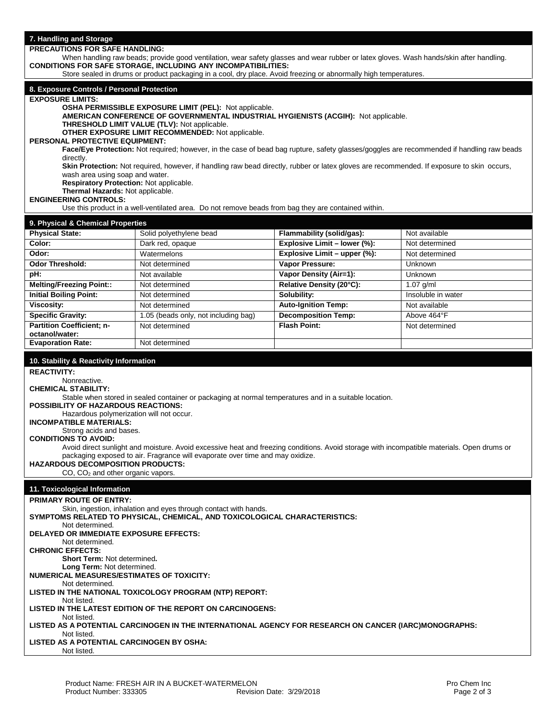**PRECAUTIONS FOR SAFE HANDLING:** 

When handling raw beads; provide good ventilation, wear safety glasses and wear rubber or latex gloves. Wash hands/skin after handling. **CONDITIONS FOR SAFE STORAGE, INCLUDING ANY INCOMPATIBILITIES:** 

# Store sealed in drums or product packaging in a cool, dry place. Avoid freezing or abnormally high temperatures. **8. Exposure Controls / Personal Protection EXPOSURE LIMITS: OSHA PERMISSIBLE EXPOSURE LIMIT (PEL):** Not applicable. **AMERICAN CONFERENCE OF GOVERNMENTAL INDUSTRIAL HYGIENISTS (ACGIH):** Not applicable. **THRESHOLD LIMIT VALUE (TLV):** Not applicable. **OTHER EXPOSURE LIMIT RECOMMENDED:** Not applicable. **PERSONAL PROTECTIVE EQUIPMENT: Face/Eye Protection:** Not required; however, in the case of bead bag rupture, safety glasses/goggles are recommended if handling raw beads directly. Skin Protection: Not required, however, if handling raw bead directly, rubber or latex gloves are recommended. If exposure to skin occurs, wash area using soap and water. **Respiratory Protection:** Not applicable. **Thermal Hazards:** Not applicable. **ENGINEERING CONTROLS:** Use this product in a well-ventilated area. Do not remove beads from bag they are contained within. **9. Physical & Chemical Properties Physical State:** Solid polyethylene bead **Flammability (solid/gas):** Not available **Color: Explosive Limit – lower (%):** Not determined **Odor:** Watermelons **Explosive Limit – upper (%):** Not determined **Odor Threshold:** Not determined **Vapor Pressure:** Unknown **pH:** Not available **Vapor Density (Air=1):** Unknown **Melting/Freezing Point::** Not determined **Relative Density (20°C):** 1.07 g/ml **Initial Boiling Point:** Not determined **Solubility: Solubility:** Insoluble in water **Viscosity:** Not determined **Auto-Ignition Temp:** Not available **Specific Gravity:** 1.05 (beads only, not including bag) **Decomposition Temp:** Above 464°F<br>**Partition Coefficient: n-** Not determined **Flash Point:** Not determined **Partition Coefficient; noctanol/water:** Not determined **Flash Point:** Not determined **Flash Point:** Not determined **Evaporation Rate:** Not determined **10. Stability & Reactivity Information REACTIVITY:** Nonreactive. **CHEMICAL STABILITY:**  Stable when stored in sealed container or packaging at normal temperatures and in a suitable location. **POSSIBILITY OF HAZARDOUS REACTIONS:**  Hazardous polymerization will not occur. **INCOMPATIBLE MATERIALS:** Strong acids and bases. **CONDITIONS TO AVOID:**  Avoid direct sunlight and moisture. Avoid excessive heat and freezing conditions. Avoid storage with incompatible materials. Open drums or packaging exposed to air. Fragrance will evaporate over time and may oxidize. **HAZARDOUS DECOMPOSITION PRODUCTS:**  $CO$ ,  $CO<sub>2</sub>$  and other organic vapors. **11. Toxicological Information PRIMARY ROUTE OF ENTRY:** Skin, ingestion, inhalation and eyes through contact with hands. **SYMPTOMS RELATED TO PHYSICAL, CHEMICAL, AND TOXICOLOGICAL CHARACTERISTICS:**  Not determined. **DELAYED OR IMMEDIATE EXPOSURE EFFECTS:** Not determined. **CHRONIC EFFECTS: Short Term:** Not determined**. Long Term:** Not determined. **NUMERICAL MEASURES/ESTIMATES OF TOXICITY:** Not determined. **LISTED IN THE NATIONAL TOXICOLOGY PROGRAM (NTP) REPORT:** Not listed. **LISTED IN THE LATEST EDITION OF THE REPORT ON CARCINOGENS:** Not listed. **LISTED AS A POTENTIAL CARCINOGEN IN THE INTERNATIONAL AGENCY FOR RESEARCH ON CANCER (IARC)MONOGRAPHS:** Not listed. **LISTED AS A POTENTIAL CARCINOGEN BY OSHA:**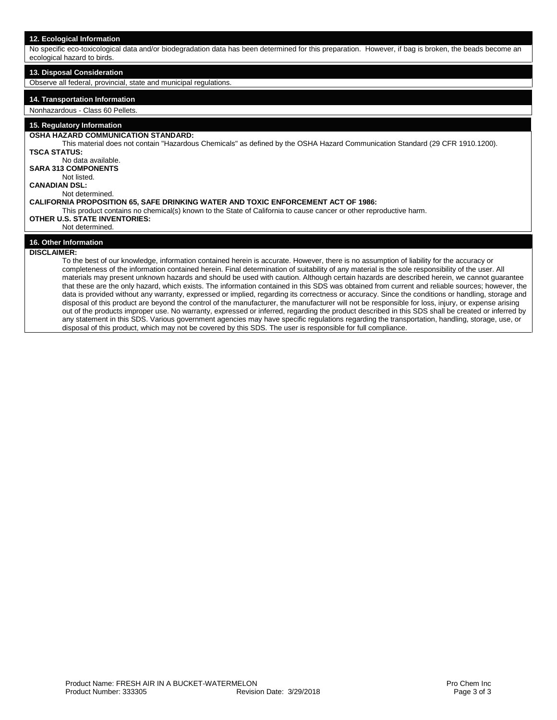No specific eco-toxicological data and/or biodegradation data has been determined for this preparation. However, if bag is broken, the beads become an ecological hazard to birds.

# **13. Disposal Consideration**

Observe all federal, provincial, state and municipal regulations.

# **14. Transportation Information**

## Nonhazardous - Class 60 Pellets.

# **15. Regulatory Information**

**OSHA HAZARD COMMUNICATION STANDARD:** 

This material does not contain "Hazardous Chemicals" as defined by the OSHA Hazard Communication Standard (29 CFR 1910.1200). **TSCA STATUS:**  No data available. **SARA 313 COMPONENTS**

Not listed.

# **CANADIAN DSL:**

Not determined.

**CALIFORNIA PROPOSITION 65, SAFE DRINKING WATER AND TOXIC ENFORCEMENT ACT OF 1986:** 

This product contains no chemical(s) known to the State of California to cause cancer or other reproductive harm.

# **OTHER U.S. STATE INVENTORIES:**

#### Not determined.

# **16. Other Information**

# **DISCLAIMER:**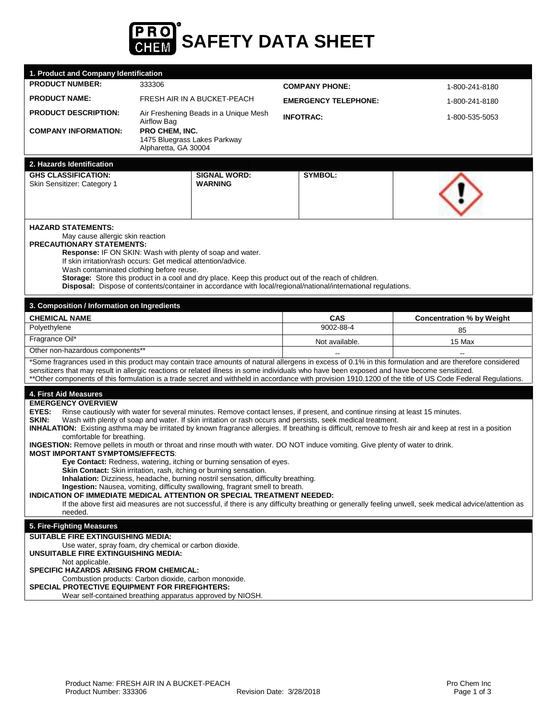

| 1. Product and Company Identification                                                                                                                                                                                                                                                                                                                                                                                                                                                                                                                                                                                                                                                                                                                                                                                                                                                                                                                                                                                                                                                                                                                                                                                                                                                                                                                                                                                                                                                                                                                                                                                                                                                                                                                                      |                                                                                                                                                                                                                                                                                                                                                     |                             |                                  |  |
|----------------------------------------------------------------------------------------------------------------------------------------------------------------------------------------------------------------------------------------------------------------------------------------------------------------------------------------------------------------------------------------------------------------------------------------------------------------------------------------------------------------------------------------------------------------------------------------------------------------------------------------------------------------------------------------------------------------------------------------------------------------------------------------------------------------------------------------------------------------------------------------------------------------------------------------------------------------------------------------------------------------------------------------------------------------------------------------------------------------------------------------------------------------------------------------------------------------------------------------------------------------------------------------------------------------------------------------------------------------------------------------------------------------------------------------------------------------------------------------------------------------------------------------------------------------------------------------------------------------------------------------------------------------------------------------------------------------------------------------------------------------------------|-----------------------------------------------------------------------------------------------------------------------------------------------------------------------------------------------------------------------------------------------------------------------------------------------------------------------------------------------------|-----------------------------|----------------------------------|--|
| <b>PRODUCT NUMBER:</b>                                                                                                                                                                                                                                                                                                                                                                                                                                                                                                                                                                                                                                                                                                                                                                                                                                                                                                                                                                                                                                                                                                                                                                                                                                                                                                                                                                                                                                                                                                                                                                                                                                                                                                                                                     | 333306                                                                                                                                                                                                                                                                                                                                              | <b>COMPANY PHONE:</b>       | 1-800-241-8180                   |  |
| <b>PRODUCT NAME:</b>                                                                                                                                                                                                                                                                                                                                                                                                                                                                                                                                                                                                                                                                                                                                                                                                                                                                                                                                                                                                                                                                                                                                                                                                                                                                                                                                                                                                                                                                                                                                                                                                                                                                                                                                                       | FRESH AIR IN A BUCKET-PEACH                                                                                                                                                                                                                                                                                                                         | <b>EMERGENCY TELEPHONE:</b> | 1-800-241-8180                   |  |
| <b>PRODUCT DESCRIPTION:</b>                                                                                                                                                                                                                                                                                                                                                                                                                                                                                                                                                                                                                                                                                                                                                                                                                                                                                                                                                                                                                                                                                                                                                                                                                                                                                                                                                                                                                                                                                                                                                                                                                                                                                                                                                | Air Freshening Beads in a Unique Mesh                                                                                                                                                                                                                                                                                                               | <b>INFOTRAC:</b>            | 1-800-535-5053                   |  |
| <b>COMPANY INFORMATION:</b>                                                                                                                                                                                                                                                                                                                                                                                                                                                                                                                                                                                                                                                                                                                                                                                                                                                                                                                                                                                                                                                                                                                                                                                                                                                                                                                                                                                                                                                                                                                                                                                                                                                                                                                                                | <b>Airflow Bag</b><br>PRO CHEM, INC.<br>1475 Bluegrass Lakes Parkway<br>Alpharetta, GA 30004                                                                                                                                                                                                                                                        |                             |                                  |  |
| 2. Hazards Identification                                                                                                                                                                                                                                                                                                                                                                                                                                                                                                                                                                                                                                                                                                                                                                                                                                                                                                                                                                                                                                                                                                                                                                                                                                                                                                                                                                                                                                                                                                                                                                                                                                                                                                                                                  |                                                                                                                                                                                                                                                                                                                                                     |                             |                                  |  |
| <b>GHS CLASSIFICATION:</b><br>Skin Sensitizer: Category 1                                                                                                                                                                                                                                                                                                                                                                                                                                                                                                                                                                                                                                                                                                                                                                                                                                                                                                                                                                                                                                                                                                                                                                                                                                                                                                                                                                                                                                                                                                                                                                                                                                                                                                                  | <b>SIGNAL WORD:</b><br><b>WARNING</b>                                                                                                                                                                                                                                                                                                               | <b>SYMBOL:</b>              |                                  |  |
| <b>HAZARD STATEMENTS:</b><br>May cause allergic skin reaction<br><b>PRECAUTIONARY STATEMENTS:</b><br>Wash contaminated clothing before reuse.<br>3. Composition / Information on Ingredients                                                                                                                                                                                                                                                                                                                                                                                                                                                                                                                                                                                                                                                                                                                                                                                                                                                                                                                                                                                                                                                                                                                                                                                                                                                                                                                                                                                                                                                                                                                                                                               | Response: IF ON SKIN: Wash with plenty of soap and water.<br>If skin irritation/rash occurs: Get medical attention/advice.<br>Storage: Store this product in a cool and dry place. Keep this product out of the reach of children.<br>Disposal: Dispose of contents/container in accordance with local/regional/national/international regulations. |                             |                                  |  |
| <b>CHEMICAL NAME</b>                                                                                                                                                                                                                                                                                                                                                                                                                                                                                                                                                                                                                                                                                                                                                                                                                                                                                                                                                                                                                                                                                                                                                                                                                                                                                                                                                                                                                                                                                                                                                                                                                                                                                                                                                       |                                                                                                                                                                                                                                                                                                                                                     | <b>CAS</b>                  | <b>Concentration % by Weight</b> |  |
| Polyethylene                                                                                                                                                                                                                                                                                                                                                                                                                                                                                                                                                                                                                                                                                                                                                                                                                                                                                                                                                                                                                                                                                                                                                                                                                                                                                                                                                                                                                                                                                                                                                                                                                                                                                                                                                               |                                                                                                                                                                                                                                                                                                                                                     | 9002-88-4                   | 85                               |  |
| Fragrance Oil*                                                                                                                                                                                                                                                                                                                                                                                                                                                                                                                                                                                                                                                                                                                                                                                                                                                                                                                                                                                                                                                                                                                                                                                                                                                                                                                                                                                                                                                                                                                                                                                                                                                                                                                                                             |                                                                                                                                                                                                                                                                                                                                                     | Not available.              | 15 Max                           |  |
| Other non-hazardous components**<br>*Some fragrances used in this product may contain trace amounts of natural allergens in excess of 0.1% in this formulation and are therefore considered<br>sensitizers that may result in allergic reactions or related illness in some individuals who have been exposed and have become sensitized.<br>**Other components of this formulation is a trade secret and withheld in accordance with provision 1910.1200 of the title of US Code Federal Regulations.<br>4. First Aid Measures<br><b>EMERGENCY OVERVIEW</b><br>EYES:<br>Rinse cautiously with water for several minutes. Remove contact lenses, if present, and continue rinsing at least 15 minutes.<br>Wash with plenty of soap and water. If skin irritation or rash occurs and persists, seek medical treatment.<br>SKIN:<br>INHALATION: Existing asthma may be irritated by known fragrance allergies. If breathing is difficult, remove to fresh air and keep at rest in a position<br>comfortable for breathing.<br>INGESTION: Remove pellets in mouth or throat and rinse mouth with water. DO NOT induce vomiting. Give plenty of water to drink.<br><b>MOST IMPORTANT SYMPTOMS/EFFECTS:</b><br>Eye Contact: Redness, watering, itching or burning sensation of eyes.<br>Skin Contact: Skin irritation, rash, itching or burning sensation.<br>Inhalation: Dizziness, headache, burning nostril sensation, difficulty breathing.<br>Ingestion: Nausea, vomiting, difficulty swallowing, fragrant smell to breath.<br>INDICATION OF IMMEDIATE MEDICAL ATTENTION OR SPECIAL TREATMENT NEEDED:<br>If the above first aid measures are not successful, if there is any difficulty breathing or generally feeling unwell, seek medical advice/attention as<br>needed. |                                                                                                                                                                                                                                                                                                                                                     |                             |                                  |  |
|                                                                                                                                                                                                                                                                                                                                                                                                                                                                                                                                                                                                                                                                                                                                                                                                                                                                                                                                                                                                                                                                                                                                                                                                                                                                                                                                                                                                                                                                                                                                                                                                                                                                                                                                                                            |                                                                                                                                                                                                                                                                                                                                                     |                             |                                  |  |
| 5. Fire-Fighting Measures<br><b>SUITABLE FIRE EXTINGUISHING MEDIA:</b><br>UNSUITABLE FIRE EXTINGUISHING MEDIA:<br>Not applicable.<br>SPECIFIC HAZARDS ARISING FROM CHEMICAL:<br>SPECIAL PROTECTIVE EQUIPMENT FOR FIREFIGHTERS:                                                                                                                                                                                                                                                                                                                                                                                                                                                                                                                                                                                                                                                                                                                                                                                                                                                                                                                                                                                                                                                                                                                                                                                                                                                                                                                                                                                                                                                                                                                                             | Use water, spray foam, dry chemical or carbon dioxide.<br>Combustion products: Carbon dioxide, carbon monoxide.<br>Wear self-contained breathing apparatus approved by NIOSH.                                                                                                                                                                       |                             |                                  |  |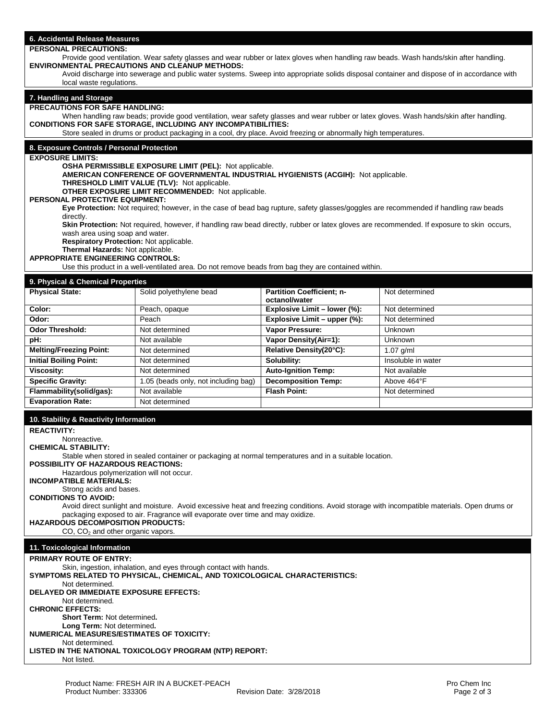# **6. Accidental Release Measures PERSONAL PRECAUTIONS:**

Provide good ventilation. Wear safety glasses and wear rubber or latex gloves when handling raw beads. Wash hands/skin after handling. **ENVIRONMENTAL PRECAUTIONS AND CLEANUP METHODS:**

Avoid discharge into sewerage and public water systems. Sweep into appropriate solids disposal container and dispose of in accordance with local waste regulations.

# **7. Handling and Storage**

# **PRECAUTIONS FOR SAFE HANDLING:**

When handling raw beads; provide good ventilation, wear safety glasses and wear rubber or latex gloves. Wash hands/skin after handling. **CONDITIONS FOR SAFE STORAGE, INCLUDING ANY INCOMPATIBILITIES:** 

Store sealed in drums or product packaging in a cool, dry place. Avoid freezing or abnormally high temperatures.

# **8. Exposure Controls / Personal Protection**

### **EXPOSURE LIMITS:**

**OSHA PERMISSIBLE EXPOSURE LIMIT (PEL):** Not applicable.

**AMERICAN CONFERENCE OF GOVERNMENTAL INDUSTRIAL HYGIENISTS (ACGIH):** Not applicable.

**THRESHOLD LIMIT VALUE (TLV):** Not applicable.

**OTHER EXPOSURE LIMIT RECOMMENDED:** Not applicable.

### **PERSONAL PROTECTIVE EQUIPMENT:**

**Eye Protection:** Not required; however, in the case of bead bag rupture, safety glasses/goggles are recommended if handling raw beads directly.

Skin Protection: Not required, however, if handling raw bead directly, rubber or latex gloves are recommended. If exposure to skin occurs, wash area using soap and water.

**Respiratory Protection:** Not applicable.

**Thermal Hazards:** Not applicable.

# **APPROPRIATE ENGINEERING CONTROLS:**

Use this product in a well-ventilated area. Do not remove beads from bag they are contained within.

# **9. Physical & Chemical Properties**

| <b>Physical State:</b>         | Solid polyethylene bead              | Partition Coefficient; n-<br>octanol/water | Not determined     |
|--------------------------------|--------------------------------------|--------------------------------------------|--------------------|
| Color:                         | Peach, opaque                        | Explosive Limit - lower (%):               | Not determined     |
| Odor:                          | Peach                                | Explosive Limit - upper (%):               | Not determined     |
| <b>Odor Threshold:</b>         | Not determined                       | Vapor Pressure:                            | Unknown            |
| pH:                            | Not available                        | Vapor Density(Air=1):                      | <b>Unknown</b>     |
| <b>Melting/Freezing Point:</b> | Not determined                       | Relative Density(20°C):                    | $1.07$ g/ml        |
| <b>Initial Boiling Point:</b>  | Not determined                       | Solubility:                                | Insoluble in water |
| Viscosity:                     | Not determined                       | <b>Auto-Ignition Temp:</b>                 | Not available      |
| <b>Specific Gravity:</b>       | 1.05 (beads only, not including bag) | <b>Decomposition Temp:</b>                 | Above 464°F        |
| Flammability(solid/gas):       | Not available                        | <b>Flash Point:</b>                        | Not determined     |
| <b>Evaporation Rate:</b>       | Not determined                       |                                            |                    |

## **10. Stability & Reactivity Information**

**REACTIVITY:**

Nonreactive.

**CHEMICAL STABILITY:** 

Stable when stored in sealed container or packaging at normal temperatures and in a suitable location.

**POSSIBILITY OF HAZARDOUS REACTIONS:** 

Hazardous polymerization will not occur.

**INCOMPATIBLE MATERIALS:**

# Strong acids and bases.

**CONDITIONS TO AVOID:** 

Avoid direct sunlight and moisture. Avoid excessive heat and freezing conditions. Avoid storage with incompatible materials. Open drums or packaging exposed to air. Fragrance will evaporate over time and may oxidize.

**HAZARDOUS DECOMPOSITION PRODUCTS:**

 $CO$ ,  $CO<sub>2</sub>$  and other organic vapors.

# **11. Toxicological Information**

| <b>PRIMARY ROUTE OF ENTRY:</b>                                             |
|----------------------------------------------------------------------------|
| Skin, ingestion, inhalation, and eyes through contact with hands.          |
| SYMPTOMS RELATED TO PHYSICAL, CHEMICAL, AND TOXICOLOGICAL CHARACTERISTICS: |
| Not determined.                                                            |
| DELAYED OR IMMEDIATE EXPOSURE EFFECTS:                                     |
| Not determined.                                                            |
| <b>CHRONIC EFFECTS:</b>                                                    |
| <b>Short Term: Not determined.</b>                                         |
| Long Term: Not determined.                                                 |
| NUMERICAL MEASURES/ESTIMATES OF TOXICITY:                                  |
| Not determined.                                                            |
| LISTED IN THE NATIONAL TOXICOLOGY PROGRAM (NTP) REPORT:                    |

Not listed.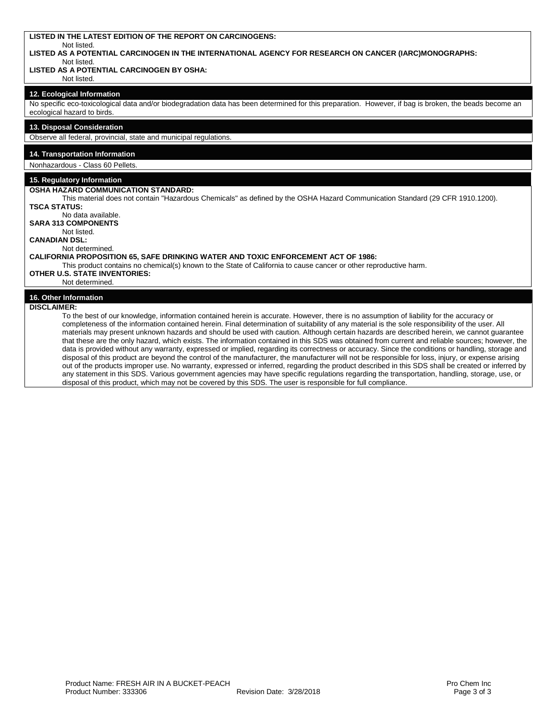| LISTED IN THE LATEST EDITION OF THE REPORT ON CARCINOGENS:<br>Not listed.<br>LISTED AS A POTENTIAL CARCINOGEN IN THE INTERNATIONAL AGENCY FOR RESEARCH ON CANCER (IARC)MONOGRAPHS:<br>Not listed.<br>LISTED AS A POTENTIAL CARCINOGEN BY OSHA:<br>Not listed.                                                                                                                                                                                                                                                                                                                                                                                                                                                                                                                                                                                                                                                                                           |
|---------------------------------------------------------------------------------------------------------------------------------------------------------------------------------------------------------------------------------------------------------------------------------------------------------------------------------------------------------------------------------------------------------------------------------------------------------------------------------------------------------------------------------------------------------------------------------------------------------------------------------------------------------------------------------------------------------------------------------------------------------------------------------------------------------------------------------------------------------------------------------------------------------------------------------------------------------|
| 12. Ecological Information<br>No specific eco-toxicological data and/or biodegradation data has been determined for this preparation. However, if bag is broken, the beads become an<br>ecological hazard to birds.                                                                                                                                                                                                                                                                                                                                                                                                                                                                                                                                                                                                                                                                                                                                     |
| 13. Disposal Consideration<br>Observe all federal, provincial, state and municipal regulations.                                                                                                                                                                                                                                                                                                                                                                                                                                                                                                                                                                                                                                                                                                                                                                                                                                                         |
| 14. Transportation Information<br>Nonhazardous - Class 60 Pellets.                                                                                                                                                                                                                                                                                                                                                                                                                                                                                                                                                                                                                                                                                                                                                                                                                                                                                      |
| 15. Regulatory Information<br><b>OSHA HAZARD COMMUNICATION STANDARD:</b><br>This material does not contain "Hazardous Chemicals" as defined by the OSHA Hazard Communication Standard (29 CFR 1910.1200).<br><b>TSCA STATUS:</b><br>No data available.<br><b>SARA 313 COMPONENTS</b><br>Not listed.<br><b>CANADIAN DSL:</b><br>Not determined.<br><b>CALIFORNIA PROPOSITION 65, SAFE DRINKING WATER AND TOXIC ENFORCEMENT ACT OF 1986:</b><br>This product contains no chemical(s) known to the State of California to cause cancer or other reproductive harm.<br><b>OTHER U.S. STATE INVENTORIES:</b><br>Not determined.                                                                                                                                                                                                                                                                                                                              |
| 16. Other Information<br><b>DISCLAIMER:</b><br>To the best of our knowledge, information contained herein is accurate. However, there is no assumption of liability for the accuracy or<br>completeness of the information contained herein. Final determination of suitability of any material is the sole responsibility of the user. All<br>materials may present unknown hazards and should be used with caution. Although certain hazards are described herein, we cannot guarantee<br>that these are the only hazard, which exists. The information contained in this SDS was obtained from current and reliable sources; however, the<br>data is provided without any warranty, expressed or implied, regarding its correctness or accuracy. Since the conditions or handling, storage and<br>disposal of this product are beyond the control of the manufacturer, the manufacturer will not be responsible for loss, injury, or expense arising |

out of the products improper use. No warranty, expressed or inferred, regarding the product described in this SDS shall be created or inferred by any statement in this SDS. Various government agencies may have specific regulations regarding the transportation, handling, storage, use, or

disposal of this product, which may not be covered by this SDS. The user is responsible for full compliance.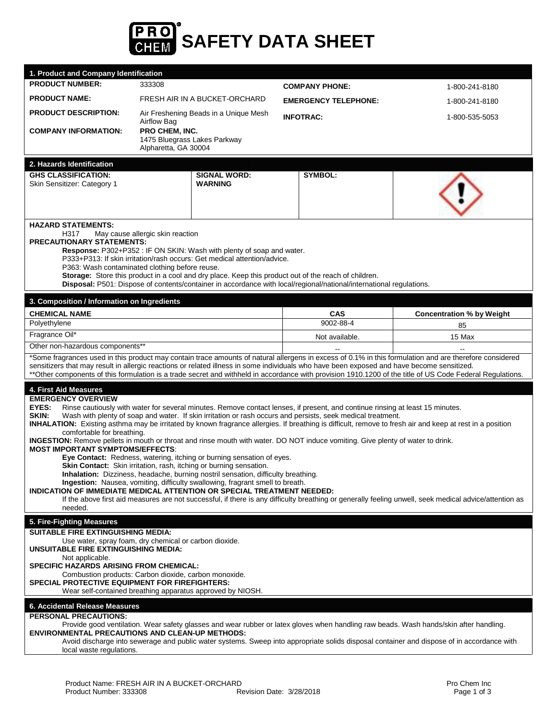

| <b>PRODUCT NUMBER:</b><br>333308<br><b>COMPANY PHONE:</b><br>1-800-241-8180<br><b>PRODUCT NAME:</b><br>FRESH AIR IN A BUCKET-ORCHARD<br><b>EMERGENCY TELEPHONE:</b><br>1-800-241-8180<br><b>PRODUCT DESCRIPTION:</b><br>Air Freshening Beads in a Unique Mesh<br><b>INFOTRAC:</b><br>1-800-535-5053<br>Airflow Bag<br>PRO CHEM. INC.<br><b>COMPANY INFORMATION:</b><br>1475 Bluegrass Lakes Parkway<br>Alpharetta, GA 30004<br>2. Hazards Identification<br><b>GHS CLASSIFICATION:</b><br><b>SIGNAL WORD:</b><br><b>SYMBOL:</b><br><b>WARNING</b><br>Skin Sensitizer: Category 1<br><b>HAZARD STATEMENTS:</b><br>H317<br>May cause allergic skin reaction<br><b>PRECAUTIONARY STATEMENTS:</b><br>Response: P302+P352 : IF ON SKIN: Wash with plenty of soap and water.<br>P333+P313: If skin irritation/rash occurs: Get medical attention/advice.<br>P363: Wash contaminated clothing before reuse.<br>Storage: Store this product in a cool and dry place. Keep this product out of the reach of children.<br>Disposal: P501: Dispose of contents/container in accordance with local/regional/national/international regulations.<br>3. Composition / Information on Ingredients<br>CAS<br><b>CHEMICAL NAME</b><br><b>Concentration % by Weight</b><br>9002-88-4<br>Polyethylene<br>85<br>Fragrance Oil*<br>15 Max<br>Not available.<br>Other non-hazardous components**<br>*Some fragrances used in this product may contain trace amounts of natural allergens in excess of 0.1% in this formulation and are therefore considered<br>sensitizers that may result in allergic reactions or related illness in some individuals who have been exposed and have become sensitized.<br>**Other components of this formulation is a trade secret and withheld in accordance with provision 1910.1200 of the title of US Code Federal Regulations.<br>4. First Aid Measures<br><b>EMERGENCY OVERVIEW</b><br>EYES:<br>Rinse cautiously with water for several minutes. Remove contact lenses, if present, and continue rinsing at least 15 minutes.<br>SKIN:<br>Wash with plenty of soap and water. If skin irritation or rash occurs and persists, seek medical treatment.<br>INHALATION: Existing asthma may be irritated by known fragrance allergies. If breathing is difficult, remove to fresh air and keep at rest in a position<br>comfortable for breathing.<br>INGESTION: Remove pellets in mouth or throat and rinse mouth with water. DO NOT induce vomiting. Give plenty of water to drink.<br><b>MOST IMPORTANT SYMPTOMS/EFFECTS:</b><br>Eye Contact: Redness, watering, itching or burning sensation of eyes.<br>Skin Contact: Skin irritation, rash, itching or burning sensation.<br><b>Inhalation:</b> Dizziness, headache, burning nostril sensation, difficulty breathing.<br>Ingestion: Nausea, vomiting, difficulty swallowing, fragrant smell to breath.<br>INDICATION OF IMMEDIATE MEDICAL ATTENTION OR SPECIAL TREATMENT NEEDED:<br>If the above first aid measures are not successful, if there is any difficulty breathing or generally feeling unwell, seek medical advice/attention as<br>needed.<br>5. Fire-Fighting Measures<br><b>SUITABLE FIRE EXTINGUISHING MEDIA:</b><br>Use water, spray foam, dry chemical or carbon dioxide.<br>UNSUITABLE FIRE EXTINGUISHING MEDIA:<br>Not applicable.<br>SPECIFIC HAZARDS ARISING FROM CHEMICAL:<br>Combustion products: Carbon dioxide, carbon monoxide.<br>SPECIAL PROTECTIVE EQUIPMENT FOR FIREFIGHTERS:<br>Wear self-contained breathing apparatus approved by NIOSH. | 1. Product and Company Identification |  |  |  |
|------------------------------------------------------------------------------------------------------------------------------------------------------------------------------------------------------------------------------------------------------------------------------------------------------------------------------------------------------------------------------------------------------------------------------------------------------------------------------------------------------------------------------------------------------------------------------------------------------------------------------------------------------------------------------------------------------------------------------------------------------------------------------------------------------------------------------------------------------------------------------------------------------------------------------------------------------------------------------------------------------------------------------------------------------------------------------------------------------------------------------------------------------------------------------------------------------------------------------------------------------------------------------------------------------------------------------------------------------------------------------------------------------------------------------------------------------------------------------------------------------------------------------------------------------------------------------------------------------------------------------------------------------------------------------------------------------------------------------------------------------------------------------------------------------------------------------------------------------------------------------------------------------------------------------------------------------------------------------------------------------------------------------------------------------------------------------------------------------------------------------------------------------------------------------------------------------------------------------------------------------------------------------------------------------------------------------------------------------------------------------------------------------------------------------------------------------------------------------------------------------------------------------------------------------------------------------------------------------------------------------------------------------------------------------------------------------------------------------------------------------------------------------------------------------------------------------------------------------------------------------------------------------------------------------------------------------------------------------------------------------------------------------------------------------------------------------------------------------------------------------------------------------------------------------------------------------------------------------------------------------------------------------------------------------------------------------------------------------------------------------------------------------------------------------------------------------------------------------------------------------------------------------------------------|---------------------------------------|--|--|--|
|                                                                                                                                                                                                                                                                                                                                                                                                                                                                                                                                                                                                                                                                                                                                                                                                                                                                                                                                                                                                                                                                                                                                                                                                                                                                                                                                                                                                                                                                                                                                                                                                                                                                                                                                                                                                                                                                                                                                                                                                                                                                                                                                                                                                                                                                                                                                                                                                                                                                                                                                                                                                                                                                                                                                                                                                                                                                                                                                                                                                                                                                                                                                                                                                                                                                                                                                                                                                                                                                                                                                                |                                       |  |  |  |
|                                                                                                                                                                                                                                                                                                                                                                                                                                                                                                                                                                                                                                                                                                                                                                                                                                                                                                                                                                                                                                                                                                                                                                                                                                                                                                                                                                                                                                                                                                                                                                                                                                                                                                                                                                                                                                                                                                                                                                                                                                                                                                                                                                                                                                                                                                                                                                                                                                                                                                                                                                                                                                                                                                                                                                                                                                                                                                                                                                                                                                                                                                                                                                                                                                                                                                                                                                                                                                                                                                                                                |                                       |  |  |  |
|                                                                                                                                                                                                                                                                                                                                                                                                                                                                                                                                                                                                                                                                                                                                                                                                                                                                                                                                                                                                                                                                                                                                                                                                                                                                                                                                                                                                                                                                                                                                                                                                                                                                                                                                                                                                                                                                                                                                                                                                                                                                                                                                                                                                                                                                                                                                                                                                                                                                                                                                                                                                                                                                                                                                                                                                                                                                                                                                                                                                                                                                                                                                                                                                                                                                                                                                                                                                                                                                                                                                                |                                       |  |  |  |
|                                                                                                                                                                                                                                                                                                                                                                                                                                                                                                                                                                                                                                                                                                                                                                                                                                                                                                                                                                                                                                                                                                                                                                                                                                                                                                                                                                                                                                                                                                                                                                                                                                                                                                                                                                                                                                                                                                                                                                                                                                                                                                                                                                                                                                                                                                                                                                                                                                                                                                                                                                                                                                                                                                                                                                                                                                                                                                                                                                                                                                                                                                                                                                                                                                                                                                                                                                                                                                                                                                                                                |                                       |  |  |  |
|                                                                                                                                                                                                                                                                                                                                                                                                                                                                                                                                                                                                                                                                                                                                                                                                                                                                                                                                                                                                                                                                                                                                                                                                                                                                                                                                                                                                                                                                                                                                                                                                                                                                                                                                                                                                                                                                                                                                                                                                                                                                                                                                                                                                                                                                                                                                                                                                                                                                                                                                                                                                                                                                                                                                                                                                                                                                                                                                                                                                                                                                                                                                                                                                                                                                                                                                                                                                                                                                                                                                                |                                       |  |  |  |
|                                                                                                                                                                                                                                                                                                                                                                                                                                                                                                                                                                                                                                                                                                                                                                                                                                                                                                                                                                                                                                                                                                                                                                                                                                                                                                                                                                                                                                                                                                                                                                                                                                                                                                                                                                                                                                                                                                                                                                                                                                                                                                                                                                                                                                                                                                                                                                                                                                                                                                                                                                                                                                                                                                                                                                                                                                                                                                                                                                                                                                                                                                                                                                                                                                                                                                                                                                                                                                                                                                                                                |                                       |  |  |  |
|                                                                                                                                                                                                                                                                                                                                                                                                                                                                                                                                                                                                                                                                                                                                                                                                                                                                                                                                                                                                                                                                                                                                                                                                                                                                                                                                                                                                                                                                                                                                                                                                                                                                                                                                                                                                                                                                                                                                                                                                                                                                                                                                                                                                                                                                                                                                                                                                                                                                                                                                                                                                                                                                                                                                                                                                                                                                                                                                                                                                                                                                                                                                                                                                                                                                                                                                                                                                                                                                                                                                                |                                       |  |  |  |
|                                                                                                                                                                                                                                                                                                                                                                                                                                                                                                                                                                                                                                                                                                                                                                                                                                                                                                                                                                                                                                                                                                                                                                                                                                                                                                                                                                                                                                                                                                                                                                                                                                                                                                                                                                                                                                                                                                                                                                                                                                                                                                                                                                                                                                                                                                                                                                                                                                                                                                                                                                                                                                                                                                                                                                                                                                                                                                                                                                                                                                                                                                                                                                                                                                                                                                                                                                                                                                                                                                                                                |                                       |  |  |  |
|                                                                                                                                                                                                                                                                                                                                                                                                                                                                                                                                                                                                                                                                                                                                                                                                                                                                                                                                                                                                                                                                                                                                                                                                                                                                                                                                                                                                                                                                                                                                                                                                                                                                                                                                                                                                                                                                                                                                                                                                                                                                                                                                                                                                                                                                                                                                                                                                                                                                                                                                                                                                                                                                                                                                                                                                                                                                                                                                                                                                                                                                                                                                                                                                                                                                                                                                                                                                                                                                                                                                                |                                       |  |  |  |
|                                                                                                                                                                                                                                                                                                                                                                                                                                                                                                                                                                                                                                                                                                                                                                                                                                                                                                                                                                                                                                                                                                                                                                                                                                                                                                                                                                                                                                                                                                                                                                                                                                                                                                                                                                                                                                                                                                                                                                                                                                                                                                                                                                                                                                                                                                                                                                                                                                                                                                                                                                                                                                                                                                                                                                                                                                                                                                                                                                                                                                                                                                                                                                                                                                                                                                                                                                                                                                                                                                                                                |                                       |  |  |  |
|                                                                                                                                                                                                                                                                                                                                                                                                                                                                                                                                                                                                                                                                                                                                                                                                                                                                                                                                                                                                                                                                                                                                                                                                                                                                                                                                                                                                                                                                                                                                                                                                                                                                                                                                                                                                                                                                                                                                                                                                                                                                                                                                                                                                                                                                                                                                                                                                                                                                                                                                                                                                                                                                                                                                                                                                                                                                                                                                                                                                                                                                                                                                                                                                                                                                                                                                                                                                                                                                                                                                                |                                       |  |  |  |
|                                                                                                                                                                                                                                                                                                                                                                                                                                                                                                                                                                                                                                                                                                                                                                                                                                                                                                                                                                                                                                                                                                                                                                                                                                                                                                                                                                                                                                                                                                                                                                                                                                                                                                                                                                                                                                                                                                                                                                                                                                                                                                                                                                                                                                                                                                                                                                                                                                                                                                                                                                                                                                                                                                                                                                                                                                                                                                                                                                                                                                                                                                                                                                                                                                                                                                                                                                                                                                                                                                                                                |                                       |  |  |  |
|                                                                                                                                                                                                                                                                                                                                                                                                                                                                                                                                                                                                                                                                                                                                                                                                                                                                                                                                                                                                                                                                                                                                                                                                                                                                                                                                                                                                                                                                                                                                                                                                                                                                                                                                                                                                                                                                                                                                                                                                                                                                                                                                                                                                                                                                                                                                                                                                                                                                                                                                                                                                                                                                                                                                                                                                                                                                                                                                                                                                                                                                                                                                                                                                                                                                                                                                                                                                                                                                                                                                                |                                       |  |  |  |
|                                                                                                                                                                                                                                                                                                                                                                                                                                                                                                                                                                                                                                                                                                                                                                                                                                                                                                                                                                                                                                                                                                                                                                                                                                                                                                                                                                                                                                                                                                                                                                                                                                                                                                                                                                                                                                                                                                                                                                                                                                                                                                                                                                                                                                                                                                                                                                                                                                                                                                                                                                                                                                                                                                                                                                                                                                                                                                                                                                                                                                                                                                                                                                                                                                                                                                                                                                                                                                                                                                                                                |                                       |  |  |  |
|                                                                                                                                                                                                                                                                                                                                                                                                                                                                                                                                                                                                                                                                                                                                                                                                                                                                                                                                                                                                                                                                                                                                                                                                                                                                                                                                                                                                                                                                                                                                                                                                                                                                                                                                                                                                                                                                                                                                                                                                                                                                                                                                                                                                                                                                                                                                                                                                                                                                                                                                                                                                                                                                                                                                                                                                                                                                                                                                                                                                                                                                                                                                                                                                                                                                                                                                                                                                                                                                                                                                                |                                       |  |  |  |
|                                                                                                                                                                                                                                                                                                                                                                                                                                                                                                                                                                                                                                                                                                                                                                                                                                                                                                                                                                                                                                                                                                                                                                                                                                                                                                                                                                                                                                                                                                                                                                                                                                                                                                                                                                                                                                                                                                                                                                                                                                                                                                                                                                                                                                                                                                                                                                                                                                                                                                                                                                                                                                                                                                                                                                                                                                                                                                                                                                                                                                                                                                                                                                                                                                                                                                                                                                                                                                                                                                                                                |                                       |  |  |  |
| 6. Accidental Release Measures                                                                                                                                                                                                                                                                                                                                                                                                                                                                                                                                                                                                                                                                                                                                                                                                                                                                                                                                                                                                                                                                                                                                                                                                                                                                                                                                                                                                                                                                                                                                                                                                                                                                                                                                                                                                                                                                                                                                                                                                                                                                                                                                                                                                                                                                                                                                                                                                                                                                                                                                                                                                                                                                                                                                                                                                                                                                                                                                                                                                                                                                                                                                                                                                                                                                                                                                                                                                                                                                                                                 |                                       |  |  |  |
| PERSONAL PRECAUTIONS:<br>Provide good ventilation. Wear safety glasses and wear rubber or latex gloves when handling raw beads. Wash hands/skin after handling.<br><b>ENVIRONMENTAL PRECAUTIONS AND CLEAN-UP METHODS:</b><br>Avoid discharge into sewerage and public water systems. Sweep into appropriate solids disposal container and dispose of in accordance with<br>local waste regulations.                                                                                                                                                                                                                                                                                                                                                                                                                                                                                                                                                                                                                                                                                                                                                                                                                                                                                                                                                                                                                                                                                                                                                                                                                                                                                                                                                                                                                                                                                                                                                                                                                                                                                                                                                                                                                                                                                                                                                                                                                                                                                                                                                                                                                                                                                                                                                                                                                                                                                                                                                                                                                                                                                                                                                                                                                                                                                                                                                                                                                                                                                                                                            |                                       |  |  |  |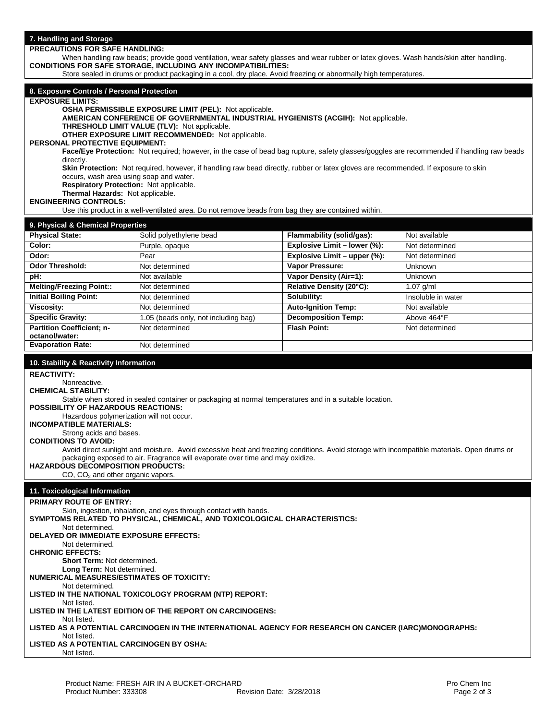When handling raw beads; provide good ventilation, wear safety glasses and wear rubber or latex gloves. Wash hands/skin after handling. **CONDITIONS FOR SAFE STORAGE, INCLUDING ANY INCOMPATIBILITIES:** 

Store sealed in drums or product packaging in a cool, dry place. Avoid freezing or abnormally high temperatures.

# **8. Exposure Controls / Personal Protection**

#### **EXPOSURE LIMITS:**

**OSHA PERMISSIBLE EXPOSURE LIMIT (PEL):** Not applicable.

**AMERICAN CONFERENCE OF GOVERNMENTAL INDUSTRIAL HYGIENISTS (ACGIH):** Not applicable.

**THRESHOLD LIMIT VALUE (TLV):** Not applicable.

**OTHER EXPOSURE LIMIT RECOMMENDED:** Not applicable.

**PERSONAL PROTECTIVE EQUIPMENT:**

Face/Eye Protection: Not required; however, in the case of bead bag rupture, safety glasses/goggles are recommended if handling raw beads directly.

**Skin Protection:** Not required, however, if handling raw bead directly, rubber or latex gloves are recommended. If exposure to skin occurs, wash area using soap and water.

**Respiratory Protection:** Not applicable.

**Thermal Hazards:** Not applicable.

#### **ENGINEERING CONTROLS:**

Use this product in a well-ventilated area. Do not remove beads from bag they are contained within.

### **9. Physical & Chemical Properties**

| 3. Filiysical & Chemical Fiberies           |                                      |                              |                    |
|---------------------------------------------|--------------------------------------|------------------------------|--------------------|
| <b>Physical State:</b>                      | Solid polyethylene bead              | Flammability (solid/gas):    | Not available      |
| Color:                                      | Purple, opaque                       | Explosive Limit - lower (%): | Not determined     |
| Odor:                                       | Pear                                 | Explosive Limit - upper (%): | Not determined     |
| <b>Odor Threshold:</b>                      | Not determined                       | <b>Vapor Pressure:</b>       | <b>Unknown</b>     |
| pH:                                         | Not available                        | Vapor Density (Air=1):       | <b>Unknown</b>     |
| <b>Melting/Freezing Point::</b>             | Not determined                       | Relative Density (20°C):     | 1.07 g/ml          |
| <b>Initial Boiling Point:</b>               | Not determined                       | Solubility:                  | Insoluble in water |
| Viscosity:                                  | Not determined                       | <b>Auto-Ignition Temp:</b>   | Not available      |
| <b>Specific Gravity:</b>                    | 1.05 (beads only, not including bag) | <b>Decomposition Temp:</b>   | Above 464°F        |
| Partition Coefficient; n-<br>octanol/water: | Not determined                       | <b>Flash Point:</b>          | Not determined     |
| <b>Evaporation Rate:</b>                    | Not determined                       |                              |                    |

# **10. Stability & Reactivity Information**

# **REACTIVITY:**

Nonreactive. **CHEMICAL STABILITY:** 

Stable when stored in sealed container or packaging at normal temperatures and in a suitable location.

# **POSSIBILITY OF HAZARDOUS REACTIONS:**

Hazardous polymerization will not occur.

**INCOMPATIBLE MATERIALS:**

#### Strong acids and bases. **CONDITIONS TO AVOID:**

Avoid direct sunlight and moisture. Avoid excessive heat and freezing conditions. Avoid storage with incompatible materials. Open drums or packaging exposed to air. Fragrance will evaporate over time and may oxidize.

**HAZARDOUS DECOMPOSITION PRODUCTS:**

CO, CO<sub>2</sub> and other organic vapors.

# **11. Toxicological Information**

**PRIMARY ROUTE OF ENTRY:** Skin, ingestion, inhalation, and eyes through contact with hands. **SYMPTOMS RELATED TO PHYSICAL, CHEMICAL, AND TOXICOLOGICAL CHARACTERISTICS:**  Not determined. **DELAYED OR IMMEDIATE EXPOSURE EFFECTS:** Not determined. **CHRONIC EFFECTS: Short Term:** Not determined**. Long Term:** Not determined. **NUMERICAL MEASURES/ESTIMATES OF TOXICITY:** Not determined. **LISTED IN THE NATIONAL TOXICOLOGY PROGRAM (NTP) REPORT:** Not listed. **LISTED IN THE LATEST EDITION OF THE REPORT ON CARCINOGENS:** Not listed. **LISTED AS A POTENTIAL CARCINOGEN IN THE INTERNATIONAL AGENCY FOR RESEARCH ON CANCER (IARC)MONOGRAPHS:** Not listed. **LISTED AS A POTENTIAL CARCINOGEN BY OSHA:** Not listed.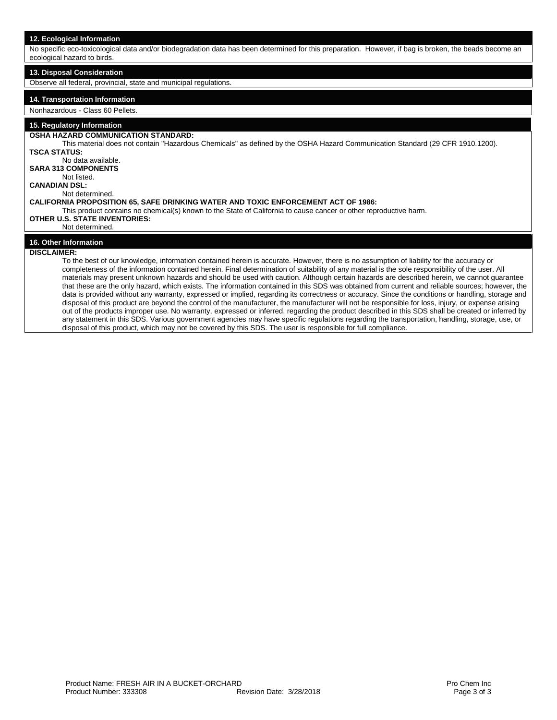No specific eco-toxicological data and/or biodegradation data has been determined for this preparation. However, if bag is broken, the beads become an ecological hazard to birds.

# **13. Disposal Consideration**

Observe all federal, provincial, state and municipal regulations.

# **14. Transportation Information**

## Nonhazardous - Class 60 Pellets.

# **15. Regulatory Information**

**OSHA HAZARD COMMUNICATION STANDARD:** 

This material does not contain "Hazardous Chemicals" as defined by the OSHA Hazard Communication Standard (29 CFR 1910.1200). **TSCA STATUS:**  No data available. **SARA 313 COMPONENTS**

Not listed.

# **CANADIAN DSL:**

Not determined.

**CALIFORNIA PROPOSITION 65, SAFE DRINKING WATER AND TOXIC ENFORCEMENT ACT OF 1986:** 

This product contains no chemical(s) known to the State of California to cause cancer or other reproductive harm.

# **OTHER U.S. STATE INVENTORIES:**

#### Not determined.

# **16. Other Information**

# **DISCLAIMER:**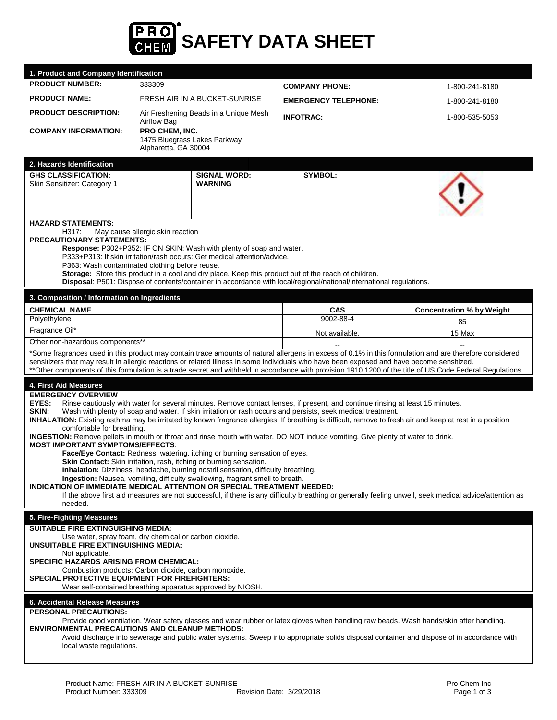

| 1. Product and Company Identification                                                                                                                                                                                                                                                                                                                                                                                                                                                                                                                                                                                                                                                                                                                                                                                                                                                                                                                                                                                                                                                                                                                                                                                                                                        |                                                                                                                                                                                                                                                                                                                                                                                                                                                                       |                             |                                        |  |
|------------------------------------------------------------------------------------------------------------------------------------------------------------------------------------------------------------------------------------------------------------------------------------------------------------------------------------------------------------------------------------------------------------------------------------------------------------------------------------------------------------------------------------------------------------------------------------------------------------------------------------------------------------------------------------------------------------------------------------------------------------------------------------------------------------------------------------------------------------------------------------------------------------------------------------------------------------------------------------------------------------------------------------------------------------------------------------------------------------------------------------------------------------------------------------------------------------------------------------------------------------------------------|-----------------------------------------------------------------------------------------------------------------------------------------------------------------------------------------------------------------------------------------------------------------------------------------------------------------------------------------------------------------------------------------------------------------------------------------------------------------------|-----------------------------|----------------------------------------|--|
| <b>PRODUCT NUMBER:</b>                                                                                                                                                                                                                                                                                                                                                                                                                                                                                                                                                                                                                                                                                                                                                                                                                                                                                                                                                                                                                                                                                                                                                                                                                                                       | 333309                                                                                                                                                                                                                                                                                                                                                                                                                                                                | <b>COMPANY PHONE:</b>       | 1-800-241-8180                         |  |
| <b>PRODUCT NAME:</b>                                                                                                                                                                                                                                                                                                                                                                                                                                                                                                                                                                                                                                                                                                                                                                                                                                                                                                                                                                                                                                                                                                                                                                                                                                                         | FRESH AIR IN A BUCKET-SUNRISE                                                                                                                                                                                                                                                                                                                                                                                                                                         | <b>EMERGENCY TELEPHONE:</b> | 1-800-241-8180                         |  |
| <b>PRODUCT DESCRIPTION:</b>                                                                                                                                                                                                                                                                                                                                                                                                                                                                                                                                                                                                                                                                                                                                                                                                                                                                                                                                                                                                                                                                                                                                                                                                                                                  | Air Freshening Beads in a Unique Mesh<br>Airflow Bag                                                                                                                                                                                                                                                                                                                                                                                                                  | <b>INFOTRAC:</b>            | 1-800-535-5053                         |  |
| <b>COMPANY INFORMATION:</b>                                                                                                                                                                                                                                                                                                                                                                                                                                                                                                                                                                                                                                                                                                                                                                                                                                                                                                                                                                                                                                                                                                                                                                                                                                                  | PRO CHEM, INC.<br>1475 Bluegrass Lakes Parkway<br>Alpharetta, GA 30004                                                                                                                                                                                                                                                                                                                                                                                                |                             |                                        |  |
| 2. Hazards Identification                                                                                                                                                                                                                                                                                                                                                                                                                                                                                                                                                                                                                                                                                                                                                                                                                                                                                                                                                                                                                                                                                                                                                                                                                                                    |                                                                                                                                                                                                                                                                                                                                                                                                                                                                       |                             |                                        |  |
| <b>GHS CLASSIFICATION:</b><br>Skin Sensitizer: Category 1                                                                                                                                                                                                                                                                                                                                                                                                                                                                                                                                                                                                                                                                                                                                                                                                                                                                                                                                                                                                                                                                                                                                                                                                                    | <b>SIGNAL WORD:</b><br><b>WARNING</b>                                                                                                                                                                                                                                                                                                                                                                                                                                 | SYMBOL:                     |                                        |  |
| <b>HAZARD STATEMENTS:</b><br>H317:<br><b>PRECAUTIONARY STATEMENTS:</b>                                                                                                                                                                                                                                                                                                                                                                                                                                                                                                                                                                                                                                                                                                                                                                                                                                                                                                                                                                                                                                                                                                                                                                                                       | May cause allergic skin reaction<br>Response: P302+P352: IF ON SKIN: Wash with plenty of soap and water.<br>P333+P313: If skin irritation/rash occurs: Get medical attention/advice.<br>P363: Wash contaminated clothing before reuse.<br>Storage: Store this product in a cool and dry place. Keep this product out of the reach of children.<br>Disposal: P501: Dispose of contents/container in accordance with local/regional/national/international regulations. |                             |                                        |  |
| 3. Composition / Information on Ingredients                                                                                                                                                                                                                                                                                                                                                                                                                                                                                                                                                                                                                                                                                                                                                                                                                                                                                                                                                                                                                                                                                                                                                                                                                                  |                                                                                                                                                                                                                                                                                                                                                                                                                                                                       |                             |                                        |  |
| <b>CHEMICAL NAME</b><br>Polyethylene                                                                                                                                                                                                                                                                                                                                                                                                                                                                                                                                                                                                                                                                                                                                                                                                                                                                                                                                                                                                                                                                                                                                                                                                                                         |                                                                                                                                                                                                                                                                                                                                                                                                                                                                       | <b>CAS</b><br>9002-88-4     | <b>Concentration % by Weight</b><br>85 |  |
| Fragrance Oil*                                                                                                                                                                                                                                                                                                                                                                                                                                                                                                                                                                                                                                                                                                                                                                                                                                                                                                                                                                                                                                                                                                                                                                                                                                                               |                                                                                                                                                                                                                                                                                                                                                                                                                                                                       | Not available.              | 15 Max                                 |  |
| Other non-hazardous components**                                                                                                                                                                                                                                                                                                                                                                                                                                                                                                                                                                                                                                                                                                                                                                                                                                                                                                                                                                                                                                                                                                                                                                                                                                             |                                                                                                                                                                                                                                                                                                                                                                                                                                                                       |                             |                                        |  |
|                                                                                                                                                                                                                                                                                                                                                                                                                                                                                                                                                                                                                                                                                                                                                                                                                                                                                                                                                                                                                                                                                                                                                                                                                                                                              | *Some fragrances used in this product may contain trace amounts of natural allergens in excess of 0.1% in this formulation and are therefore considered<br>sensitizers that may result in allergic reactions or related illness in some individuals who have been exposed and have become sensitized.<br>**Other components of this formulation is a trade secret and withheld in accordance with provision 1910.1200 of the title of US Code Federal Regulations.    |                             |                                        |  |
| 4. First Aid Measures<br><b>EMERGENCY OVERVIEW</b><br>EYES:<br>Rinse cautiously with water for several minutes. Remove contact lenses, if present, and continue rinsing at least 15 minutes.<br>Wash with plenty of soap and water. If skin irritation or rash occurs and persists, seek medical treatment.<br>SKIN:<br>INHALATION: Existing asthma may be irritated by known fragrance allergies. If breathing is difficult, remove to fresh air and keep at rest in a position<br>comfortable for breathing.<br><b>INGESTION:</b> Remove pellets in mouth or throat and rinse mouth with water. DO NOT induce vomiting. Give plenty of water to drink.<br><b>MOST IMPORTANT SYMPTOMS/EFFECTS:</b><br>Face/Eye Contact: Redness, watering, itching or burning sensation of eyes.<br>Skin Contact: Skin irritation, rash, itching or burning sensation.<br>Inhalation: Dizziness, headache, burning nostril sensation, difficulty breathing.<br>Ingestion: Nausea, vomiting, difficulty swallowing, fragrant smell to breath.<br>INDICATION OF IMMEDIATE MEDICAL ATTENTION OR SPECIAL TREATMENT NEEDED:<br>If the above first aid measures are not successful, if there is any difficulty breathing or generally feeling unwell, seek medical advice/attention as<br>needed. |                                                                                                                                                                                                                                                                                                                                                                                                                                                                       |                             |                                        |  |
| 5. Fire-Fighting Measures<br><b>SUITABLE FIRE EXTINGUISHING MEDIA:</b>                                                                                                                                                                                                                                                                                                                                                                                                                                                                                                                                                                                                                                                                                                                                                                                                                                                                                                                                                                                                                                                                                                                                                                                                       |                                                                                                                                                                                                                                                                                                                                                                                                                                                                       |                             |                                        |  |
| Use water, spray foam, dry chemical or carbon dioxide.<br>UNSUITABLE FIRE EXTINGUISHING MEDIA:<br>Not applicable.<br>SPECIFIC HAZARDS ARISING FROM CHEMICAL:<br>Combustion products: Carbon dioxide, carbon monoxide.<br>SPECIAL PROTECTIVE EQUIPMENT FOR FIREFIGHTERS:<br>Wear self-contained breathing apparatus approved by NIOSH.                                                                                                                                                                                                                                                                                                                                                                                                                                                                                                                                                                                                                                                                                                                                                                                                                                                                                                                                        |                                                                                                                                                                                                                                                                                                                                                                                                                                                                       |                             |                                        |  |
| 6. Accidental Release Measures                                                                                                                                                                                                                                                                                                                                                                                                                                                                                                                                                                                                                                                                                                                                                                                                                                                                                                                                                                                                                                                                                                                                                                                                                                               |                                                                                                                                                                                                                                                                                                                                                                                                                                                                       |                             |                                        |  |
| <b>PERSONAL PRECAUTIONS:</b><br>Provide good ventilation. Wear safety glasses and wear rubber or latex gloves when handling raw beads. Wash hands/skin after handling.<br><b>ENVIRONMENTAL PRECAUTIONS AND CLEANUP METHODS:</b><br>Avoid discharge into sewerage and public water systems. Sweep into appropriate solids disposal container and dispose of in accordance with<br>local waste regulations.                                                                                                                                                                                                                                                                                                                                                                                                                                                                                                                                                                                                                                                                                                                                                                                                                                                                    |                                                                                                                                                                                                                                                                                                                                                                                                                                                                       |                             |                                        |  |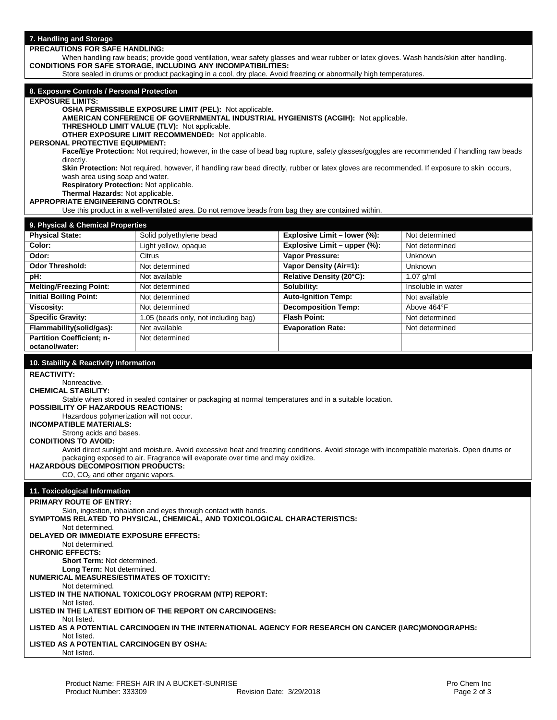When handling raw beads; provide good ventilation, wear safety glasses and wear rubber or latex gloves. Wash hands/skin after handling. **CONDITIONS FOR SAFE STORAGE, INCLUDING ANY INCOMPATIBILITIES:** 

Store sealed in drums or product packaging in a cool, dry place. Avoid freezing or abnormally high temperatures.

# **8. Exposure Controls / Personal Protection**

#### **EXPOSURE LIMITS:**

**OSHA PERMISSIBLE EXPOSURE LIMIT (PEL):** Not applicable.

**AMERICAN CONFERENCE OF GOVERNMENTAL INDUSTRIAL HYGIENISTS (ACGIH):** Not applicable.

**THRESHOLD LIMIT VALUE (TLV):** Not applicable.

**OTHER EXPOSURE LIMIT RECOMMENDED:** Not applicable.

**PERSONAL PROTECTIVE EQUIPMENT:**

**Face/Eye Protection:** Not required; however, in the case of bead bag rupture, safety glasses/goggles are recommended if handling raw beads directly.

Skin Protection: Not required, however, if handling raw bead directly, rubber or latex gloves are recommended. If exposure to skin occurs, wash area using soap and water.

**Respiratory Protection:** Not applicable.

**Thermal Hazards:** Not applicable.

**APPROPRIATE ENGINEERING CONTROLS:**

Use this product in a well-ventilated area. Do not remove beads from bag they are contained within.

# **9. Physical & Chemical Properties**

| <b>Physical State:</b>           | Solid polyethylene bead              | Explosive Limit - lower (%): | Not determined     |
|----------------------------------|--------------------------------------|------------------------------|--------------------|
| Color:                           | Light yellow, opaque                 | Explosive Limit - upper (%): | Not determined     |
| Odor:                            | Citrus                               | Vapor Pressure:              | <b>Unknown</b>     |
| <b>Odor Threshold:</b>           | Not determined                       | Vapor Density (Air=1):       | <b>Unknown</b>     |
| pH:                              | Not available                        | Relative Density (20°C):     | $1.07$ g/ml        |
| <b>Melting/Freezing Point:</b>   | Not determined                       | Solubility:                  | Insoluble in water |
| <b>Initial Boiling Point:</b>    | Not determined                       | <b>Auto-Ignition Temp:</b>   | Not available      |
| Viscosity:                       | Not determined                       | <b>Decomposition Temp:</b>   | Above 464°F        |
| <b>Specific Gravity:</b>         | 1.05 (beads only, not including bag) | <b>Flash Point:</b>          | Not determined     |
| Flammability(solid/gas):         | Not available                        | <b>Evaporation Rate:</b>     | Not determined     |
| <b>Partition Coefficient; n-</b> | Not determined                       |                              |                    |
| octanol/water:                   |                                      |                              |                    |

# **10. Stability & Reactivity Information**

# **REACTIVITY:**

Nonreactive. **CHEMICAL STABILITY:** 

Stable when stored in sealed container or packaging at normal temperatures and in a suitable location.

# **POSSIBILITY OF HAZARDOUS REACTIONS:**

Hazardous polymerization will not occur.

**INCOMPATIBLE MATERIALS:**

Strong acids and bases. **CONDITIONS TO AVOID:** 

Avoid direct sunlight and moisture. Avoid excessive heat and freezing conditions. Avoid storage with incompatible materials. Open drums or packaging exposed to air. Fragrance will evaporate over time and may oxidize.

**HAZARDOUS DECOMPOSITION PRODUCTS:**

CO, CO<sub>2</sub> and other organic vapors.

# **11. Toxicological Information**

**PRIMARY ROUTE OF ENTRY:** Skin, ingestion, inhalation and eyes through contact with hands. **SYMPTOMS RELATED TO PHYSICAL, CHEMICAL, AND TOXICOLOGICAL CHARACTERISTICS:**  Not determined. **DELAYED OR IMMEDIATE EXPOSURE EFFECTS:** Not determined. **CHRONIC EFFECTS: Short Term:** Not determined. **Long Term:** Not determined. **NUMERICAL MEASURES/ESTIMATES OF TOXICITY:** Not determined. **LISTED IN THE NATIONAL TOXICOLOGY PROGRAM (NTP) REPORT:** Not listed. **LISTED IN THE LATEST EDITION OF THE REPORT ON CARCINOGENS:** Not listed. **LISTED AS A POTENTIAL CARCINOGEN IN THE INTERNATIONAL AGENCY FOR RESEARCH ON CANCER (IARC)MONOGRAPHS:** Not listed. **LISTED AS A POTENTIAL CARCINOGEN BY OSHA:** Not listed.